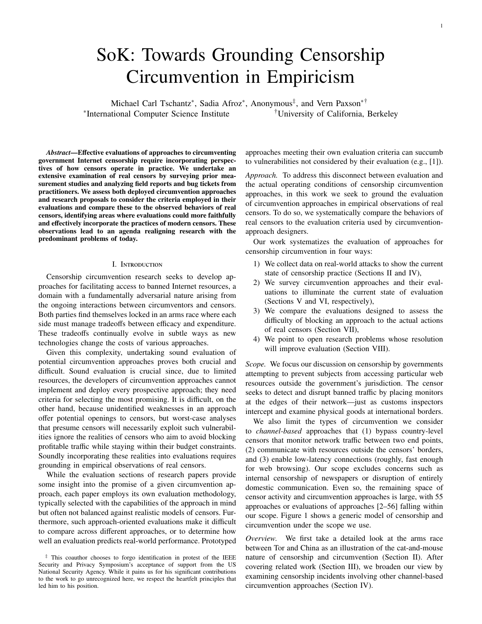# SoK: Towards Grounding Censorship Circumvention in Empiricism

Michael Carl Tschantz<sup>\*</sup>, Sadia Afroz<sup>\*</sup>, Anonymous<sup>‡</sup>, and Vern Paxson<sup>\*†</sup> ⇤International Computer Science Institute †University of California, Berkeley

*Abstract*—Effective evaluations of approaches to circumventing government Internet censorship require incorporating perspectives of how censors operate in practice. We undertake an extensive examination of real censors by surveying prior measurement studies and analyzing field reports and bug tickets from practitioners. We assess both deployed circumvention approaches and research proposals to consider the criteria employed in their evaluations and compare these to the observed behaviors of real censors, identifying areas where evaluations could more faithfully and effectively incorporate the practices of modern censors. These observations lead to an agenda realigning research with the predominant problems of today.

## I. Introduction

Censorship circumvention research seeks to develop approaches for facilitating access to banned Internet resources, a domain with a fundamentally adversarial nature arising from the ongoing interactions between circumventors and censors. Both parties find themselves locked in an arms race where each side must manage tradeoffs between efficacy and expenditure. These tradeoffs continually evolve in subtle ways as new technologies change the costs of various approaches.

Given this complexity, undertaking sound evaluation of potential circumvention approaches proves both crucial and difficult. Sound evaluation is crucial since, due to limited resources, the developers of circumvention approaches cannot implement and deploy every prospective approach; they need criteria for selecting the most promising. It is difficult, on the other hand, because unidentified weaknesses in an approach offer potential openings to censors, but worst-case analyses that presume censors will necessarily exploit such vulnerabilities ignore the realities of censors who aim to avoid blocking profitable traffic while staying within their budget constraints. Soundly incorporating these realities into evaluations requires grounding in empirical observations of real censors.

While the evaluation sections of research papers provide some insight into the promise of a given circumvention approach, each paper employs its own evaluation methodology, typically selected with the capabilities of the approach in mind but often not balanced against realistic models of censors. Furthermore, such approach-oriented evaluations make it difficult to compare across different approaches, or to determine how well an evaluation predicts real-world performance. Prototyped

approaches meeting their own evaluation criteria can succumb to vulnerabilities not considered by their evaluation (e.g., [1]).

*Approach.* To address this disconnect between evaluation and the actual operating conditions of censorship circumvention approaches, in this work we seek to ground the evaluation of circumvention approaches in empirical observations of real censors. To do so, we systematically compare the behaviors of real censors to the evaluation criteria used by circumventionapproach designers.

Our work systematizes the evaluation of approaches for censorship circumvention in four ways:

- 1) We collect data on real-world attacks to show the current state of censorship practice (Sections II and IV),
- 2) We survey circumvention approaches and their evaluations to illuminate the current state of evaluation (Sections V and VI, respectively),
- 3) We compare the evaluations designed to assess the difficulty of blocking an approach to the actual actions of real censors (Section VII),
- 4) We point to open research problems whose resolution will improve evaluation (Section VIII).

*Scope.* We focus our discussion on censorship by governments attempting to prevent subjects from accessing particular web resources outside the government's jurisdiction. The censor seeks to detect and disrupt banned traffic by placing monitors at the edges of their network—just as customs inspectors intercept and examine physical goods at international borders.

We also limit the types of circumvention we consider to *channel-based* approaches that (1) bypass country-level censors that monitor network traffic between two end points, (2) communicate with resources outside the censors' borders, and (3) enable low-latency connections (roughly, fast enough for web browsing). Our scope excludes concerns such as internal censorship of newspapers or disruption of entirely domestic communication. Even so, the remaining space of censor activity and circumvention approaches is large, with 55 approaches or evaluations of approaches [2–56] falling within our scope. Figure 1 shows a generic model of censorship and circumvention under the scope we use.

*Overview.* We first take a detailed look at the arms race between Tor and China as an illustration of the cat-and-mouse nature of censorship and circumvention (Section II). After covering related work (Section III), we broaden our view by examining censorship incidents involving other channel-based circumvention approaches (Section IV).

<sup>‡</sup> This coauthor chooses to forgo identification in protest of the IEEE Security and Privacy Symposium's acceptance of support from the US National Security Agency. While it pains us for his significant contributions to the work to go unrecognized here, we respect the heartfelt principles that led him to his position.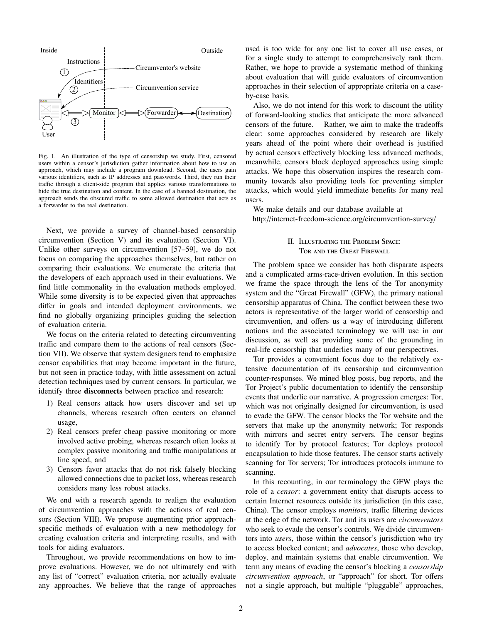

Fig. 1. An illustration of the type of censorship we study. First, censored users within a censor's jurisdiction gather information about how to use an approach, which may include a program download. Second, the users gain various identifiers, such as IP addresses and passwords. Third, they run their traffic through a client-side program that applies various transformations to hide the true destination and content. In the case of a banned destination, the approach sends the obscured traffic to some allowed destination that acts as a forwarder to the real destination.

Next, we provide a survey of channel-based censorship circumvention (Section V) and its evaluation (Section VI). Unlike other surveys on circumvention [57–59], we do not focus on comparing the approaches themselves, but rather on comparing their evaluations. We enumerate the criteria that the developers of each approach used in their evaluations. We find little commonality in the evaluation methods employed. While some diversity is to be expected given that approaches differ in goals and intended deployment environments, we find no globally organizing principles guiding the selection of evaluation criteria.

We focus on the criteria related to detecting circumventing traffic and compare them to the actions of real censors (Section VII). We observe that system designers tend to emphasize censor capabilities that may become important in the future, but not seen in practice today, with little assessment on actual detection techniques used by current censors. In particular, we identify three disconnects between practice and research:

- 1) Real censors attack how users discover and set up channels, whereas research often centers on channel usage,
- 2) Real censors prefer cheap passive monitoring or more involved active probing, whereas research often looks at complex passive monitoring and traffic manipulations at line speed, and
- 3) Censors favor attacks that do not risk falsely blocking allowed connections due to packet loss, whereas research considers many less robust attacks.

We end with a research agenda to realign the evaluation of circumvention approaches with the actions of real censors (Section VIII). We propose augmenting prior approachspecific methods of evaluation with a new methodology for creating evaluation criteria and interpreting results, and with tools for aiding evaluators.

Throughout, we provide recommendations on how to improve evaluations. However, we do not ultimately end with any list of "correct" evaluation criteria, nor actually evaluate any approaches. We believe that the range of approaches used is too wide for any one list to cover all use cases, or for a single study to attempt to comprehensively rank them. Rather, we hope to provide a systematic method of thinking about evaluation that will guide evaluators of circumvention approaches in their selection of appropriate criteria on a caseby-case basis.

Also, we do not intend for this work to discount the utility of forward-looking studies that anticipate the more advanced censors of the future. Rather, we aim to make the tradeoffs clear: some approaches considered by research are likely years ahead of the point where their overhead is justified by actual censors effectively blocking less advanced methods; meanwhile, censors block deployed approaches using simple attacks. We hope this observation inspires the research community towards also providing tools for preventing simpler attacks, which would yield immediate benefits for many real users.

We make details and our database available at http://internet-freedom-science.org/circumvention-survey/

# II. Illustrating the Problem Space: Tor and the Great Firewall

The problem space we consider has both disparate aspects and a complicated arms-race-driven evolution. In this section we frame the space through the lens of the Tor anonymity system and the "Great Firewall" (GFW), the primary national censorship apparatus of China. The conflict between these two actors is representative of the larger world of censorship and circumvention, and offers us a way of introducing different notions and the associated terminology we will use in our discussion, as well as providing some of the grounding in real-life censorship that underlies many of our perspectives.

Tor provides a convenient focus due to the relatively extensive documentation of its censorship and circumvention counter-responses. We mined blog posts, bug reports, and the Tor Project's public documentation to identify the censorship events that underlie our narrative. A progression emerges: Tor, which was not originally designed for circumvention, is used to evade the GFW. The censor blocks the Tor website and the servers that make up the anonymity network; Tor responds with mirrors and secret entry servers. The censor begins to identify Tor by protocol features; Tor deploys protocol encapsulation to hide those features. The censor starts actively scanning for Tor servers; Tor introduces protocols immune to scanning.

In this recounting, in our terminology the GFW plays the role of a *censor*: a government entity that disrupts access to certain Internet resources outside its jurisdiction (in this case, China). The censor employs *monitors*, traffic filtering devices at the edge of the network. Tor and its users are *circumventors* who seek to evade the censor's controls. We divide circumventors into *users*, those within the censor's jurisdiction who try to access blocked content; and *advocates*, those who develop, deploy, and maintain systems that enable circumvention. We term any means of evading the censor's blocking a *censorship circumvention approach*, or "approach" for short. Tor offers not a single approach, but multiple "pluggable" approaches,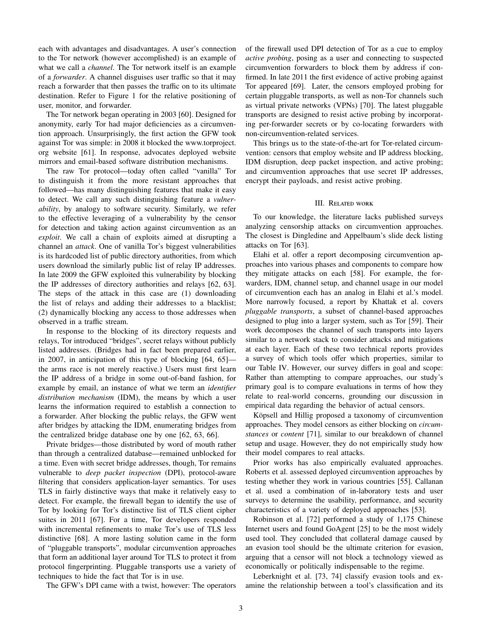each with advantages and disadvantages. A user's connection to the Tor network (however accomplished) is an example of what we call a *channel*. The Tor network itself is an example of a *forwarder*. A channel disguises user traffic so that it may reach a forwarder that then passes the traffic on to its ultimate destination. Refer to Figure 1 for the relative positioning of user, monitor, and forwarder.

The Tor network began operating in 2003 [60]. Designed for anonymity, early Tor had major deficiencies as a circumvention approach. Unsurprisingly, the first action the GFW took against Tor was simple: in 2008 it blocked the www.torproject. org website [61]. In response, advocates deployed website mirrors and email-based software distribution mechanisms.

The raw Tor protocol—today often called "vanilla" Tor to distinguish it from the more resistant approaches that followed—has many distinguishing features that make it easy to detect. We call any such distinguishing feature a *vulnerability*, by analogy to software security. Similarly, we refer to the effective leveraging of a vulnerability by the censor for detection and taking action against circumvention as an *exploit*. We call a chain of exploits aimed at disrupting a channel an *attack*. One of vanilla Tor's biggest vulnerabilities is its hardcoded list of public directory authorities, from which users download the similarly public list of relay IP addresses. In late 2009 the GFW exploited this vulnerability by blocking the IP addresses of directory authorities and relays [62, 63]. The steps of the attack in this case are (1) downloading the list of relays and adding their addresses to a blacklist; (2) dynamically blocking any access to those addresses when observed in a traffic stream.

In response to the blocking of its directory requests and relays, Tor introduced "bridges", secret relays without publicly listed addresses. (Bridges had in fact been prepared earlier, in 2007, in anticipation of this type of blocking [64, 65] the arms race is not merely reactive.) Users must first learn the IP address of a bridge in some out-of-band fashion, for example by email, an instance of what we term an *identifier distribution mechanism* (IDM), the means by which a user learns the information required to establish a connection to a forwarder. After blocking the public relays, the GFW went after bridges by attacking the IDM, enumerating bridges from the centralized bridge database one by one [62, 63, 66].

Private bridges—those distributed by word of mouth rather than through a centralized database—remained unblocked for a time. Even with secret bridge addresses, though, Tor remains vulnerable to *deep packet inspection* (DPI), protocol-aware filtering that considers application-layer semantics. Tor uses TLS in fairly distinctive ways that make it relatively easy to detect. For example, the firewall began to identify the use of Tor by looking for Tor's distinctive list of TLS client cipher suites in 2011 [67]. For a time, Tor developers responded with incremental refinements to make Tor's use of TLS less distinctive [68]. A more lasting solution came in the form of "pluggable transports", modular circumvention approaches that form an additional layer around Tor TLS to protect it from protocol fingerprinting. Pluggable transports use a variety of techniques to hide the fact that Tor is in use.

of the firewall used DPI detection of Tor as a cue to employ *active probing*, posing as a user and connecting to suspected circumvention forwarders to block them by address if confirmed. In late 2011 the first evidence of active probing against Tor appeared [69]. Later, the censors employed probing for certain pluggable transports, as well as non-Tor channels such as virtual private networks (VPNs) [70]. The latest pluggable transports are designed to resist active probing by incorporating per-forwarder secrets or by co-locating forwarders with non-circumvention-related services.

This brings us to the state-of-the-art for Tor-related circumvention: censors that employ website and IP address blocking, IDM disruption, deep packet inspection, and active probing; and circumvention approaches that use secret IP addresses, encrypt their payloads, and resist active probing.

#### III. Related work

To our knowledge, the literature lacks published surveys analyzing censorship attacks on circumvention approaches. The closest is Dingledine and Appelbaum's slide deck listing attacks on Tor [63].

Elahi et al. offer a report decomposing circumvention approaches into various phases and components to compare how they mitigate attacks on each [58]. For example, the forwarders, IDM, channel setup, and channel usage in our model of circumvention each has an analog in Elahi et al.'s model. More narrowly focused, a report by Khattak et al. covers *pluggable transports*, a subset of channel-based approaches designed to plug into a larger system, such as Tor [59]. Their work decomposes the channel of such transports into layers similar to a network stack to consider attacks and mitigations at each layer. Each of these two technical reports provides a survey of which tools offer which properties, similar to our Table IV. However, our survey differs in goal and scope: Rather than attempting to compare approaches, our study's primary goal is to compare evaluations in terms of how they relate to real-world concerns, grounding our discussion in empirical data regarding the behavior of actual censors.

Köpsell and Hillig proposed a taxonomy of circumvention approaches. They model censors as either blocking on *circumstances* or *content* [71], similar to our breakdown of channel setup and usage. However, they do not empirically study how their model compares to real attacks.

Prior works has also empirically evaluated approaches. Roberts et al. assessed deployed circumvention approaches by testing whether they work in various countries [55]. Callanan et al. used a combination of in-laboratory tests and user surveys to determine the usability, performance, and security characteristics of a variety of deployed approaches [53].

Robinson et al. [72] performed a study of 1,175 Chinese Internet users and found GoAgent [25] to be the most widely used tool. They concluded that collateral damage caused by an evasion tool should be the ultimate criterion for evasion, arguing that a censor will not block a technology viewed as economically or politically indispensable to the regime.

Leberknight et al. [73, 74] classify evasion tools and examine the relationship between a tool's classification and its

The GFW's DPI came with a twist, however: The operators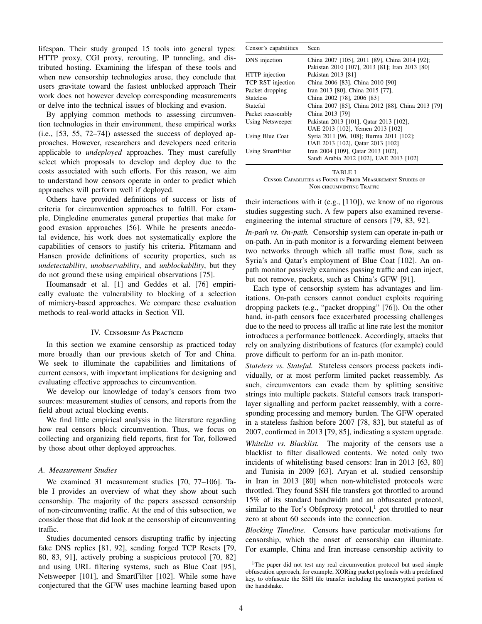lifespan. Their study grouped 15 tools into general types: HTTP proxy, CGI proxy, rerouting, IP tunneling, and distributed hosting. Examining the lifespan of these tools and when new censorship technologies arose, they conclude that users gravitate toward the fastest unblocked approach Their work does not however develop corresponding measurements or delve into the technical issues of blocking and evasion.

By applying common methods to assessing circumvention technologies in their environment, these empirical works (i.e., [53, 55, 72–74]) assessed the success of deployed approaches. However, researchers and developers need criteria applicable to *undeployed* approaches. They must carefully select which proposals to develop and deploy due to the costs associated with such efforts. For this reason, we aim to understand how censors operate in order to predict which approaches will perform well if deployed.

Others have provided definitions of success or lists of criteria for circumvention approaches to fulfill. For example, Dingledine enumerates general properties that make for good evasion approaches [56]. While he presents anecdotal evidence, his work does not systematically explore the capabilities of censors to justify his criteria. Pfitzmann and Hansen provide definitions of security properties, such as *undetectability*, *unobservability*, and *unblockability*, but they do not ground these using empirical observations [75].

Houmansadr et al. [1] and Geddes et al. [76] empirically evaluate the vulnerability to blocking of a selection of mimicry-based approaches. We compare these evaluation methods to real-world attacks in Section VII.

## IV. Censorship As Practiced

In this section we examine censorship as practiced today more broadly than our previous sketch of Tor and China. We seek to illuminate the capabilities and limitations of current censors, with important implications for designing and evaluating effective approaches to circumvention.

We develop our knowledge of today's censors from two sources: measurement studies of censors, and reports from the field about actual blocking events.

We find little empirical analysis in the literature regarding how real censors block circumvention. Thus, we focus on collecting and organizing field reports, first for Tor, followed by those about other deployed approaches.

#### *A. Measurement Studies*

We examined 31 measurement studies [70, 77–106]. Table I provides an overview of what they show about such censorship. The majority of the papers assessed censorship of non-circumventing traffic. At the end of this subsection, we consider those that did look at the censorship of circumventing traffic.

Studies documented censors disrupting traffic by injecting fake DNS replies [81, 92], sending forged TCP Resets [79, 80, 83, 91], actively probing a suspicious protocol [70, 82] and using URL filtering systems, such as Blue Coat [95], Netsweeper [101], and SmartFilter [102]. While some have conjectured that the GFW uses machine learning based upon

| Censor's capabilities | Seen                                              |
|-----------------------|---------------------------------------------------|
| DNS injection         | China 2007 [105], 2011 [89], China 2014 [92];     |
|                       | Pakistan 2010 [107], 2013 [81]; Iran 2013 [80]    |
| HTTP injection        | Pakistan 2013 [81]                                |
| TCP RST injection     | China 2006 [83], China 2010 [90]                  |
| Packet dropping       | Iran 2013 [80], China 2015 [77],                  |
| <b>Stateless</b>      | China 2002 [78], 2006 [83]                        |
| Stateful              | China 2007 [85], China 2012 [88], China 2013 [79] |
| Packet reassembly     | China 2013 [79]                                   |
| Using Netsweeper      | Pakistan 2013 [101], Oatar 2013 [102],            |
|                       | UAE 2013 [102], Yemen 2013 [102]                  |
| Using Blue Coat       | Syria 2011 [96, 108]; Burma 2011 [102];           |
|                       | UAE 2013 [102], Qatar 2013 [102]                  |
| Using SmartFilter     | Iran 2004 [109], Oatar 2013 [102],                |
|                       | Saudi Arabia 2012 [102], UAE 2013 [102]           |

TABLE I Censor Capabilities as Found in Prior Measurement Studies of Non-circumventing Traffic

their interactions with it (e.g., [110]), we know of no rigorous studies suggesting such. A few papers also examined reverseengineering the internal structure of censors [79, 83, 92].

*In-path vs. On-path.* Censorship system can operate in-path or on-path. An in-path monitor is a forwarding element between two networks through which all traffic must flow, such as Syria's and Qatar's employment of Blue Coat [102]. An onpath monitor passively examines passing traffic and can inject, but not remove, packets, such as China's GFW [91].

Each type of censorship system has advantages and limitations. On-path censors cannot conduct exploits requiring dropping packets (e.g., "packet dropping" [76]). On the other hand, in-path censors face exacerbated processing challenges due to the need to process all traffic at line rate lest the monitor introduces a performance bottleneck. Accordingly, attacks that rely on analyzing distributions of features (for example) could prove difficult to perform for an in-path monitor.

*Stateless vs. Stateful.* Stateless censors process packets individually, or at most perform limited packet reassembly. As such, circumventors can evade them by splitting sensitive strings into multiple packets. Stateful censors track transportlayer signalling and perform packet reassembly, with a corresponding processing and memory burden. The GFW operated in a stateless fashion before 2007 [78, 83], but stateful as of 2007, confirmed in 2013 [79, 85], indicating a system upgrade.

*Whitelist vs. Blacklist.* The majority of the censors use a blacklist to filter disallowed contents. We noted only two incidents of whitelisting based censors: Iran in 2013 [63, 80] and Tunisia in 2009 [63]. Aryan et al. studied censorship in Iran in 2013 [80] when non-whitelisted protocols were throttled. They found SSH file transfers got throttled to around 15% of its standard bandwidth and an obfuscated protocol, similar to the Tor's Obfsproxy protocol, $<sup>1</sup>$  got throttled to near</sup> zero at about 60 seconds into the connection.

*Blocking Timeline.* Censors have particular motivations for censorship, which the onset of censorship can illuminate. For example, China and Iran increase censorship activity to

<sup>&</sup>lt;sup>1</sup>The paper did not test any real circumvention protocol but used simple obfuscation approach, for example, XORing packet payloads with a predefined key, to obfuscate the SSH file transfer including the unencrypted portion of the handshake.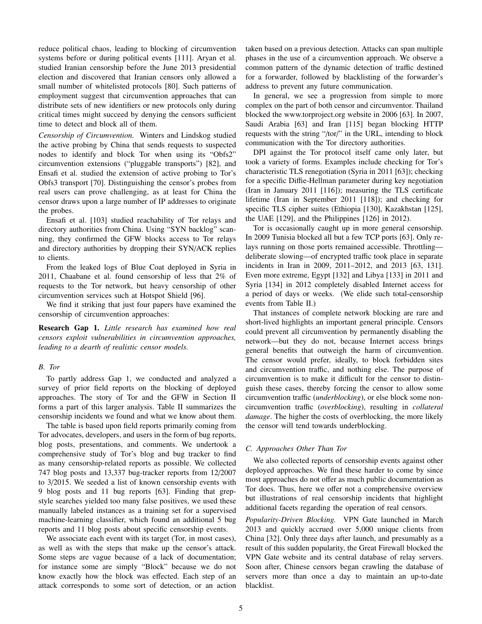reduce political chaos, leading to blocking of circumvention systems before or during political events [111]. Aryan et al. studied Iranian censorship before the June 2013 presidential election and discovered that Iranian censors only allowed a small number of whitelisted protocols [80]. Such patterns of employment suggest that circumvention approaches that can distribute sets of new identifiers or new protocols only during critical times might succeed by denying the censors sufficient time to detect and block all of them.

*Censorship of Circumvention.* Winters and Lindskog studied the active probing by China that sends requests to suspected nodes to identify and block Tor when using its "Obfs2" circumvention extensions ("pluggable transports") [82], and Ensafi et al. studied the extension of active probing to Tor's Obfs3 transport [70]. Distinguishing the censor's probes from real users can prove challenging, as at least for China the censor draws upon a large number of IP addresses to originate the probes.

Ensafi et al. [103] studied reachability of Tor relays and directory authorities from China. Using "SYN backlog" scanning, they confirmed the GFW blocks access to Tor relays and directory authorities by dropping their SYN/ACK replies to clients.

From the leaked logs of Blue Coat deployed in Syria in 2011, Chaabane et al. found censorship of less that 2% of requests to the Tor network, but heavy censorship of other circumvention services such at Hotspot Shield [96].

We find it striking that just four papers have examined the censorship of circumvention approaches:

Research Gap 1. *Little research has examined how real censors exploit vulnerabilities in circumvention approaches, leading to a dearth of realistic censor models.*

## *B. Tor*

To partly address Gap 1, we conducted and analyzed a survey of prior field reports on the blocking of deployed approaches. The story of Tor and the GFW in Section II forms a part of this larger analysis. Table II summarizes the censorship incidents we found and what we know about them.

The table is based upon field reports primarily coming from Tor advocates, developers, and users in the form of bug reports, blog posts, presentations, and comments. We undertook a comprehensive study of Tor's blog and bug tracker to find as many censorship-related reports as possible. We collected 747 blog posts and 13,337 bug-tracker reports from 12/2007 to 3/2015. We seeded a list of known censorship events with 9 blog posts and 11 bug reports [63]. Finding that grepstyle searches yielded too many false positives, we used these manually labeled instances as a training set for a supervised machine-learning classifier, which found an additional 5 bug reports and 11 blog posts about specific censorship events.

We associate each event with its target (Tor, in most cases), as well as with the steps that make up the censor's attack. Some steps are vague because of a lack of documentation; for instance some are simply "Block" because we do not know exactly how the block was effected. Each step of an attack corresponds to some sort of detection, or an action taken based on a previous detection. Attacks can span multiple phases in the use of a circumvention approach. We observe a common pattern of the dynamic detection of traffic destined for a forwarder, followed by blacklisting of the forwarder's address to prevent any future communication.

In general, we see a progression from simple to more complex on the part of both censor and circumventor. Thailand blocked the www.torproject.org website in 2006 [63]. In 2007, Saudi Arabia [63] and Iran [115] began blocking HTTP requests with the string "/tor/" in the URL, intending to block communication with the Tor directory authorities.

DPI against the Tor protocol itself came only later, but took a variety of forms. Examples include checking for Tor's characteristic TLS renegotiation (Syria in 2011 [63]); checking for a specific Diffie-Hellman parameter during key negotiation (Iran in January 2011 [116]); measuring the TLS certificate lifetime (Iran in September 2011 [118]); and checking for specific TLS cipher suites (Ethiopia [130], Kazakhstan [125], the UAE [129], and the Philippines [126] in 2012).

Tor is occasionally caught up in more general censorship. In 2009 Tunisia blocked all but a few TCP ports [63]. Only relays running on those ports remained accessible. Throttling deliberate slowing—of encrypted traffic took place in separate incidents in Iran in 2009, 2011–2012, and 2013 [63, 131]. Even more extreme, Egypt [132] and Libya [133] in 2011 and Syria [134] in 2012 completely disabled Internet access for a period of days or weeks. (We elide such total-censorship events from Table II.)

That instances of complete network blocking are rare and short-lived highlights an important general principle. Censors could prevent all circumvention by permanently disabling the network—but they do not, because Internet access brings general benefits that outweigh the harm of circumvention. The censor would prefer, ideally, to block forbidden sites and circumvention traffic, and nothing else. The purpose of circumvention is to make it difficult for the censor to distinguish these cases, thereby forcing the censor to allow some circumvention traffic (*underblocking*), or else block some noncircumvention trac (*overblocking*), resulting in *collateral damage*. The higher the costs of overblocking, the more likely the censor will tend towards underblocking.

## *C. Approaches Other Than Tor*

We also collected reports of censorship events against other deployed approaches. We find these harder to come by since most approaches do not offer as much public documentation as Tor does. Thus, here we offer not a comprehensive overview but illustrations of real censorship incidents that highlight additional facets regarding the operation of real censors.

*Popularity-Driven Blocking.* VPN Gate launched in March 2013 and quickly accrued over 5,000 unique clients from China [32]. Only three days after launch, and presumably as a result of this sudden popularity, the Great Firewall blocked the VPN Gate website and its central database of relay servers. Soon after, Chinese censors began crawling the database of servers more than once a day to maintain an up-to-date blacklist.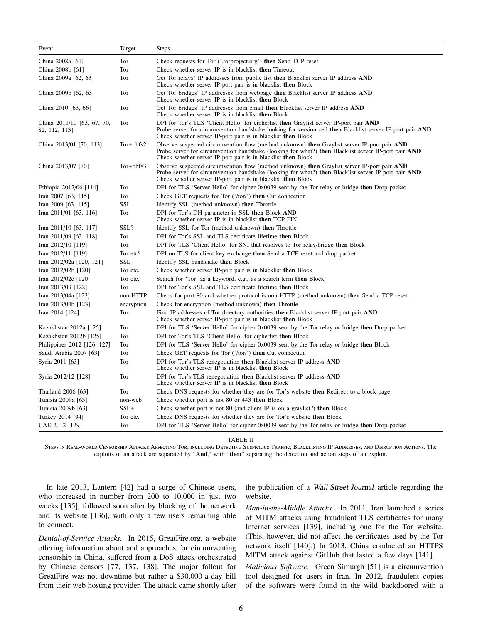| Event                                       | Target     | <b>Steps</b>                                                                                                                                                                                                                                                             |
|---------------------------------------------|------------|--------------------------------------------------------------------------------------------------------------------------------------------------------------------------------------------------------------------------------------------------------------------------|
| China 2008a [61]                            | Tor        | Check requests for Tor ('.torproject.org') then Send TCP reset                                                                                                                                                                                                           |
| China 2008b [61]                            | Tor        | Check whether server IP is in blacklist then Timeout                                                                                                                                                                                                                     |
| China 2009a [62, 63]                        | Tor        | Get Tor relays' IP addresses from public list then Blacklist server IP address AND<br>Check whether server IP-port pair is in blacklist then Block                                                                                                                       |
| China 2009b [62, 63]                        | Tor        | Get Tor bridges' IP addresses from webpage then Blacklist server IP address AND<br>Check whether server IP is in blacklist <b>then</b> Block                                                                                                                             |
| China 2010 [63, 66]                         | Tor        | Get Tor bridges' IP addresses from email then Blacklist server IP address AND<br>Check whether server IP is in blacklist <b>then</b> Block                                                                                                                               |
| China 2011/10 [63, 67, 70,<br>82, 112, 113] | Tor        | DPI for Tor's TLS 'Client Hello' for cipherlist then Graylist server IP-port pair AND<br>Probe server for circumvention handshake looking for version cell then Blacklist server IP-port pair AND<br>Check whether server IP-port pair is in blacklist <b>then</b> Block |
| China 2013/01 [70, 113]                     | Tor+obfs2  | Observe suspected circumvention flow (method unknown) then Graylist server IP-port pair AND<br>Probe server for circumvention handshake (looking for what?) then Blacklist server IP-port pair AND<br>Check whether server IP-port pair is in blacklist then Block       |
| China 2013/07 [70]                          | Tor+obfs3  | Observe suspected circumvention flow (method unknown) then Graylist server IP-port pair AND<br>Probe server for circumvention handshake (looking for what?) then Blacklist server IP-port pair AND<br>Check whether server IP-port pair is in blacklist then Block       |
| Ethiopia 2012/06 [114]                      | Tor        | DPI for TLS 'Server Hello' for cipher 0x0039 sent by the Tor relay or bridge then Drop packet                                                                                                                                                                            |
| Iran 2007 [63, 115]                         | Tor        | Check GET requests for Tor $('/tor')$ then Cut connection                                                                                                                                                                                                                |
| Iran 2009 [63, 115]                         | <b>SSL</b> | Identify SSL (method unknown) then Throttle                                                                                                                                                                                                                              |
| Iran $2011/01$ [63, 116]                    | Tor        | DPI for Tor's DH parameter in SSL then Block AND<br>Check whether server IP is in blacklist then TCP FIN                                                                                                                                                                 |
| Iran 2011/10 [63, 117]                      | SSL?       | Identify SSL for Tor (method unknown) then Throttle                                                                                                                                                                                                                      |
| Iran 2011/09 [63, 118]                      | Tor        | DPI for Tor's SSL and TLS certificate lifetime then Block                                                                                                                                                                                                                |
| Iran 2012/10 [119]                          | Tor        | DPI for TLS 'Client Hello' for SNI that resolves to Tor relay/bridge then Block                                                                                                                                                                                          |
| Iran $2012/11$ [119]                        | Tor etc?   | DPI on TLS for client key exchange then Send a TCP reset and drop packet                                                                                                                                                                                                 |
| Iran 2012/02a [120, 121]                    | SSL        | Identify SSL handshake then Block                                                                                                                                                                                                                                        |
| Iran 2012/02b [120]                         | Tor etc.   | Check whether server IP-port pair is in blacklist then Block                                                                                                                                                                                                             |
| Iran 2012/02c [120]                         | Tor etc.   | Search for 'Tor' as a keyword, e.g., as a search term then Block                                                                                                                                                                                                         |
| Iran 2013/03 [122]                          | Tor        | DPI for Tor's SSL and TLS certificate lifetime then Block                                                                                                                                                                                                                |
| Iran 2013/04a $[123]$                       | non-HTTP   | Check for port 80 and whether protocol is non-HTTP (method unknown) then Send a TCP reset                                                                                                                                                                                |
| Iran $2013/04b$ [123]                       | encryption | Check for encryption (method unknown) then Throttle                                                                                                                                                                                                                      |
| Iran 2014 $[124]$                           | Tor        | Find IP addresses of Tor directory authorities then Blacklist server IP-port pair AND<br>Check whether server IP-port pair is in blacklist <b>then</b> Block                                                                                                             |
| Kazakhstan 2012a [125]                      | Tor        | DPI for TLS 'Server Hello' for cipher 0x0039 sent by the Tor relay or bridge then Drop packet                                                                                                                                                                            |
| Kazakhstan 2012b [125]                      | Tor        | DPI for Tor's TLS 'Client Hello' for cipherlist then Block                                                                                                                                                                                                               |
| Philippines 2012 [126, 127]                 | Tor        | DPI for TLS 'Server Hello' for cipher 0x0039 sent by the Tor relay or bridge then Block                                                                                                                                                                                  |
| Saudi Arabia 2007 [63]                      | Tor        | Check GET requests for Tor $('/tor')$ then Cut connection                                                                                                                                                                                                                |
| Syria 2011 [63]                             | Tor        | DPI for Tor's TLS renegotiation then Blacklist server IP address AND<br>Check whether server IP is in blacklist <b>then</b> Block                                                                                                                                        |
| Syria 2012/12 [128]                         | Tor        | DPI for Tor's TLS renegotiation then Blacklist server IP address AND<br>Check whether server IP is in blacklist then Block                                                                                                                                               |
| Thailand 2006 [63]                          | Tor        | Check DNS requests for whether they are for Tor's website then Redirect to a block page                                                                                                                                                                                  |
| Tunisia 2009a [63]                          | non-web    | Check whether port is not 80 or 443 then Block                                                                                                                                                                                                                           |
| Tunisia 2009b [63]                          | $SSL+$     | Check whether port is not 80 (and client IP is on a graylist?) then Block                                                                                                                                                                                                |
| Turkey 2014 [94]                            | Tor etc.   | Check DNS requests for whether they are for Tor's website then Block                                                                                                                                                                                                     |
| UAE 2012 [129]                              | Tor        | DPI for TLS 'Server Hello' for cipher 0x0039 sent by the Tor relay or bridge then Drop packet                                                                                                                                                                            |

TABLE II

Steps in Real-world Censorship Attacks Affecting Tor, including Detecting Suspicious Traffic, Blacklisting IP Addresses, and Disruption Actions. The exploits of an attack are separated by "And," with "then" separating the detection and action steps of an exploit.

In late 2013, Lantern [42] had a surge of Chinese users, who increased in number from 200 to 10,000 in just two weeks [135], followed soon after by blocking of the network and its website [136], with only a few users remaining able to connect.

*Denial-of-Service Attacks.* In 2015, GreatFire.org, a website offering information about and approaches for circumventing censorship in China, suffered from a DoS attack orchestrated by Chinese censors [77, 137, 138]. The major fallout for GreatFire was not downtime but rather a \$30,000-a-day bill from their web hosting provider. The attack came shortly after the publication of a *Wall Street Journal* article regarding the website.

*Man-in-the-Middle Attacks.* In 2011, Iran launched a series of MITM attacks using fraudulent TLS certificates for many Internet services [139], including one for the Tor website. (This, however, did not affect the certificates used by the Tor network itself [140].) In 2013, China conducted an HTTPS MITM attack against GitHub that lasted a few days [141].

*Malicious Software.* Green Simurgh [51] is a circumvention tool designed for users in Iran. In 2012, fraudulent copies of the software were found in the wild backdoored with a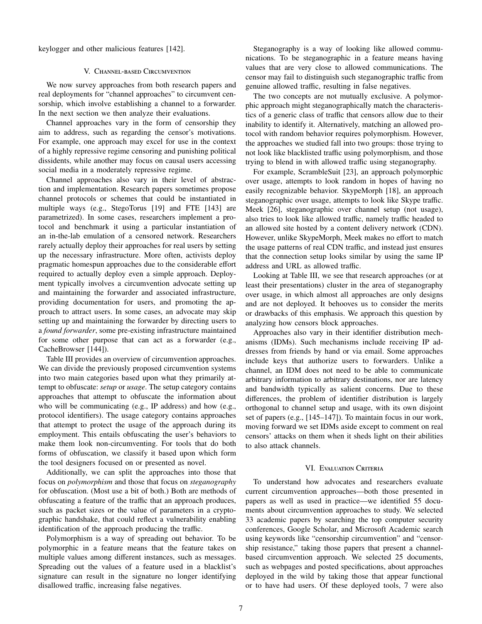keylogger and other malicious features [142].

## V. Channel-based Circumvention

We now survey approaches from both research papers and real deployments for "channel approaches" to circumvent censorship, which involve establishing a channel to a forwarder. In the next section we then analyze their evaluations.

Channel approaches vary in the form of censorship they aim to address, such as regarding the censor's motivations. For example, one approach may excel for use in the context of a highly repressive regime censoring and punishing political dissidents, while another may focus on causal users accessing social media in a moderately repressive regime.

Channel approaches also vary in their level of abstraction and implementation. Research papers sometimes propose channel protocols or schemes that could be instantiated in multiple ways (e.g., StegoTorus [19] and FTE [143] are parametrized). In some cases, researchers implement a protocol and benchmark it using a particular instantiation of an in-the-lab emulation of a censored network. Researchers rarely actually deploy their approaches for real users by setting up the necessary infrastructure. More often, activists deploy pragmatic homespun approaches due to the considerable effort required to actually deploy even a simple approach. Deployment typically involves a circumvention advocate setting up and maintaining the forwarder and associated infrastructure, providing documentation for users, and promoting the approach to attract users. In some cases, an advocate may skip setting up and maintaining the forwarder by directing users to a *found forwarder*, some pre-existing infrastructure maintained for some other purpose that can act as a forwarder (e.g., CacheBrowser [144]).

Table III provides an overview of circumvention approaches. We can divide the previously proposed circumvention systems into two main categories based upon what they primarily attempt to obfuscate: *setup* or *usage*. The setup category contains approaches that attempt to obfuscate the information about who will be communicating (e.g., IP address) and how (e.g., protocol identifiers). The usage category contains approaches that attempt to protect the usage of the approach during its employment. This entails obfuscating the user's behaviors to make them look non-circumventing. For tools that do both forms of obfuscation, we classify it based upon which form the tool designers focused on or presented as novel.

Additionally, we can split the approaches into those that focus on *polymorphism* and those that focus on *steganography* for obfuscation. (Most use a bit of both.) Both are methods of obfuscating a feature of the traffic that an approach produces, such as packet sizes or the value of parameters in a cryptographic handshake, that could reflect a vulnerability enabling identification of the approach producing the traffic.

Polymorphism is a way of spreading out behavior. To be polymorphic in a feature means that the feature takes on multiple values among different instances, such as messages. Spreading out the values of a feature used in a blacklist's signature can result in the signature no longer identifying disallowed traffic, increasing false negatives.

Steganography is a way of looking like allowed communications. To be steganographic in a feature means having values that are very close to allowed communications. The censor may fail to distinguish such steganographic traffic from genuine allowed traffic, resulting in false negatives.

The two concepts are not mutually exclusive. A polymorphic approach might steganographically match the characteristics of a generic class of traffic that censors allow due to their inability to identify it. Alternatively, matching an allowed protocol with random behavior requires polymorphism. However, the approaches we studied fall into two groups: those trying to not look like blacklisted traffic using polymorphism, and those trying to blend in with allowed traffic using steganography.

For example, ScrambleSuit [23], an approach polymorphic over usage, attempts to look random in hopes of having no easily recognizable behavior. SkypeMorph [18], an approach steganographic over usage, attempts to look like Skype traffic. Meek [26], steganographic over channel setup (not usage), also tries to look like allowed traffic, namely traffic headed to an allowed site hosted by a content delivery network (CDN). However, unlike SkypeMorph, Meek makes no effort to match the usage patterns of real CDN traffic, and instead just ensures that the connection setup looks similar by using the same IP address and URL as allowed traffic.

Looking at Table III, we see that research approaches (or at least their presentations) cluster in the area of steganography over usage, in which almost all approaches are only designs and are not deployed. It behooves us to consider the merits or drawbacks of this emphasis. We approach this question by analyzing how censors block approaches.

Approaches also vary in their identifier distribution mechanisms (IDMs). Such mechanisms include receiving IP addresses from friends by hand or via email. Some approaches include keys that authorize users to forwarders. Unlike a channel, an IDM does not need to be able to communicate arbitrary information to arbitrary destinations, nor are latency and bandwidth typically as salient concerns. Due to these differences, the problem of identifier distribution is largely orthogonal to channel setup and usage, with its own disjoint set of papers (e.g., [145–147]). To maintain focus in our work, moving forward we set IDMs aside except to comment on real censors' attacks on them when it sheds light on their abilities to also attack channels.

## VI. Evaluation Criteria

To understand how advocates and researchers evaluate current circumvention approaches—both those presented in papers as well as used in practice—we identified 55 documents about circumvention approaches to study. We selected 33 academic papers by searching the top computer security conferences, Google Scholar, and Microsoft Academic search using keywords like "censorship circumvention" and "censorship resistance," taking those papers that present a channelbased circumvention approach. We selected 25 documents, such as webpages and posted specifications, about approaches deployed in the wild by taking those that appear functional or to have had users. Of these deployed tools, 7 were also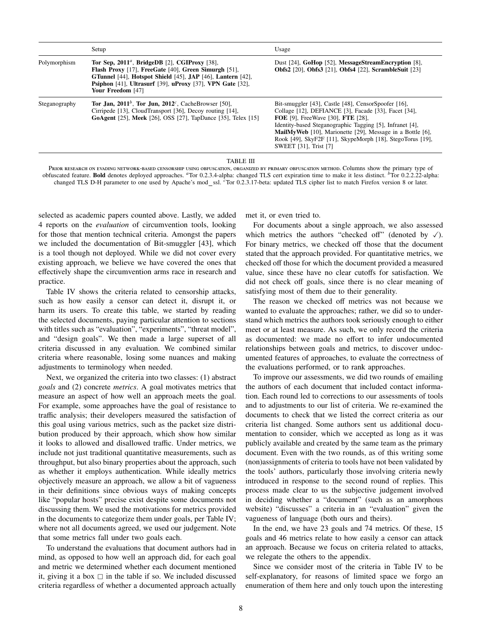|               | Setup                                                                                                                                                                                                                                                    | Usage                                                                                                                                                                                                                                                                                                                                                                         |
|---------------|----------------------------------------------------------------------------------------------------------------------------------------------------------------------------------------------------------------------------------------------------------|-------------------------------------------------------------------------------------------------------------------------------------------------------------------------------------------------------------------------------------------------------------------------------------------------------------------------------------------------------------------------------|
| Polymorphism  | Tor Sep, $2011^a$ , BridgeDB [2], CGIProxy [38],<br>Flash Proxy [17], FreeGate [40], Green Simurgh [51],<br>GTunnel [44], Hotspot Shield [45], JAP [46], Lantern [42],<br>Psiphon [41], Ultrasurf [39], uProxy [37], VPN Gate [32],<br>Your Freedom [47] | Dust [24], GoHop [52], MessageStreamEncryption [8],<br>Obfs2 [20], Obfs3 [21], Obfs4 [22], ScrambleSuit [23]                                                                                                                                                                                                                                                                  |
| Steganography | Tor Jan, $2011^b$ , Tor Jun, $2012^c$ , CacheBrowser [50],<br>Cirripede [13], CloudTransport [36], Decoy routing [14],<br><b>GoAgent</b> [25], Meek [26], OSS [27], TapDance [35], Telex [15]                                                            | Bit-smuggler [43], Castle [48], CensorSpoofer [16],<br>Collage [12], DEFIANCE [3], Facade [33], Facet [34],<br><b>FOE</b> [9], FreeWave [30], <b>FTE</b> [28],<br>Identity-based Steganographic Tagging [5], Infranct [4],<br>MailMyWeb [10], Marionette [29], Message in a Bottle [6],<br>Rook [49], SkyF2F [11], SkypeMorph [18], StegoTorus [19],<br>SWEET [31], Trist [7] |

TABLE III

PRIOR RESEARCH ON EVADING NETWORK-BASED CENSORSHIP USING OBFUSCATION, ORGANIZED BY PRIMARY OBFUSCATION METHOD. COlumns show the primary type of obfuscated feature. Bold denotes deployed approaches. *<sup>a</sup>*Tor 0.2.3.4-alpha: changed TLS cert expiration time to make it less distinct. *<sup>b</sup>*Tor 0.2.2.22-alpha: changed TLS D-H parameter to one used by Apache's mod\_ssl. 'Tor 0.2.3.17-beta: updated TLS cipher list to match Firefox version 8 or later.

selected as academic papers counted above. Lastly, we added 4 reports on the *evaluation* of circumvention tools, looking for those that mention technical criteria. Amongst the papers we included the documentation of Bit-smuggler [43], which is a tool though not deployed. While we did not cover every existing approach, we believe we have covered the ones that effectively shape the circumvention arms race in research and practice.

Table IV shows the criteria related to censorship attacks, such as how easily a censor can detect it, disrupt it, or harm its users. To create this table, we started by reading the selected documents, paying particular attention to sections with titles such as "evaluation", "experiments", "threat model", and "design goals". We then made a large superset of all criteria discussed in any evaluation. We combined similar criteria where reasonable, losing some nuances and making adjustments to terminology when needed.

Next, we organized the criteria into two classes: (1) abstract *goals* and (2) concrete *metrics*. A goal motivates metrics that measure an aspect of how well an approach meets the goal. For example, some approaches have the goal of resistance to traffic analysis; their developers measured the satisfaction of this goal using various metrics, such as the packet size distribution produced by their approach, which show how similar it looks to allowed and disallowed traffic. Under metrics, we include not just traditional quantitative measurements, such as throughput, but also binary properties about the approach, such as whether it employs authentication. While ideally metrics objectively measure an approach, we allow a bit of vagueness in their definitions since obvious ways of making concepts like "popular hosts" precise exist despite some documents not discussing them. We used the motivations for metrics provided in the documents to categorize them under goals, per Table IV; where not all documents agreed, we used our judgement. Note that some metrics fall under two goals each.

To understand the evaluations that document authors had in mind, as opposed to how well an approach did, for each goal and metric we determined whether each document mentioned it, giving it a box  $\Box$  in the table if so. We included discussed criteria regardless of whether a documented approach actually met it, or even tried to.

For documents about a single approach, we also assessed which metrics the authors "checked off" (denoted by  $\sqrt{ }$ ). For binary metrics, we checked off those that the document stated that the approach provided. For quantitative metrics, we checked off those for which the document provided a measured value, since these have no clear cutoffs for satisfaction. We did not check off goals, since there is no clear meaning of satisfying most of them due to their generality.

The reason we checked off metrics was not because we wanted to evaluate the approaches; rather, we did so to understand which metrics the authors took seriously enough to either meet or at least measure. As such, we only record the criteria as documented: we made no effort to infer undocumented relationships between goals and metrics, to discover undocumented features of approaches, to evaluate the correctness of the evaluations performed, or to rank approaches.

To improve our assessments, we did two rounds of emailing the authors of each document that included contact information. Each round led to corrections to our assessments of tools and to adjustments to our list of criteria. We re-examined the documents to check that we listed the correct criteria as our criteria list changed. Some authors sent us additional documentation to consider, which we accepted as long as it was publicly available and created by the same team as the primary document. Even with the two rounds, as of this writing some (non)assignments of criteria to tools have not been validated by the tools' authors, particularly those involving criteria newly introduced in response to the second round of replies. This process made clear to us the subjective judgement involved in deciding whether a "document" (such as an amorphous website) "discusses" a criteria in an "evaluation" given the vagueness of language (both ours and theirs).

In the end, we have 23 goals and 74 metrics. Of these, 15 goals and 46 metrics relate to how easily a censor can attack an approach. Because we focus on criteria related to attacks, we relegate the others to the appendix.

Since we consider most of the criteria in Table IV to be self-explanatory, for reasons of limited space we forgo an enumeration of them here and only touch upon the interesting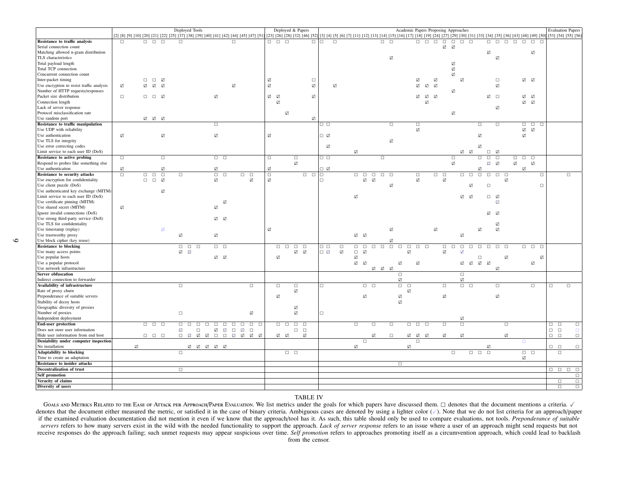| Academic Papers Proposing Approaches<br>[2] [8] [9] [10] [20] [21] [22] [25] [37] [38] [39] [40] [41] [42] [44] [43] [44] [45] [47] [51] [23] [26] [28] [32] [46] [45] [4] [5] [5] [4] [5] [14] [15] [14] [15] [14] [15] [16] [17] [18] [19] [21] [27] [29] [29] [31] [<br>Resistance to traffic analysis<br>$\begin{array}{c c} \hline \begin{array}{ccc} \hline \begin{array}{ccc} \hline \end{array} & \hline \end{array} & \begin{array}{ccc} \hline \end{array} & \begin{array}{ccc} \hline \end{array} & \end{array}$<br>$\overline{\Box}$<br>$\begin{array}{c c} \square & \square & \square \end{array}$<br>$\overline{a}$<br>0000000<br>$\Box$<br>$\Box$<br>$\Box$<br>$\Box$<br>$\Box$<br>$\Box$<br>$\Box$<br>$\Box$<br>$\Box$<br>$\Box$<br>$\Box$<br>$\Box$<br>Serial connection count<br>☑<br>☑<br>$\boxtimes$<br>Matching allowed n-gram distribution<br>$\boxtimes$<br>TLS characteristics<br>$\boxtimes$<br>ø<br>Total payload length<br>☑<br>Total TCP connection<br>$\hbox{\ensuremath{\boxtimes}}$<br>$\boxtimes$<br>Concurrent connection count<br>Inter-packet timing<br>$\boxtimes$<br>$\Box$<br>$\Box$<br>☑<br>$\Box$<br>$\boxtimes$<br>☑<br>$\Box$<br>☑ ☑<br>Ø<br>$\boxtimes$<br>☑ ☑<br>$\boxtimes$<br>$\boxtimes$<br>$\boxtimes$<br>$\boxtimes$<br>Use encryption to resist traffic analysis<br>ø<br>Ø<br>$\boxtimes$<br>ø<br>☑<br>Number of HTTP requests/responses<br>☑<br>Packet size distribution<br>$\boxtimes$<br>$\hfill\ensuremath{\square} \quad \hfill\ensuremath{\square}$<br>$\boxtimes$<br>Ø Ø Ø<br>☑□<br>$\Box$<br>$\begin{array}{cccccccccccccc} \Box & \Box & \Box & \Box \end{array}$<br>☑ ☑<br>$\boxtimes$<br>Connection length<br>N<br>☑ ☑<br>Lack of server response<br>ø<br>Protocol misclassification rate<br>$\boxtimes$<br>☑<br>Use random port<br>N<br>000<br>Resistance to traffic manipulation<br>$\overline{a}$<br>$\overline{\square}$<br>$\overline{\square}$<br>$\overline{\square}$<br>$\overline{\square}$<br>$\begin{array}{c c c c} \hline \rule{0pt}{1.2ex} & \rule{0pt}{1.2ex} & \rule{0pt}{1.2ex} & \rule{0pt}{1.2ex} \\ \rule{0pt}{1.2ex} & \rule{0pt}{1.2ex} & \rule{0pt}{1.2ex} & \rule{0pt}{1.2ex} \\ \rule{0pt}{1.2ex} & \rule{0pt}{1.2ex} & \rule{0pt}{1.2ex} & \rule{0pt}{1.2ex} \\ \rule{0pt}{1.2ex} & \rule{0pt}{1.2ex} & \rule{0pt}{1.2ex} & \rule{0pt}{1.2ex} \\ \rule{0pt}{1.2ex} &$<br>$\Box$ $\Box$<br>$\boxtimes$<br>$\boxtimes$<br>Use UDP with reliability<br>$\boxtimes$<br>$\boxtimes$<br>$\boxtimes$<br>$\boxtimes$<br>$\boxtimes$<br>$\boxtimes$<br>$\boxtimes$<br>$\Box$<br>$\boxtimes$<br>$\boxtimes$<br>$\boxtimes$<br>Use error correcting codes<br>Limit service to each user ID (DoS)<br>ØØ<br>$\Box$<br>ø<br>☑<br>$\begin{array}{ccc} \square & \square & \square \end{array}$<br>$\Box$<br>Resistance to active probing<br>$\Box$<br>$\begin{array}{ccc} \square & \square & \square \end{array}$<br>$\Box$<br>$\Box$ $\Box$<br>$\Box$<br>$\Box$<br>$\Box$<br>$\Box$<br>$\Box$<br>$\Box$ $\Box$<br>$\boxtimes$<br>$\boxtimes$<br>$\boxtimes$<br>ø<br>Respond to probes like something else<br>$\sqrt{ }$<br>$\boxtimes$<br>$\boxtimes$<br>Use authentication<br>$\boxtimes$<br>$\boxtimes$<br>$\boxtimes$<br>$\Box$<br>$\boxtimes$<br>$\boxtimes$<br>Resistance to security attacks<br>$\Box$<br>$\begin{array}{ccc} \square & \square \end{array}$<br>$\Box$<br>$\overline{\square}$<br>$\begin{array}{c} \square \end{array}$<br>0<br>$\begin{array}{c} \square \end{array}$<br>$\begin{array}{c} \square \end{array}$<br>$\overline{\square}$<br>$\begin{array}{c} \square \end{array}$<br>$\begin{array}{c} \square \end{array}$<br>$\Box$<br>$\begin{array}{c c} \hline \begin{array}{ccc} \hline \begin{array}{ccc} \hline \begin{array}{ccc} \hline \end{array} & \hline \begin{array}{ccc} \hline \end{array} & \hline \end{array} \end{array}$<br>$\Box$<br>$\Box$<br>$\begin{array}{ccc} \square & \square \end{array}$<br>$\Box$<br>$\Box$<br>$\Box$<br>$\Box$<br>$\begin{array}{ccc} \square & \square & \square \end{array}$<br>Use encryption for confidentiality<br>☑<br>☑<br>N<br>$\boxtimes$<br>Ø<br>$\boxtimes$<br>$\boxtimes$<br>☑<br>$\Box$<br>☑<br>$\boxtimes$<br>$\boxtimes$<br>$\Box$<br>$\Box$<br>Use client puzzle (DoS)<br>Use authenticated key exchange (MITM)<br>$\boxtimes$<br>Limit service to each user ID (DoS)<br>$\boxtimes$<br>☑ ☑<br>$\Box$<br>Use certificate pinning (MITM)<br>$\boxtimes$<br>$\sqrt{2}$<br>$\boxtimes$<br>Use shared secret (MITM)<br>$\boxtimes$<br>Ignore invalid connections (DoS)<br>☑<br>☑<br>Use strong third-party service (DoS)<br>☑ ☑<br>Use TLS for confidentiality<br>☑<br>$\boxtimes$<br>$\boxtimes$<br>$\boxtimes$<br>Use timestamp (replay)<br>$\boxtimes$<br>$\boxtimes$<br>$\boxtimes$<br>Use trustworthy proxy<br>☑<br>☑<br>☑ ☑<br>N<br>Use block cipher (key reuse)<br>$\boxtimes$<br><b>Resistance to blocking</b><br>$\begin{array}{c c} \square & \square & \square \end{array}$<br>$\begin{array}{ccc} \square & \square \end{array}$<br>$\begin{array}{c} \square \end{array}$<br>$\begin{array}{c} \square \end{array}$<br>$\overline{\square}$<br>$\Box$<br>$\Box$<br>$\Box$<br>$\Box$<br>$\begin{array}{c c c c c} \hline \rule{0pt}{1.2ex} & \rule{0pt}{1.2ex} & \rule{0pt}{1.2ex} & \rule{0pt}{1.2ex} & \rule{0pt}{1.2ex} & \rule{0pt}{1.2ex} & \rule{0pt}{1.2ex} & \rule{0pt}{1.2ex} & \rule{0pt}{1.2ex} & \rule{0pt}{1.2ex} & \rule{0pt}{1.2ex} & \rule{0pt}{1.2ex} & \rule{0pt}{1.2ex} & \rule{0pt}{1.2ex} & \rule{0pt}{1.2ex} & \rule{0pt}{1.2ex} & \rule{0pt}{1.2ex$<br>$\begin{array}{c c c c} \hline \rule{0pt}{1.2ex} & \rule{0pt}{1.2ex} & \rule{0pt}{1.2ex} & \rule{0pt}{1.2ex} \\ \rule{0pt}{1.2ex} & \rule{0pt}{1.2ex} & \rule{0pt}{1.2ex} & \rule{0pt}{1.2ex} \\ \rule{0pt}{1.2ex} & \rule{0pt}{1.2ex} & \rule{0pt}{1.2ex} & \rule{0pt}{1.2ex} \\ \rule{0pt}{1.2ex} & \rule{0pt}{1.2ex} & \rule{0pt}{1.2ex} & \rule{0pt}{1.2ex} \\ \rule{0pt}{1.2ex} &$<br>$\hfill\square$ $\hfill\square$<br>$\Box$<br>$\Box$<br>$\begin{array}{ccc} \square & \square & \square \end{array}$<br>$\Box$<br>$\Box$<br>$\Box$<br>$\Box$<br>$\Box$<br>$\Box$ $\Box$<br>$\Box$<br>$\hfill\ensuremath{\square} \quad \hfill\ensuremath{\square}$<br>$\boxtimes$<br>$\boxtimes$<br>ø<br>ØØ<br>☑<br>Use many access points<br>☑<br>ØØ<br>$\boxtimes$<br>$\boxtimes$<br>$\Box$<br>$\boxtimes$<br>$\boxtimes$<br>0000<br>Use a popular protocol<br>☑ ☑<br>$\boxtimes$<br>$\boxtimes$<br>☑<br>Use network infrastructure<br>☑ ☑<br>☑<br>ø<br>Server obfuscation<br>$\overline{\square}$<br>$\Box$<br>Indirect connection to forwarder<br>$\boxtimes$<br>N<br>$\overline{\mathsf{d}}%$<br>Availability of infrastructure<br>$\overline{\square}$<br>$\overline{\square}$<br>$\overline{\square}$<br>$\Box$<br>$\begin{array}{c} \square \end{array}$<br>$\begin{array}{c} \square \end{array}$<br>$\overline{\square}$<br>$\begin{array}{c} \square \end{array}$<br>$\overline{\square}$<br>$\overline{\square}$<br>$\Box$<br>$\Box$<br>Rate of proxy churn<br>$\boxtimes$<br>N<br>$\boxtimes$<br>$\boxtimes$<br>$\boxtimes$<br>Preponderance of suitable servers<br>$\boxtimes$<br>$\boxtimes$<br>Stability of decoy hosts<br>$\boxtimes$<br>Geographic diversity of proxies<br>$\boxtimes$<br>Number of proxies<br>$\Box$<br>$\boxtimes$<br>$\boxtimes$<br>$\Box$<br>Independent deployment<br>☑<br><b>End-user protection</b><br>$\overline{\square}$<br>$\begin{array}{cccccccccccccc} \Box & \Box & \Box & \Box \end{array}$<br>$\begin{array}{ccc} \square & \square \end{array}$<br>$\Box$<br>$\Box$<br>$\Box$<br>$\Box$<br>$\Box$ $\Box$<br>$\Box$<br>$\begin{array}{ccc} & \square & \square \end{array}$<br>$\Box$ $\Box$<br>$\Box$<br>$\Box$<br>$\Box$<br>$\begin{array}{cccccccccccccc} \Box & \Box & \Box & \Box \end{array}$<br>$\Box$<br>$\Box$<br>$\Box$ $\Box$<br>$\Box$<br>$\Box$<br>$\begin{array}{ccc} \square & \square \end{array}$<br>$\boxtimes$<br>$\Box$<br>$\mathbb Z$<br>$\begin{array}{ccc} \square & \square \end{array}$<br>$\Box$<br>Does not store user information<br>$\sqrt{2}$<br>$\Box$<br>Z<br>$\Box$<br>$\begin{array}{ccc} \square & \square \end{array}$<br>Hide user information from end host<br>$\begin{array}{cccccccccccccc} \Box & \Box & \Box & \Box \end{array}$<br><b>.</b><br>☑ ☑<br>ø<br>$\Box$<br>Ø Ø Ø<br>ø<br>☑<br>$\boxtimes$<br>☑<br>$\overline{\Box}$<br>Deniability under computer inspection<br>$\overline{\Box}$<br>$\Box$<br>$\boxtimes$<br>$\Box$<br>No installation<br>$\hbox{\ensuremath{\boxtimes}}$<br>$\boxtimes$<br>00000<br>N<br>$\begin{array}{ccc} \square & \square \end{array}$<br>Adaptability to blocking<br>$\overline{a}$<br>$\begin{array}{c c} \square & \square & \square \end{array}$<br>$\begin{array}{c c} \hline \begin{array}{ccc} \hline \end{array} & \begin{array}{ccc} \hline \end{array} & \begin{array}{ccc} \hline \end{array} \end{array}$<br>$\Box$<br>$\Box$<br>$\Box$<br>Time to create an adaptation<br>☑<br>Resistance to insider attacks<br>$\overline{a}$<br><b>Decentralization of trust</b><br>$\overline{\square}$<br>$\begin{array}{ccc} \square & \square & \square \end{array}$<br>$\begin{array}{ccc} \square & \square \end{array}$<br>Self promotion<br>$\Box$<br>$\overline{\square}$<br>Veracity of claims<br>$\Box$<br>Diversity of users<br>$\Box$ |                       |  |  | Deployed Tools |  |  | Deployed & Papers |  |  |  |  |  |  |  |  |  | <b>Evaluation Papers</b> |
|---------------------------------------------------------------------------------------------------------------------------------------------------------------------------------------------------------------------------------------------------------------------------------------------------------------------------------------------------------------------------------------------------------------------------------------------------------------------------------------------------------------------------------------------------------------------------------------------------------------------------------------------------------------------------------------------------------------------------------------------------------------------------------------------------------------------------------------------------------------------------------------------------------------------------------------------------------------------------------------------------------------------------------------------------------------------------------------------------------------------------------------------------------------------------------------------------------------------------------------------------------------------------------------------------------------------------------------------------------------------------------------------------------------------------------------------------------------------------------------------------------------------------------------------------------------------------------------------------------------------------------------------------------------------------------------------------------------------------------------------------------------------------------------------------------------------------------------------------------------------------------------------------------------------------------------------------------------------------------------------------------------------------------------------------------------------------------------------------------------------------------------------------------------------------------------------------------------------------------------------------------------------------------------------------------------------------------------------------------------------------------------------------------------------------------------------------------------------------------------------------------------------------------------------------------------------------------------------------------------------------------------------------------------------------------------------------------------------------------------------------------------------------------------------------------------------------------------------------------------------------------------------------------------------------------------------------------------------------------------------------------------------------------------------------------------------------------------------------------------------------------------------------------------------------------------------------------------------------------------------------------------------------------------------------------------------------------------------------------------------------------------------------------------------------------------------------------------------------------------------------------------------------------------------------------------------------------------------------------------------------------------------------------------------------------------------------------------------------------------------------------------------------------------------------------------------------------------------------------------------------------------------------------------------------------------------------------------------------------------------------------------------------------------------------------------------------------------------------------------------------------------------------------------------------------------------------------------------------------------------------------------------------------------------------------------------------------------------------------------------------------------------------------------------------------------------------------------------------------------------------------------------------------------------------------------------------------------------------------------------------------------------------------------------------------------------------------------------------------------------------------------------------------------------------------------------------------------------------------------------------------------------------------------------------------------------------------------------------------------------------------------------------------------------------------------------------------------------------------------------------------------------------------------------------------------------------------------------------------------------------------------------------------------------------------------------------------------------------------------------------------------------------------------------------------------------------------------------------------------------------------------------------------------------------------------------------------------------------------------------------------------------------------------------------------------------------------------------------------------------------------------------------------------------------------------------------------------------------------------------------------------------------------------------------------------------------------------------------------------------------------------------------------------------------------------------------------------------------------------------------------------------------------------------------------------------------------------------------------------------------------------------------------------------------------------------------------------------------------------------------------------------------------------------------------------------------------------------------------------------------------------------------------------------------------------------------------------------------------------------------------------------------------------------------------------------------------------------------------------------------------------------------------------------------------------------------------------------------------------------------------------------------------------------------------------------------------------------------------------------------------------------------------------------------------------------------------------------------------------------------------------------------------------------------------------------------------------------------------------------------------------------------------------------------------------------------------------------------------------------------------------------------------------------------------------------------------------------------------------------------------------------------------------------------------------------------------------------------------------------------------------------------------------------------------------------------------------------------------------------------------------------------------------------------------------------------------------------------------------------------------------------------------------------------------------------------------------------------------------------------------------------------------------------------------------------------------------------------------------------------------------------------------------------------------------------------------------------------------------------------------------------------------------------------------------------------------------------------------------------------------------------------------------------------------------------------------------------------------------------------------------------------------------------------------------------------------------------------------------------------------------------------------------------------------------------------------------------------------------------------------------------------------------------------------------------------------------------------------------------------------------------------------------------------------------------------------------------------------------------------------------------------------------------------------------------------------------------------------------------------------------------------------------------------------------------------------------------------------------------------------------------------------------------------------------------------------------|-----------------------|--|--|----------------|--|--|-------------------|--|--|--|--|--|--|--|--|--|--------------------------|
|                                                                                                                                                                                                                                                                                                                                                                                                                                                                                                                                                                                                                                                                                                                                                                                                                                                                                                                                                                                                                                                                                                                                                                                                                                                                                                                                                                                                                                                                                                                                                                                                                                                                                                                                                                                                                                                                                                                                                                                                                                                                                                                                                                                                                                                                                                                                                                                                                                                                                                                                                                                                                                                                                                                                                                                                                                                                                                                                                                                                                                                                                                                                                                                                                                                                                                                                                                                                                                                                                                                                                                                                                                                                                                                                                                                                                                                                                                                                                                                                                                                                                                                                                                                                                                                                                                                                                                                                                                                                                                                                                                                                                                                                                                                                                                                                                                                                                                                                                                                                                                                                                                                                                                                                                                                                                                                                                                                                                                                                                                                                                                                                                                                                                                                                                                                                                                                                                                                                                                                                                                                                                                                                                                                                                                                                                                                                                                                                                                                                                                                                                                                                                                                                                                                                                                                                                                                                                                                                                                                                                                                                                                                                                                                                                                                                                                                                                                                                                                                                                                                                                                                                                                                                                                                                                                                                                                                                                                                                                                                                                                                                                                                                                                                                                                                                                                                                                                                                                                                                                                                                                                                                                                                                                                                                                                                                                                                                                                                                                                                                                                                                                                                                                                                                                                                                                                                                       |                       |  |  |                |  |  |                   |  |  |  |  |  |  |  |  |  |                          |
|                                                                                                                                                                                                                                                                                                                                                                                                                                                                                                                                                                                                                                                                                                                                                                                                                                                                                                                                                                                                                                                                                                                                                                                                                                                                                                                                                                                                                                                                                                                                                                                                                                                                                                                                                                                                                                                                                                                                                                                                                                                                                                                                                                                                                                                                                                                                                                                                                                                                                                                                                                                                                                                                                                                                                                                                                                                                                                                                                                                                                                                                                                                                                                                                                                                                                                                                                                                                                                                                                                                                                                                                                                                                                                                                                                                                                                                                                                                                                                                                                                                                                                                                                                                                                                                                                                                                                                                                                                                                                                                                                                                                                                                                                                                                                                                                                                                                                                                                                                                                                                                                                                                                                                                                                                                                                                                                                                                                                                                                                                                                                                                                                                                                                                                                                                                                                                                                                                                                                                                                                                                                                                                                                                                                                                                                                                                                                                                                                                                                                                                                                                                                                                                                                                                                                                                                                                                                                                                                                                                                                                                                                                                                                                                                                                                                                                                                                                                                                                                                                                                                                                                                                                                                                                                                                                                                                                                                                                                                                                                                                                                                                                                                                                                                                                                                                                                                                                                                                                                                                                                                                                                                                                                                                                                                                                                                                                                                                                                                                                                                                                                                                                                                                                                                                                                                                                                                       |                       |  |  |                |  |  |                   |  |  |  |  |  |  |  |  |  |                          |
|                                                                                                                                                                                                                                                                                                                                                                                                                                                                                                                                                                                                                                                                                                                                                                                                                                                                                                                                                                                                                                                                                                                                                                                                                                                                                                                                                                                                                                                                                                                                                                                                                                                                                                                                                                                                                                                                                                                                                                                                                                                                                                                                                                                                                                                                                                                                                                                                                                                                                                                                                                                                                                                                                                                                                                                                                                                                                                                                                                                                                                                                                                                                                                                                                                                                                                                                                                                                                                                                                                                                                                                                                                                                                                                                                                                                                                                                                                                                                                                                                                                                                                                                                                                                                                                                                                                                                                                                                                                                                                                                                                                                                                                                                                                                                                                                                                                                                                                                                                                                                                                                                                                                                                                                                                                                                                                                                                                                                                                                                                                                                                                                                                                                                                                                                                                                                                                                                                                                                                                                                                                                                                                                                                                                                                                                                                                                                                                                                                                                                                                                                                                                                                                                                                                                                                                                                                                                                                                                                                                                                                                                                                                                                                                                                                                                                                                                                                                                                                                                                                                                                                                                                                                                                                                                                                                                                                                                                                                                                                                                                                                                                                                                                                                                                                                                                                                                                                                                                                                                                                                                                                                                                                                                                                                                                                                                                                                                                                                                                                                                                                                                                                                                                                                                                                                                                                                                       |                       |  |  |                |  |  |                   |  |  |  |  |  |  |  |  |  |                          |
|                                                                                                                                                                                                                                                                                                                                                                                                                                                                                                                                                                                                                                                                                                                                                                                                                                                                                                                                                                                                                                                                                                                                                                                                                                                                                                                                                                                                                                                                                                                                                                                                                                                                                                                                                                                                                                                                                                                                                                                                                                                                                                                                                                                                                                                                                                                                                                                                                                                                                                                                                                                                                                                                                                                                                                                                                                                                                                                                                                                                                                                                                                                                                                                                                                                                                                                                                                                                                                                                                                                                                                                                                                                                                                                                                                                                                                                                                                                                                                                                                                                                                                                                                                                                                                                                                                                                                                                                                                                                                                                                                                                                                                                                                                                                                                                                                                                                                                                                                                                                                                                                                                                                                                                                                                                                                                                                                                                                                                                                                                                                                                                                                                                                                                                                                                                                                                                                                                                                                                                                                                                                                                                                                                                                                                                                                                                                                                                                                                                                                                                                                                                                                                                                                                                                                                                                                                                                                                                                                                                                                                                                                                                                                                                                                                                                                                                                                                                                                                                                                                                                                                                                                                                                                                                                                                                                                                                                                                                                                                                                                                                                                                                                                                                                                                                                                                                                                                                                                                                                                                                                                                                                                                                                                                                                                                                                                                                                                                                                                                                                                                                                                                                                                                                                                                                                                                                                       |                       |  |  |                |  |  |                   |  |  |  |  |  |  |  |  |  |                          |
|                                                                                                                                                                                                                                                                                                                                                                                                                                                                                                                                                                                                                                                                                                                                                                                                                                                                                                                                                                                                                                                                                                                                                                                                                                                                                                                                                                                                                                                                                                                                                                                                                                                                                                                                                                                                                                                                                                                                                                                                                                                                                                                                                                                                                                                                                                                                                                                                                                                                                                                                                                                                                                                                                                                                                                                                                                                                                                                                                                                                                                                                                                                                                                                                                                                                                                                                                                                                                                                                                                                                                                                                                                                                                                                                                                                                                                                                                                                                                                                                                                                                                                                                                                                                                                                                                                                                                                                                                                                                                                                                                                                                                                                                                                                                                                                                                                                                                                                                                                                                                                                                                                                                                                                                                                                                                                                                                                                                                                                                                                                                                                                                                                                                                                                                                                                                                                                                                                                                                                                                                                                                                                                                                                                                                                                                                                                                                                                                                                                                                                                                                                                                                                                                                                                                                                                                                                                                                                                                                                                                                                                                                                                                                                                                                                                                                                                                                                                                                                                                                                                                                                                                                                                                                                                                                                                                                                                                                                                                                                                                                                                                                                                                                                                                                                                                                                                                                                                                                                                                                                                                                                                                                                                                                                                                                                                                                                                                                                                                                                                                                                                                                                                                                                                                                                                                                                                                       |                       |  |  |                |  |  |                   |  |  |  |  |  |  |  |  |  |                          |
|                                                                                                                                                                                                                                                                                                                                                                                                                                                                                                                                                                                                                                                                                                                                                                                                                                                                                                                                                                                                                                                                                                                                                                                                                                                                                                                                                                                                                                                                                                                                                                                                                                                                                                                                                                                                                                                                                                                                                                                                                                                                                                                                                                                                                                                                                                                                                                                                                                                                                                                                                                                                                                                                                                                                                                                                                                                                                                                                                                                                                                                                                                                                                                                                                                                                                                                                                                                                                                                                                                                                                                                                                                                                                                                                                                                                                                                                                                                                                                                                                                                                                                                                                                                                                                                                                                                                                                                                                                                                                                                                                                                                                                                                                                                                                                                                                                                                                                                                                                                                                                                                                                                                                                                                                                                                                                                                                                                                                                                                                                                                                                                                                                                                                                                                                                                                                                                                                                                                                                                                                                                                                                                                                                                                                                                                                                                                                                                                                                                                                                                                                                                                                                                                                                                                                                                                                                                                                                                                                                                                                                                                                                                                                                                                                                                                                                                                                                                                                                                                                                                                                                                                                                                                                                                                                                                                                                                                                                                                                                                                                                                                                                                                                                                                                                                                                                                                                                                                                                                                                                                                                                                                                                                                                                                                                                                                                                                                                                                                                                                                                                                                                                                                                                                                                                                                                                                                       |                       |  |  |                |  |  |                   |  |  |  |  |  |  |  |  |  |                          |
|                                                                                                                                                                                                                                                                                                                                                                                                                                                                                                                                                                                                                                                                                                                                                                                                                                                                                                                                                                                                                                                                                                                                                                                                                                                                                                                                                                                                                                                                                                                                                                                                                                                                                                                                                                                                                                                                                                                                                                                                                                                                                                                                                                                                                                                                                                                                                                                                                                                                                                                                                                                                                                                                                                                                                                                                                                                                                                                                                                                                                                                                                                                                                                                                                                                                                                                                                                                                                                                                                                                                                                                                                                                                                                                                                                                                                                                                                                                                                                                                                                                                                                                                                                                                                                                                                                                                                                                                                                                                                                                                                                                                                                                                                                                                                                                                                                                                                                                                                                                                                                                                                                                                                                                                                                                                                                                                                                                                                                                                                                                                                                                                                                                                                                                                                                                                                                                                                                                                                                                                                                                                                                                                                                                                                                                                                                                                                                                                                                                                                                                                                                                                                                                                                                                                                                                                                                                                                                                                                                                                                                                                                                                                                                                                                                                                                                                                                                                                                                                                                                                                                                                                                                                                                                                                                                                                                                                                                                                                                                                                                                                                                                                                                                                                                                                                                                                                                                                                                                                                                                                                                                                                                                                                                                                                                                                                                                                                                                                                                                                                                                                                                                                                                                                                                                                                                                                                       |                       |  |  |                |  |  |                   |  |  |  |  |  |  |  |  |  |                          |
|                                                                                                                                                                                                                                                                                                                                                                                                                                                                                                                                                                                                                                                                                                                                                                                                                                                                                                                                                                                                                                                                                                                                                                                                                                                                                                                                                                                                                                                                                                                                                                                                                                                                                                                                                                                                                                                                                                                                                                                                                                                                                                                                                                                                                                                                                                                                                                                                                                                                                                                                                                                                                                                                                                                                                                                                                                                                                                                                                                                                                                                                                                                                                                                                                                                                                                                                                                                                                                                                                                                                                                                                                                                                                                                                                                                                                                                                                                                                                                                                                                                                                                                                                                                                                                                                                                                                                                                                                                                                                                                                                                                                                                                                                                                                                                                                                                                                                                                                                                                                                                                                                                                                                                                                                                                                                                                                                                                                                                                                                                                                                                                                                                                                                                                                                                                                                                                                                                                                                                                                                                                                                                                                                                                                                                                                                                                                                                                                                                                                                                                                                                                                                                                                                                                                                                                                                                                                                                                                                                                                                                                                                                                                                                                                                                                                                                                                                                                                                                                                                                                                                                                                                                                                                                                                                                                                                                                                                                                                                                                                                                                                                                                                                                                                                                                                                                                                                                                                                                                                                                                                                                                                                                                                                                                                                                                                                                                                                                                                                                                                                                                                                                                                                                                                                                                                                                                                       |                       |  |  |                |  |  |                   |  |  |  |  |  |  |  |  |  |                          |
|                                                                                                                                                                                                                                                                                                                                                                                                                                                                                                                                                                                                                                                                                                                                                                                                                                                                                                                                                                                                                                                                                                                                                                                                                                                                                                                                                                                                                                                                                                                                                                                                                                                                                                                                                                                                                                                                                                                                                                                                                                                                                                                                                                                                                                                                                                                                                                                                                                                                                                                                                                                                                                                                                                                                                                                                                                                                                                                                                                                                                                                                                                                                                                                                                                                                                                                                                                                                                                                                                                                                                                                                                                                                                                                                                                                                                                                                                                                                                                                                                                                                                                                                                                                                                                                                                                                                                                                                                                                                                                                                                                                                                                                                                                                                                                                                                                                                                                                                                                                                                                                                                                                                                                                                                                                                                                                                                                                                                                                                                                                                                                                                                                                                                                                                                                                                                                                                                                                                                                                                                                                                                                                                                                                                                                                                                                                                                                                                                                                                                                                                                                                                                                                                                                                                                                                                                                                                                                                                                                                                                                                                                                                                                                                                                                                                                                                                                                                                                                                                                                                                                                                                                                                                                                                                                                                                                                                                                                                                                                                                                                                                                                                                                                                                                                                                                                                                                                                                                                                                                                                                                                                                                                                                                                                                                                                                                                                                                                                                                                                                                                                                                                                                                                                                                                                                                                                                       |                       |  |  |                |  |  |                   |  |  |  |  |  |  |  |  |  |                          |
|                                                                                                                                                                                                                                                                                                                                                                                                                                                                                                                                                                                                                                                                                                                                                                                                                                                                                                                                                                                                                                                                                                                                                                                                                                                                                                                                                                                                                                                                                                                                                                                                                                                                                                                                                                                                                                                                                                                                                                                                                                                                                                                                                                                                                                                                                                                                                                                                                                                                                                                                                                                                                                                                                                                                                                                                                                                                                                                                                                                                                                                                                                                                                                                                                                                                                                                                                                                                                                                                                                                                                                                                                                                                                                                                                                                                                                                                                                                                                                                                                                                                                                                                                                                                                                                                                                                                                                                                                                                                                                                                                                                                                                                                                                                                                                                                                                                                                                                                                                                                                                                                                                                                                                                                                                                                                                                                                                                                                                                                                                                                                                                                                                                                                                                                                                                                                                                                                                                                                                                                                                                                                                                                                                                                                                                                                                                                                                                                                                                                                                                                                                                                                                                                                                                                                                                                                                                                                                                                                                                                                                                                                                                                                                                                                                                                                                                                                                                                                                                                                                                                                                                                                                                                                                                                                                                                                                                                                                                                                                                                                                                                                                                                                                                                                                                                                                                                                                                                                                                                                                                                                                                                                                                                                                                                                                                                                                                                                                                                                                                                                                                                                                                                                                                                                                                                                                                                       |                       |  |  |                |  |  |                   |  |  |  |  |  |  |  |  |  |                          |
|                                                                                                                                                                                                                                                                                                                                                                                                                                                                                                                                                                                                                                                                                                                                                                                                                                                                                                                                                                                                                                                                                                                                                                                                                                                                                                                                                                                                                                                                                                                                                                                                                                                                                                                                                                                                                                                                                                                                                                                                                                                                                                                                                                                                                                                                                                                                                                                                                                                                                                                                                                                                                                                                                                                                                                                                                                                                                                                                                                                                                                                                                                                                                                                                                                                                                                                                                                                                                                                                                                                                                                                                                                                                                                                                                                                                                                                                                                                                                                                                                                                                                                                                                                                                                                                                                                                                                                                                                                                                                                                                                                                                                                                                                                                                                                                                                                                                                                                                                                                                                                                                                                                                                                                                                                                                                                                                                                                                                                                                                                                                                                                                                                                                                                                                                                                                                                                                                                                                                                                                                                                                                                                                                                                                                                                                                                                                                                                                                                                                                                                                                                                                                                                                                                                                                                                                                                                                                                                                                                                                                                                                                                                                                                                                                                                                                                                                                                                                                                                                                                                                                                                                                                                                                                                                                                                                                                                                                                                                                                                                                                                                                                                                                                                                                                                                                                                                                                                                                                                                                                                                                                                                                                                                                                                                                                                                                                                                                                                                                                                                                                                                                                                                                                                                                                                                                                                                       |                       |  |  |                |  |  |                   |  |  |  |  |  |  |  |  |  |                          |
|                                                                                                                                                                                                                                                                                                                                                                                                                                                                                                                                                                                                                                                                                                                                                                                                                                                                                                                                                                                                                                                                                                                                                                                                                                                                                                                                                                                                                                                                                                                                                                                                                                                                                                                                                                                                                                                                                                                                                                                                                                                                                                                                                                                                                                                                                                                                                                                                                                                                                                                                                                                                                                                                                                                                                                                                                                                                                                                                                                                                                                                                                                                                                                                                                                                                                                                                                                                                                                                                                                                                                                                                                                                                                                                                                                                                                                                                                                                                                                                                                                                                                                                                                                                                                                                                                                                                                                                                                                                                                                                                                                                                                                                                                                                                                                                                                                                                                                                                                                                                                                                                                                                                                                                                                                                                                                                                                                                                                                                                                                                                                                                                                                                                                                                                                                                                                                                                                                                                                                                                                                                                                                                                                                                                                                                                                                                                                                                                                                                                                                                                                                                                                                                                                                                                                                                                                                                                                                                                                                                                                                                                                                                                                                                                                                                                                                                                                                                                                                                                                                                                                                                                                                                                                                                                                                                                                                                                                                                                                                                                                                                                                                                                                                                                                                                                                                                                                                                                                                                                                                                                                                                                                                                                                                                                                                                                                                                                                                                                                                                                                                                                                                                                                                                                                                                                                                                                       |                       |  |  |                |  |  |                   |  |  |  |  |  |  |  |  |  |                          |
|                                                                                                                                                                                                                                                                                                                                                                                                                                                                                                                                                                                                                                                                                                                                                                                                                                                                                                                                                                                                                                                                                                                                                                                                                                                                                                                                                                                                                                                                                                                                                                                                                                                                                                                                                                                                                                                                                                                                                                                                                                                                                                                                                                                                                                                                                                                                                                                                                                                                                                                                                                                                                                                                                                                                                                                                                                                                                                                                                                                                                                                                                                                                                                                                                                                                                                                                                                                                                                                                                                                                                                                                                                                                                                                                                                                                                                                                                                                                                                                                                                                                                                                                                                                                                                                                                                                                                                                                                                                                                                                                                                                                                                                                                                                                                                                                                                                                                                                                                                                                                                                                                                                                                                                                                                                                                                                                                                                                                                                                                                                                                                                                                                                                                                                                                                                                                                                                                                                                                                                                                                                                                                                                                                                                                                                                                                                                                                                                                                                                                                                                                                                                                                                                                                                                                                                                                                                                                                                                                                                                                                                                                                                                                                                                                                                                                                                                                                                                                                                                                                                                                                                                                                                                                                                                                                                                                                                                                                                                                                                                                                                                                                                                                                                                                                                                                                                                                                                                                                                                                                                                                                                                                                                                                                                                                                                                                                                                                                                                                                                                                                                                                                                                                                                                                                                                                                                                       |                       |  |  |                |  |  |                   |  |  |  |  |  |  |  |  |  |                          |
|                                                                                                                                                                                                                                                                                                                                                                                                                                                                                                                                                                                                                                                                                                                                                                                                                                                                                                                                                                                                                                                                                                                                                                                                                                                                                                                                                                                                                                                                                                                                                                                                                                                                                                                                                                                                                                                                                                                                                                                                                                                                                                                                                                                                                                                                                                                                                                                                                                                                                                                                                                                                                                                                                                                                                                                                                                                                                                                                                                                                                                                                                                                                                                                                                                                                                                                                                                                                                                                                                                                                                                                                                                                                                                                                                                                                                                                                                                                                                                                                                                                                                                                                                                                                                                                                                                                                                                                                                                                                                                                                                                                                                                                                                                                                                                                                                                                                                                                                                                                                                                                                                                                                                                                                                                                                                                                                                                                                                                                                                                                                                                                                                                                                                                                                                                                                                                                                                                                                                                                                                                                                                                                                                                                                                                                                                                                                                                                                                                                                                                                                                                                                                                                                                                                                                                                                                                                                                                                                                                                                                                                                                                                                                                                                                                                                                                                                                                                                                                                                                                                                                                                                                                                                                                                                                                                                                                                                                                                                                                                                                                                                                                                                                                                                                                                                                                                                                                                                                                                                                                                                                                                                                                                                                                                                                                                                                                                                                                                                                                                                                                                                                                                                                                                                                                                                                                                                       |                       |  |  |                |  |  |                   |  |  |  |  |  |  |  |  |  |                          |
|                                                                                                                                                                                                                                                                                                                                                                                                                                                                                                                                                                                                                                                                                                                                                                                                                                                                                                                                                                                                                                                                                                                                                                                                                                                                                                                                                                                                                                                                                                                                                                                                                                                                                                                                                                                                                                                                                                                                                                                                                                                                                                                                                                                                                                                                                                                                                                                                                                                                                                                                                                                                                                                                                                                                                                                                                                                                                                                                                                                                                                                                                                                                                                                                                                                                                                                                                                                                                                                                                                                                                                                                                                                                                                                                                                                                                                                                                                                                                                                                                                                                                                                                                                                                                                                                                                                                                                                                                                                                                                                                                                                                                                                                                                                                                                                                                                                                                                                                                                                                                                                                                                                                                                                                                                                                                                                                                                                                                                                                                                                                                                                                                                                                                                                                                                                                                                                                                                                                                                                                                                                                                                                                                                                                                                                                                                                                                                                                                                                                                                                                                                                                                                                                                                                                                                                                                                                                                                                                                                                                                                                                                                                                                                                                                                                                                                                                                                                                                                                                                                                                                                                                                                                                                                                                                                                                                                                                                                                                                                                                                                                                                                                                                                                                                                                                                                                                                                                                                                                                                                                                                                                                                                                                                                                                                                                                                                                                                                                                                                                                                                                                                                                                                                                                                                                                                                                                       |                       |  |  |                |  |  |                   |  |  |  |  |  |  |  |  |  |                          |
|                                                                                                                                                                                                                                                                                                                                                                                                                                                                                                                                                                                                                                                                                                                                                                                                                                                                                                                                                                                                                                                                                                                                                                                                                                                                                                                                                                                                                                                                                                                                                                                                                                                                                                                                                                                                                                                                                                                                                                                                                                                                                                                                                                                                                                                                                                                                                                                                                                                                                                                                                                                                                                                                                                                                                                                                                                                                                                                                                                                                                                                                                                                                                                                                                                                                                                                                                                                                                                                                                                                                                                                                                                                                                                                                                                                                                                                                                                                                                                                                                                                                                                                                                                                                                                                                                                                                                                                                                                                                                                                                                                                                                                                                                                                                                                                                                                                                                                                                                                                                                                                                                                                                                                                                                                                                                                                                                                                                                                                                                                                                                                                                                                                                                                                                                                                                                                                                                                                                                                                                                                                                                                                                                                                                                                                                                                                                                                                                                                                                                                                                                                                                                                                                                                                                                                                                                                                                                                                                                                                                                                                                                                                                                                                                                                                                                                                                                                                                                                                                                                                                                                                                                                                                                                                                                                                                                                                                                                                                                                                                                                                                                                                                                                                                                                                                                                                                                                                                                                                                                                                                                                                                                                                                                                                                                                                                                                                                                                                                                                                                                                                                                                                                                                                                                                                                                                                                       |                       |  |  |                |  |  |                   |  |  |  |  |  |  |  |  |  |                          |
|                                                                                                                                                                                                                                                                                                                                                                                                                                                                                                                                                                                                                                                                                                                                                                                                                                                                                                                                                                                                                                                                                                                                                                                                                                                                                                                                                                                                                                                                                                                                                                                                                                                                                                                                                                                                                                                                                                                                                                                                                                                                                                                                                                                                                                                                                                                                                                                                                                                                                                                                                                                                                                                                                                                                                                                                                                                                                                                                                                                                                                                                                                                                                                                                                                                                                                                                                                                                                                                                                                                                                                                                                                                                                                                                                                                                                                                                                                                                                                                                                                                                                                                                                                                                                                                                                                                                                                                                                                                                                                                                                                                                                                                                                                                                                                                                                                                                                                                                                                                                                                                                                                                                                                                                                                                                                                                                                                                                                                                                                                                                                                                                                                                                                                                                                                                                                                                                                                                                                                                                                                                                                                                                                                                                                                                                                                                                                                                                                                                                                                                                                                                                                                                                                                                                                                                                                                                                                                                                                                                                                                                                                                                                                                                                                                                                                                                                                                                                                                                                                                                                                                                                                                                                                                                                                                                                                                                                                                                                                                                                                                                                                                                                                                                                                                                                                                                                                                                                                                                                                                                                                                                                                                                                                                                                                                                                                                                                                                                                                                                                                                                                                                                                                                                                                                                                                                                                       |                       |  |  |                |  |  |                   |  |  |  |  |  |  |  |  |  |                          |
|                                                                                                                                                                                                                                                                                                                                                                                                                                                                                                                                                                                                                                                                                                                                                                                                                                                                                                                                                                                                                                                                                                                                                                                                                                                                                                                                                                                                                                                                                                                                                                                                                                                                                                                                                                                                                                                                                                                                                                                                                                                                                                                                                                                                                                                                                                                                                                                                                                                                                                                                                                                                                                                                                                                                                                                                                                                                                                                                                                                                                                                                                                                                                                                                                                                                                                                                                                                                                                                                                                                                                                                                                                                                                                                                                                                                                                                                                                                                                                                                                                                                                                                                                                                                                                                                                                                                                                                                                                                                                                                                                                                                                                                                                                                                                                                                                                                                                                                                                                                                                                                                                                                                                                                                                                                                                                                                                                                                                                                                                                                                                                                                                                                                                                                                                                                                                                                                                                                                                                                                                                                                                                                                                                                                                                                                                                                                                                                                                                                                                                                                                                                                                                                                                                                                                                                                                                                                                                                                                                                                                                                                                                                                                                                                                                                                                                                                                                                                                                                                                                                                                                                                                                                                                                                                                                                                                                                                                                                                                                                                                                                                                                                                                                                                                                                                                                                                                                                                                                                                                                                                                                                                                                                                                                                                                                                                                                                                                                                                                                                                                                                                                                                                                                                                                                                                                                                                       |                       |  |  |                |  |  |                   |  |  |  |  |  |  |  |  |  |                          |
|                                                                                                                                                                                                                                                                                                                                                                                                                                                                                                                                                                                                                                                                                                                                                                                                                                                                                                                                                                                                                                                                                                                                                                                                                                                                                                                                                                                                                                                                                                                                                                                                                                                                                                                                                                                                                                                                                                                                                                                                                                                                                                                                                                                                                                                                                                                                                                                                                                                                                                                                                                                                                                                                                                                                                                                                                                                                                                                                                                                                                                                                                                                                                                                                                                                                                                                                                                                                                                                                                                                                                                                                                                                                                                                                                                                                                                                                                                                                                                                                                                                                                                                                                                                                                                                                                                                                                                                                                                                                                                                                                                                                                                                                                                                                                                                                                                                                                                                                                                                                                                                                                                                                                                                                                                                                                                                                                                                                                                                                                                                                                                                                                                                                                                                                                                                                                                                                                                                                                                                                                                                                                                                                                                                                                                                                                                                                                                                                                                                                                                                                                                                                                                                                                                                                                                                                                                                                                                                                                                                                                                                                                                                                                                                                                                                                                                                                                                                                                                                                                                                                                                                                                                                                                                                                                                                                                                                                                                                                                                                                                                                                                                                                                                                                                                                                                                                                                                                                                                                                                                                                                                                                                                                                                                                                                                                                                                                                                                                                                                                                                                                                                                                                                                                                                                                                                                                                       |                       |  |  |                |  |  |                   |  |  |  |  |  |  |  |  |  |                          |
|                                                                                                                                                                                                                                                                                                                                                                                                                                                                                                                                                                                                                                                                                                                                                                                                                                                                                                                                                                                                                                                                                                                                                                                                                                                                                                                                                                                                                                                                                                                                                                                                                                                                                                                                                                                                                                                                                                                                                                                                                                                                                                                                                                                                                                                                                                                                                                                                                                                                                                                                                                                                                                                                                                                                                                                                                                                                                                                                                                                                                                                                                                                                                                                                                                                                                                                                                                                                                                                                                                                                                                                                                                                                                                                                                                                                                                                                                                                                                                                                                                                                                                                                                                                                                                                                                                                                                                                                                                                                                                                                                                                                                                                                                                                                                                                                                                                                                                                                                                                                                                                                                                                                                                                                                                                                                                                                                                                                                                                                                                                                                                                                                                                                                                                                                                                                                                                                                                                                                                                                                                                                                                                                                                                                                                                                                                                                                                                                                                                                                                                                                                                                                                                                                                                                                                                                                                                                                                                                                                                                                                                                                                                                                                                                                                                                                                                                                                                                                                                                                                                                                                                                                                                                                                                                                                                                                                                                                                                                                                                                                                                                                                                                                                                                                                                                                                                                                                                                                                                                                                                                                                                                                                                                                                                                                                                                                                                                                                                                                                                                                                                                                                                                                                                                                                                                                                                                       | Use authentication    |  |  |                |  |  |                   |  |  |  |  |  |  |  |  |  |                          |
|                                                                                                                                                                                                                                                                                                                                                                                                                                                                                                                                                                                                                                                                                                                                                                                                                                                                                                                                                                                                                                                                                                                                                                                                                                                                                                                                                                                                                                                                                                                                                                                                                                                                                                                                                                                                                                                                                                                                                                                                                                                                                                                                                                                                                                                                                                                                                                                                                                                                                                                                                                                                                                                                                                                                                                                                                                                                                                                                                                                                                                                                                                                                                                                                                                                                                                                                                                                                                                                                                                                                                                                                                                                                                                                                                                                                                                                                                                                                                                                                                                                                                                                                                                                                                                                                                                                                                                                                                                                                                                                                                                                                                                                                                                                                                                                                                                                                                                                                                                                                                                                                                                                                                                                                                                                                                                                                                                                                                                                                                                                                                                                                                                                                                                                                                                                                                                                                                                                                                                                                                                                                                                                                                                                                                                                                                                                                                                                                                                                                                                                                                                                                                                                                                                                                                                                                                                                                                                                                                                                                                                                                                                                                                                                                                                                                                                                                                                                                                                                                                                                                                                                                                                                                                                                                                                                                                                                                                                                                                                                                                                                                                                                                                                                                                                                                                                                                                                                                                                                                                                                                                                                                                                                                                                                                                                                                                                                                                                                                                                                                                                                                                                                                                                                                                                                                                                                                       | Use TLS for integrity |  |  |                |  |  |                   |  |  |  |  |  |  |  |  |  |                          |
|                                                                                                                                                                                                                                                                                                                                                                                                                                                                                                                                                                                                                                                                                                                                                                                                                                                                                                                                                                                                                                                                                                                                                                                                                                                                                                                                                                                                                                                                                                                                                                                                                                                                                                                                                                                                                                                                                                                                                                                                                                                                                                                                                                                                                                                                                                                                                                                                                                                                                                                                                                                                                                                                                                                                                                                                                                                                                                                                                                                                                                                                                                                                                                                                                                                                                                                                                                                                                                                                                                                                                                                                                                                                                                                                                                                                                                                                                                                                                                                                                                                                                                                                                                                                                                                                                                                                                                                                                                                                                                                                                                                                                                                                                                                                                                                                                                                                                                                                                                                                                                                                                                                                                                                                                                                                                                                                                                                                                                                                                                                                                                                                                                                                                                                                                                                                                                                                                                                                                                                                                                                                                                                                                                                                                                                                                                                                                                                                                                                                                                                                                                                                                                                                                                                                                                                                                                                                                                                                                                                                                                                                                                                                                                                                                                                                                                                                                                                                                                                                                                                                                                                                                                                                                                                                                                                                                                                                                                                                                                                                                                                                                                                                                                                                                                                                                                                                                                                                                                                                                                                                                                                                                                                                                                                                                                                                                                                                                                                                                                                                                                                                                                                                                                                                                                                                                                                                       |                       |  |  |                |  |  |                   |  |  |  |  |  |  |  |  |  |                          |
|                                                                                                                                                                                                                                                                                                                                                                                                                                                                                                                                                                                                                                                                                                                                                                                                                                                                                                                                                                                                                                                                                                                                                                                                                                                                                                                                                                                                                                                                                                                                                                                                                                                                                                                                                                                                                                                                                                                                                                                                                                                                                                                                                                                                                                                                                                                                                                                                                                                                                                                                                                                                                                                                                                                                                                                                                                                                                                                                                                                                                                                                                                                                                                                                                                                                                                                                                                                                                                                                                                                                                                                                                                                                                                                                                                                                                                                                                                                                                                                                                                                                                                                                                                                                                                                                                                                                                                                                                                                                                                                                                                                                                                                                                                                                                                                                                                                                                                                                                                                                                                                                                                                                                                                                                                                                                                                                                                                                                                                                                                                                                                                                                                                                                                                                                                                                                                                                                                                                                                                                                                                                                                                                                                                                                                                                                                                                                                                                                                                                                                                                                                                                                                                                                                                                                                                                                                                                                                                                                                                                                                                                                                                                                                                                                                                                                                                                                                                                                                                                                                                                                                                                                                                                                                                                                                                                                                                                                                                                                                                                                                                                                                                                                                                                                                                                                                                                                                                                                                                                                                                                                                                                                                                                                                                                                                                                                                                                                                                                                                                                                                                                                                                                                                                                                                                                                                                                       |                       |  |  |                |  |  |                   |  |  |  |  |  |  |  |  |  |                          |
|                                                                                                                                                                                                                                                                                                                                                                                                                                                                                                                                                                                                                                                                                                                                                                                                                                                                                                                                                                                                                                                                                                                                                                                                                                                                                                                                                                                                                                                                                                                                                                                                                                                                                                                                                                                                                                                                                                                                                                                                                                                                                                                                                                                                                                                                                                                                                                                                                                                                                                                                                                                                                                                                                                                                                                                                                                                                                                                                                                                                                                                                                                                                                                                                                                                                                                                                                                                                                                                                                                                                                                                                                                                                                                                                                                                                                                                                                                                                                                                                                                                                                                                                                                                                                                                                                                                                                                                                                                                                                                                                                                                                                                                                                                                                                                                                                                                                                                                                                                                                                                                                                                                                                                                                                                                                                                                                                                                                                                                                                                                                                                                                                                                                                                                                                                                                                                                                                                                                                                                                                                                                                                                                                                                                                                                                                                                                                                                                                                                                                                                                                                                                                                                                                                                                                                                                                                                                                                                                                                                                                                                                                                                                                                                                                                                                                                                                                                                                                                                                                                                                                                                                                                                                                                                                                                                                                                                                                                                                                                                                                                                                                                                                                                                                                                                                                                                                                                                                                                                                                                                                                                                                                                                                                                                                                                                                                                                                                                                                                                                                                                                                                                                                                                                                                                                                                                                                       |                       |  |  |                |  |  |                   |  |  |  |  |  |  |  |  |  |                          |
|                                                                                                                                                                                                                                                                                                                                                                                                                                                                                                                                                                                                                                                                                                                                                                                                                                                                                                                                                                                                                                                                                                                                                                                                                                                                                                                                                                                                                                                                                                                                                                                                                                                                                                                                                                                                                                                                                                                                                                                                                                                                                                                                                                                                                                                                                                                                                                                                                                                                                                                                                                                                                                                                                                                                                                                                                                                                                                                                                                                                                                                                                                                                                                                                                                                                                                                                                                                                                                                                                                                                                                                                                                                                                                                                                                                                                                                                                                                                                                                                                                                                                                                                                                                                                                                                                                                                                                                                                                                                                                                                                                                                                                                                                                                                                                                                                                                                                                                                                                                                                                                                                                                                                                                                                                                                                                                                                                                                                                                                                                                                                                                                                                                                                                                                                                                                                                                                                                                                                                                                                                                                                                                                                                                                                                                                                                                                                                                                                                                                                                                                                                                                                                                                                                                                                                                                                                                                                                                                                                                                                                                                                                                                                                                                                                                                                                                                                                                                                                                                                                                                                                                                                                                                                                                                                                                                                                                                                                                                                                                                                                                                                                                                                                                                                                                                                                                                                                                                                                                                                                                                                                                                                                                                                                                                                                                                                                                                                                                                                                                                                                                                                                                                                                                                                                                                                                                                       |                       |  |  |                |  |  |                   |  |  |  |  |  |  |  |  |  |                          |
|                                                                                                                                                                                                                                                                                                                                                                                                                                                                                                                                                                                                                                                                                                                                                                                                                                                                                                                                                                                                                                                                                                                                                                                                                                                                                                                                                                                                                                                                                                                                                                                                                                                                                                                                                                                                                                                                                                                                                                                                                                                                                                                                                                                                                                                                                                                                                                                                                                                                                                                                                                                                                                                                                                                                                                                                                                                                                                                                                                                                                                                                                                                                                                                                                                                                                                                                                                                                                                                                                                                                                                                                                                                                                                                                                                                                                                                                                                                                                                                                                                                                                                                                                                                                                                                                                                                                                                                                                                                                                                                                                                                                                                                                                                                                                                                                                                                                                                                                                                                                                                                                                                                                                                                                                                                                                                                                                                                                                                                                                                                                                                                                                                                                                                                                                                                                                                                                                                                                                                                                                                                                                                                                                                                                                                                                                                                                                                                                                                                                                                                                                                                                                                                                                                                                                                                                                                                                                                                                                                                                                                                                                                                                                                                                                                                                                                                                                                                                                                                                                                                                                                                                                                                                                                                                                                                                                                                                                                                                                                                                                                                                                                                                                                                                                                                                                                                                                                                                                                                                                                                                                                                                                                                                                                                                                                                                                                                                                                                                                                                                                                                                                                                                                                                                                                                                                                                                       |                       |  |  |                |  |  |                   |  |  |  |  |  |  |  |  |  |                          |
|                                                                                                                                                                                                                                                                                                                                                                                                                                                                                                                                                                                                                                                                                                                                                                                                                                                                                                                                                                                                                                                                                                                                                                                                                                                                                                                                                                                                                                                                                                                                                                                                                                                                                                                                                                                                                                                                                                                                                                                                                                                                                                                                                                                                                                                                                                                                                                                                                                                                                                                                                                                                                                                                                                                                                                                                                                                                                                                                                                                                                                                                                                                                                                                                                                                                                                                                                                                                                                                                                                                                                                                                                                                                                                                                                                                                                                                                                                                                                                                                                                                                                                                                                                                                                                                                                                                                                                                                                                                                                                                                                                                                                                                                                                                                                                                                                                                                                                                                                                                                                                                                                                                                                                                                                                                                                                                                                                                                                                                                                                                                                                                                                                                                                                                                                                                                                                                                                                                                                                                                                                                                                                                                                                                                                                                                                                                                                                                                                                                                                                                                                                                                                                                                                                                                                                                                                                                                                                                                                                                                                                                                                                                                                                                                                                                                                                                                                                                                                                                                                                                                                                                                                                                                                                                                                                                                                                                                                                                                                                                                                                                                                                                                                                                                                                                                                                                                                                                                                                                                                                                                                                                                                                                                                                                                                                                                                                                                                                                                                                                                                                                                                                                                                                                                                                                                                                                                       |                       |  |  |                |  |  |                   |  |  |  |  |  |  |  |  |  |                          |
|                                                                                                                                                                                                                                                                                                                                                                                                                                                                                                                                                                                                                                                                                                                                                                                                                                                                                                                                                                                                                                                                                                                                                                                                                                                                                                                                                                                                                                                                                                                                                                                                                                                                                                                                                                                                                                                                                                                                                                                                                                                                                                                                                                                                                                                                                                                                                                                                                                                                                                                                                                                                                                                                                                                                                                                                                                                                                                                                                                                                                                                                                                                                                                                                                                                                                                                                                                                                                                                                                                                                                                                                                                                                                                                                                                                                                                                                                                                                                                                                                                                                                                                                                                                                                                                                                                                                                                                                                                                                                                                                                                                                                                                                                                                                                                                                                                                                                                                                                                                                                                                                                                                                                                                                                                                                                                                                                                                                                                                                                                                                                                                                                                                                                                                                                                                                                                                                                                                                                                                                                                                                                                                                                                                                                                                                                                                                                                                                                                                                                                                                                                                                                                                                                                                                                                                                                                                                                                                                                                                                                                                                                                                                                                                                                                                                                                                                                                                                                                                                                                                                                                                                                                                                                                                                                                                                                                                                                                                                                                                                                                                                                                                                                                                                                                                                                                                                                                                                                                                                                                                                                                                                                                                                                                                                                                                                                                                                                                                                                                                                                                                                                                                                                                                                                                                                                                                                       |                       |  |  |                |  |  |                   |  |  |  |  |  |  |  |  |  |                          |
|                                                                                                                                                                                                                                                                                                                                                                                                                                                                                                                                                                                                                                                                                                                                                                                                                                                                                                                                                                                                                                                                                                                                                                                                                                                                                                                                                                                                                                                                                                                                                                                                                                                                                                                                                                                                                                                                                                                                                                                                                                                                                                                                                                                                                                                                                                                                                                                                                                                                                                                                                                                                                                                                                                                                                                                                                                                                                                                                                                                                                                                                                                                                                                                                                                                                                                                                                                                                                                                                                                                                                                                                                                                                                                                                                                                                                                                                                                                                                                                                                                                                                                                                                                                                                                                                                                                                                                                                                                                                                                                                                                                                                                                                                                                                                                                                                                                                                                                                                                                                                                                                                                                                                                                                                                                                                                                                                                                                                                                                                                                                                                                                                                                                                                                                                                                                                                                                                                                                                                                                                                                                                                                                                                                                                                                                                                                                                                                                                                                                                                                                                                                                                                                                                                                                                                                                                                                                                                                                                                                                                                                                                                                                                                                                                                                                                                                                                                                                                                                                                                                                                                                                                                                                                                                                                                                                                                                                                                                                                                                                                                                                                                                                                                                                                                                                                                                                                                                                                                                                                                                                                                                                                                                                                                                                                                                                                                                                                                                                                                                                                                                                                                                                                                                                                                                                                                                                       |                       |  |  |                |  |  |                   |  |  |  |  |  |  |  |  |  |                          |
|                                                                                                                                                                                                                                                                                                                                                                                                                                                                                                                                                                                                                                                                                                                                                                                                                                                                                                                                                                                                                                                                                                                                                                                                                                                                                                                                                                                                                                                                                                                                                                                                                                                                                                                                                                                                                                                                                                                                                                                                                                                                                                                                                                                                                                                                                                                                                                                                                                                                                                                                                                                                                                                                                                                                                                                                                                                                                                                                                                                                                                                                                                                                                                                                                                                                                                                                                                                                                                                                                                                                                                                                                                                                                                                                                                                                                                                                                                                                                                                                                                                                                                                                                                                                                                                                                                                                                                                                                                                                                                                                                                                                                                                                                                                                                                                                                                                                                                                                                                                                                                                                                                                                                                                                                                                                                                                                                                                                                                                                                                                                                                                                                                                                                                                                                                                                                                                                                                                                                                                                                                                                                                                                                                                                                                                                                                                                                                                                                                                                                                                                                                                                                                                                                                                                                                                                                                                                                                                                                                                                                                                                                                                                                                                                                                                                                                                                                                                                                                                                                                                                                                                                                                                                                                                                                                                                                                                                                                                                                                                                                                                                                                                                                                                                                                                                                                                                                                                                                                                                                                                                                                                                                                                                                                                                                                                                                                                                                                                                                                                                                                                                                                                                                                                                                                                                                                                                       |                       |  |  |                |  |  |                   |  |  |  |  |  |  |  |  |  |                          |
|                                                                                                                                                                                                                                                                                                                                                                                                                                                                                                                                                                                                                                                                                                                                                                                                                                                                                                                                                                                                                                                                                                                                                                                                                                                                                                                                                                                                                                                                                                                                                                                                                                                                                                                                                                                                                                                                                                                                                                                                                                                                                                                                                                                                                                                                                                                                                                                                                                                                                                                                                                                                                                                                                                                                                                                                                                                                                                                                                                                                                                                                                                                                                                                                                                                                                                                                                                                                                                                                                                                                                                                                                                                                                                                                                                                                                                                                                                                                                                                                                                                                                                                                                                                                                                                                                                                                                                                                                                                                                                                                                                                                                                                                                                                                                                                                                                                                                                                                                                                                                                                                                                                                                                                                                                                                                                                                                                                                                                                                                                                                                                                                                                                                                                                                                                                                                                                                                                                                                                                                                                                                                                                                                                                                                                                                                                                                                                                                                                                                                                                                                                                                                                                                                                                                                                                                                                                                                                                                                                                                                                                                                                                                                                                                                                                                                                                                                                                                                                                                                                                                                                                                                                                                                                                                                                                                                                                                                                                                                                                                                                                                                                                                                                                                                                                                                                                                                                                                                                                                                                                                                                                                                                                                                                                                                                                                                                                                                                                                                                                                                                                                                                                                                                                                                                                                                                                                       |                       |  |  |                |  |  |                   |  |  |  |  |  |  |  |  |  |                          |
|                                                                                                                                                                                                                                                                                                                                                                                                                                                                                                                                                                                                                                                                                                                                                                                                                                                                                                                                                                                                                                                                                                                                                                                                                                                                                                                                                                                                                                                                                                                                                                                                                                                                                                                                                                                                                                                                                                                                                                                                                                                                                                                                                                                                                                                                                                                                                                                                                                                                                                                                                                                                                                                                                                                                                                                                                                                                                                                                                                                                                                                                                                                                                                                                                                                                                                                                                                                                                                                                                                                                                                                                                                                                                                                                                                                                                                                                                                                                                                                                                                                                                                                                                                                                                                                                                                                                                                                                                                                                                                                                                                                                                                                                                                                                                                                                                                                                                                                                                                                                                                                                                                                                                                                                                                                                                                                                                                                                                                                                                                                                                                                                                                                                                                                                                                                                                                                                                                                                                                                                                                                                                                                                                                                                                                                                                                                                                                                                                                                                                                                                                                                                                                                                                                                                                                                                                                                                                                                                                                                                                                                                                                                                                                                                                                                                                                                                                                                                                                                                                                                                                                                                                                                                                                                                                                                                                                                                                                                                                                                                                                                                                                                                                                                                                                                                                                                                                                                                                                                                                                                                                                                                                                                                                                                                                                                                                                                                                                                                                                                                                                                                                                                                                                                                                                                                                                                                       |                       |  |  |                |  |  |                   |  |  |  |  |  |  |  |  |  |                          |
|                                                                                                                                                                                                                                                                                                                                                                                                                                                                                                                                                                                                                                                                                                                                                                                                                                                                                                                                                                                                                                                                                                                                                                                                                                                                                                                                                                                                                                                                                                                                                                                                                                                                                                                                                                                                                                                                                                                                                                                                                                                                                                                                                                                                                                                                                                                                                                                                                                                                                                                                                                                                                                                                                                                                                                                                                                                                                                                                                                                                                                                                                                                                                                                                                                                                                                                                                                                                                                                                                                                                                                                                                                                                                                                                                                                                                                                                                                                                                                                                                                                                                                                                                                                                                                                                                                                                                                                                                                                                                                                                                                                                                                                                                                                                                                                                                                                                                                                                                                                                                                                                                                                                                                                                                                                                                                                                                                                                                                                                                                                                                                                                                                                                                                                                                                                                                                                                                                                                                                                                                                                                                                                                                                                                                                                                                                                                                                                                                                                                                                                                                                                                                                                                                                                                                                                                                                                                                                                                                                                                                                                                                                                                                                                                                                                                                                                                                                                                                                                                                                                                                                                                                                                                                                                                                                                                                                                                                                                                                                                                                                                                                                                                                                                                                                                                                                                                                                                                                                                                                                                                                                                                                                                                                                                                                                                                                                                                                                                                                                                                                                                                                                                                                                                                                                                                                                                                       |                       |  |  |                |  |  |                   |  |  |  |  |  |  |  |  |  |                          |
|                                                                                                                                                                                                                                                                                                                                                                                                                                                                                                                                                                                                                                                                                                                                                                                                                                                                                                                                                                                                                                                                                                                                                                                                                                                                                                                                                                                                                                                                                                                                                                                                                                                                                                                                                                                                                                                                                                                                                                                                                                                                                                                                                                                                                                                                                                                                                                                                                                                                                                                                                                                                                                                                                                                                                                                                                                                                                                                                                                                                                                                                                                                                                                                                                                                                                                                                                                                                                                                                                                                                                                                                                                                                                                                                                                                                                                                                                                                                                                                                                                                                                                                                                                                                                                                                                                                                                                                                                                                                                                                                                                                                                                                                                                                                                                                                                                                                                                                                                                                                                                                                                                                                                                                                                                                                                                                                                                                                                                                                                                                                                                                                                                                                                                                                                                                                                                                                                                                                                                                                                                                                                                                                                                                                                                                                                                                                                                                                                                                                                                                                                                                                                                                                                                                                                                                                                                                                                                                                                                                                                                                                                                                                                                                                                                                                                                                                                                                                                                                                                                                                                                                                                                                                                                                                                                                                                                                                                                                                                                                                                                                                                                                                                                                                                                                                                                                                                                                                                                                                                                                                                                                                                                                                                                                                                                                                                                                                                                                                                                                                                                                                                                                                                                                                                                                                                                                                       |                       |  |  |                |  |  |                   |  |  |  |  |  |  |  |  |  |                          |
|                                                                                                                                                                                                                                                                                                                                                                                                                                                                                                                                                                                                                                                                                                                                                                                                                                                                                                                                                                                                                                                                                                                                                                                                                                                                                                                                                                                                                                                                                                                                                                                                                                                                                                                                                                                                                                                                                                                                                                                                                                                                                                                                                                                                                                                                                                                                                                                                                                                                                                                                                                                                                                                                                                                                                                                                                                                                                                                                                                                                                                                                                                                                                                                                                                                                                                                                                                                                                                                                                                                                                                                                                                                                                                                                                                                                                                                                                                                                                                                                                                                                                                                                                                                                                                                                                                                                                                                                                                                                                                                                                                                                                                                                                                                                                                                                                                                                                                                                                                                                                                                                                                                                                                                                                                                                                                                                                                                                                                                                                                                                                                                                                                                                                                                                                                                                                                                                                                                                                                                                                                                                                                                                                                                                                                                                                                                                                                                                                                                                                                                                                                                                                                                                                                                                                                                                                                                                                                                                                                                                                                                                                                                                                                                                                                                                                                                                                                                                                                                                                                                                                                                                                                                                                                                                                                                                                                                                                                                                                                                                                                                                                                                                                                                                                                                                                                                                                                                                                                                                                                                                                                                                                                                                                                                                                                                                                                                                                                                                                                                                                                                                                                                                                                                                                                                                                                                                       |                       |  |  |                |  |  |                   |  |  |  |  |  |  |  |  |  |                          |
|                                                                                                                                                                                                                                                                                                                                                                                                                                                                                                                                                                                                                                                                                                                                                                                                                                                                                                                                                                                                                                                                                                                                                                                                                                                                                                                                                                                                                                                                                                                                                                                                                                                                                                                                                                                                                                                                                                                                                                                                                                                                                                                                                                                                                                                                                                                                                                                                                                                                                                                                                                                                                                                                                                                                                                                                                                                                                                                                                                                                                                                                                                                                                                                                                                                                                                                                                                                                                                                                                                                                                                                                                                                                                                                                                                                                                                                                                                                                                                                                                                                                                                                                                                                                                                                                                                                                                                                                                                                                                                                                                                                                                                                                                                                                                                                                                                                                                                                                                                                                                                                                                                                                                                                                                                                                                                                                                                                                                                                                                                                                                                                                                                                                                                                                                                                                                                                                                                                                                                                                                                                                                                                                                                                                                                                                                                                                                                                                                                                                                                                                                                                                                                                                                                                                                                                                                                                                                                                                                                                                                                                                                                                                                                                                                                                                                                                                                                                                                                                                                                                                                                                                                                                                                                                                                                                                                                                                                                                                                                                                                                                                                                                                                                                                                                                                                                                                                                                                                                                                                                                                                                                                                                                                                                                                                                                                                                                                                                                                                                                                                                                                                                                                                                                                                                                                                                                                       |                       |  |  |                |  |  |                   |  |  |  |  |  |  |  |  |  |                          |
|                                                                                                                                                                                                                                                                                                                                                                                                                                                                                                                                                                                                                                                                                                                                                                                                                                                                                                                                                                                                                                                                                                                                                                                                                                                                                                                                                                                                                                                                                                                                                                                                                                                                                                                                                                                                                                                                                                                                                                                                                                                                                                                                                                                                                                                                                                                                                                                                                                                                                                                                                                                                                                                                                                                                                                                                                                                                                                                                                                                                                                                                                                                                                                                                                                                                                                                                                                                                                                                                                                                                                                                                                                                                                                                                                                                                                                                                                                                                                                                                                                                                                                                                                                                                                                                                                                                                                                                                                                                                                                                                                                                                                                                                                                                                                                                                                                                                                                                                                                                                                                                                                                                                                                                                                                                                                                                                                                                                                                                                                                                                                                                                                                                                                                                                                                                                                                                                                                                                                                                                                                                                                                                                                                                                                                                                                                                                                                                                                                                                                                                                                                                                                                                                                                                                                                                                                                                                                                                                                                                                                                                                                                                                                                                                                                                                                                                                                                                                                                                                                                                                                                                                                                                                                                                                                                                                                                                                                                                                                                                                                                                                                                                                                                                                                                                                                                                                                                                                                                                                                                                                                                                                                                                                                                                                                                                                                                                                                                                                                                                                                                                                                                                                                                                                                                                                                                                                       |                       |  |  |                |  |  |                   |  |  |  |  |  |  |  |  |  |                          |
|                                                                                                                                                                                                                                                                                                                                                                                                                                                                                                                                                                                                                                                                                                                                                                                                                                                                                                                                                                                                                                                                                                                                                                                                                                                                                                                                                                                                                                                                                                                                                                                                                                                                                                                                                                                                                                                                                                                                                                                                                                                                                                                                                                                                                                                                                                                                                                                                                                                                                                                                                                                                                                                                                                                                                                                                                                                                                                                                                                                                                                                                                                                                                                                                                                                                                                                                                                                                                                                                                                                                                                                                                                                                                                                                                                                                                                                                                                                                                                                                                                                                                                                                                                                                                                                                                                                                                                                                                                                                                                                                                                                                                                                                                                                                                                                                                                                                                                                                                                                                                                                                                                                                                                                                                                                                                                                                                                                                                                                                                                                                                                                                                                                                                                                                                                                                                                                                                                                                                                                                                                                                                                                                                                                                                                                                                                                                                                                                                                                                                                                                                                                                                                                                                                                                                                                                                                                                                                                                                                                                                                                                                                                                                                                                                                                                                                                                                                                                                                                                                                                                                                                                                                                                                                                                                                                                                                                                                                                                                                                                                                                                                                                                                                                                                                                                                                                                                                                                                                                                                                                                                                                                                                                                                                                                                                                                                                                                                                                                                                                                                                                                                                                                                                                                                                                                                                                                       |                       |  |  |                |  |  |                   |  |  |  |  |  |  |  |  |  |                          |
|                                                                                                                                                                                                                                                                                                                                                                                                                                                                                                                                                                                                                                                                                                                                                                                                                                                                                                                                                                                                                                                                                                                                                                                                                                                                                                                                                                                                                                                                                                                                                                                                                                                                                                                                                                                                                                                                                                                                                                                                                                                                                                                                                                                                                                                                                                                                                                                                                                                                                                                                                                                                                                                                                                                                                                                                                                                                                                                                                                                                                                                                                                                                                                                                                                                                                                                                                                                                                                                                                                                                                                                                                                                                                                                                                                                                                                                                                                                                                                                                                                                                                                                                                                                                                                                                                                                                                                                                                                                                                                                                                                                                                                                                                                                                                                                                                                                                                                                                                                                                                                                                                                                                                                                                                                                                                                                                                                                                                                                                                                                                                                                                                                                                                                                                                                                                                                                                                                                                                                                                                                                                                                                                                                                                                                                                                                                                                                                                                                                                                                                                                                                                                                                                                                                                                                                                                                                                                                                                                                                                                                                                                                                                                                                                                                                                                                                                                                                                                                                                                                                                                                                                                                                                                                                                                                                                                                                                                                                                                                                                                                                                                                                                                                                                                                                                                                                                                                                                                                                                                                                                                                                                                                                                                                                                                                                                                                                                                                                                                                                                                                                                                                                                                                                                                                                                                                                                       |                       |  |  |                |  |  |                   |  |  |  |  |  |  |  |  |  |                          |
|                                                                                                                                                                                                                                                                                                                                                                                                                                                                                                                                                                                                                                                                                                                                                                                                                                                                                                                                                                                                                                                                                                                                                                                                                                                                                                                                                                                                                                                                                                                                                                                                                                                                                                                                                                                                                                                                                                                                                                                                                                                                                                                                                                                                                                                                                                                                                                                                                                                                                                                                                                                                                                                                                                                                                                                                                                                                                                                                                                                                                                                                                                                                                                                                                                                                                                                                                                                                                                                                                                                                                                                                                                                                                                                                                                                                                                                                                                                                                                                                                                                                                                                                                                                                                                                                                                                                                                                                                                                                                                                                                                                                                                                                                                                                                                                                                                                                                                                                                                                                                                                                                                                                                                                                                                                                                                                                                                                                                                                                                                                                                                                                                                                                                                                                                                                                                                                                                                                                                                                                                                                                                                                                                                                                                                                                                                                                                                                                                                                                                                                                                                                                                                                                                                                                                                                                                                                                                                                                                                                                                                                                                                                                                                                                                                                                                                                                                                                                                                                                                                                                                                                                                                                                                                                                                                                                                                                                                                                                                                                                                                                                                                                                                                                                                                                                                                                                                                                                                                                                                                                                                                                                                                                                                                                                                                                                                                                                                                                                                                                                                                                                                                                                                                                                                                                                                                                                       |                       |  |  |                |  |  |                   |  |  |  |  |  |  |  |  |  |                          |
|                                                                                                                                                                                                                                                                                                                                                                                                                                                                                                                                                                                                                                                                                                                                                                                                                                                                                                                                                                                                                                                                                                                                                                                                                                                                                                                                                                                                                                                                                                                                                                                                                                                                                                                                                                                                                                                                                                                                                                                                                                                                                                                                                                                                                                                                                                                                                                                                                                                                                                                                                                                                                                                                                                                                                                                                                                                                                                                                                                                                                                                                                                                                                                                                                                                                                                                                                                                                                                                                                                                                                                                                                                                                                                                                                                                                                                                                                                                                                                                                                                                                                                                                                                                                                                                                                                                                                                                                                                                                                                                                                                                                                                                                                                                                                                                                                                                                                                                                                                                                                                                                                                                                                                                                                                                                                                                                                                                                                                                                                                                                                                                                                                                                                                                                                                                                                                                                                                                                                                                                                                                                                                                                                                                                                                                                                                                                                                                                                                                                                                                                                                                                                                                                                                                                                                                                                                                                                                                                                                                                                                                                                                                                                                                                                                                                                                                                                                                                                                                                                                                                                                                                                                                                                                                                                                                                                                                                                                                                                                                                                                                                                                                                                                                                                                                                                                                                                                                                                                                                                                                                                                                                                                                                                                                                                                                                                                                                                                                                                                                                                                                                                                                                                                                                                                                                                                                                       |                       |  |  |                |  |  |                   |  |  |  |  |  |  |  |  |  |                          |
|                                                                                                                                                                                                                                                                                                                                                                                                                                                                                                                                                                                                                                                                                                                                                                                                                                                                                                                                                                                                                                                                                                                                                                                                                                                                                                                                                                                                                                                                                                                                                                                                                                                                                                                                                                                                                                                                                                                                                                                                                                                                                                                                                                                                                                                                                                                                                                                                                                                                                                                                                                                                                                                                                                                                                                                                                                                                                                                                                                                                                                                                                                                                                                                                                                                                                                                                                                                                                                                                                                                                                                                                                                                                                                                                                                                                                                                                                                                                                                                                                                                                                                                                                                                                                                                                                                                                                                                                                                                                                                                                                                                                                                                                                                                                                                                                                                                                                                                                                                                                                                                                                                                                                                                                                                                                                                                                                                                                                                                                                                                                                                                                                                                                                                                                                                                                                                                                                                                                                                                                                                                                                                                                                                                                                                                                                                                                                                                                                                                                                                                                                                                                                                                                                                                                                                                                                                                                                                                                                                                                                                                                                                                                                                                                                                                                                                                                                                                                                                                                                                                                                                                                                                                                                                                                                                                                                                                                                                                                                                                                                                                                                                                                                                                                                                                                                                                                                                                                                                                                                                                                                                                                                                                                                                                                                                                                                                                                                                                                                                                                                                                                                                                                                                                                                                                                                                                                       |                       |  |  |                |  |  |                   |  |  |  |  |  |  |  |  |  |                          |
|                                                                                                                                                                                                                                                                                                                                                                                                                                                                                                                                                                                                                                                                                                                                                                                                                                                                                                                                                                                                                                                                                                                                                                                                                                                                                                                                                                                                                                                                                                                                                                                                                                                                                                                                                                                                                                                                                                                                                                                                                                                                                                                                                                                                                                                                                                                                                                                                                                                                                                                                                                                                                                                                                                                                                                                                                                                                                                                                                                                                                                                                                                                                                                                                                                                                                                                                                                                                                                                                                                                                                                                                                                                                                                                                                                                                                                                                                                                                                                                                                                                                                                                                                                                                                                                                                                                                                                                                                                                                                                                                                                                                                                                                                                                                                                                                                                                                                                                                                                                                                                                                                                                                                                                                                                                                                                                                                                                                                                                                                                                                                                                                                                                                                                                                                                                                                                                                                                                                                                                                                                                                                                                                                                                                                                                                                                                                                                                                                                                                                                                                                                                                                                                                                                                                                                                                                                                                                                                                                                                                                                                                                                                                                                                                                                                                                                                                                                                                                                                                                                                                                                                                                                                                                                                                                                                                                                                                                                                                                                                                                                                                                                                                                                                                                                                                                                                                                                                                                                                                                                                                                                                                                                                                                                                                                                                                                                                                                                                                                                                                                                                                                                                                                                                                                                                                                                                                       | Use popular hosts     |  |  |                |  |  |                   |  |  |  |  |  |  |  |  |  |                          |
|                                                                                                                                                                                                                                                                                                                                                                                                                                                                                                                                                                                                                                                                                                                                                                                                                                                                                                                                                                                                                                                                                                                                                                                                                                                                                                                                                                                                                                                                                                                                                                                                                                                                                                                                                                                                                                                                                                                                                                                                                                                                                                                                                                                                                                                                                                                                                                                                                                                                                                                                                                                                                                                                                                                                                                                                                                                                                                                                                                                                                                                                                                                                                                                                                                                                                                                                                                                                                                                                                                                                                                                                                                                                                                                                                                                                                                                                                                                                                                                                                                                                                                                                                                                                                                                                                                                                                                                                                                                                                                                                                                                                                                                                                                                                                                                                                                                                                                                                                                                                                                                                                                                                                                                                                                                                                                                                                                                                                                                                                                                                                                                                                                                                                                                                                                                                                                                                                                                                                                                                                                                                                                                                                                                                                                                                                                                                                                                                                                                                                                                                                                                                                                                                                                                                                                                                                                                                                                                                                                                                                                                                                                                                                                                                                                                                                                                                                                                                                                                                                                                                                                                                                                                                                                                                                                                                                                                                                                                                                                                                                                                                                                                                                                                                                                                                                                                                                                                                                                                                                                                                                                                                                                                                                                                                                                                                                                                                                                                                                                                                                                                                                                                                                                                                                                                                                                                                       |                       |  |  |                |  |  |                   |  |  |  |  |  |  |  |  |  |                          |
|                                                                                                                                                                                                                                                                                                                                                                                                                                                                                                                                                                                                                                                                                                                                                                                                                                                                                                                                                                                                                                                                                                                                                                                                                                                                                                                                                                                                                                                                                                                                                                                                                                                                                                                                                                                                                                                                                                                                                                                                                                                                                                                                                                                                                                                                                                                                                                                                                                                                                                                                                                                                                                                                                                                                                                                                                                                                                                                                                                                                                                                                                                                                                                                                                                                                                                                                                                                                                                                                                                                                                                                                                                                                                                                                                                                                                                                                                                                                                                                                                                                                                                                                                                                                                                                                                                                                                                                                                                                                                                                                                                                                                                                                                                                                                                                                                                                                                                                                                                                                                                                                                                                                                                                                                                                                                                                                                                                                                                                                                                                                                                                                                                                                                                                                                                                                                                                                                                                                                                                                                                                                                                                                                                                                                                                                                                                                                                                                                                                                                                                                                                                                                                                                                                                                                                                                                                                                                                                                                                                                                                                                                                                                                                                                                                                                                                                                                                                                                                                                                                                                                                                                                                                                                                                                                                                                                                                                                                                                                                                                                                                                                                                                                                                                                                                                                                                                                                                                                                                                                                                                                                                                                                                                                                                                                                                                                                                                                                                                                                                                                                                                                                                                                                                                                                                                                                                                       |                       |  |  |                |  |  |                   |  |  |  |  |  |  |  |  |  |                          |
|                                                                                                                                                                                                                                                                                                                                                                                                                                                                                                                                                                                                                                                                                                                                                                                                                                                                                                                                                                                                                                                                                                                                                                                                                                                                                                                                                                                                                                                                                                                                                                                                                                                                                                                                                                                                                                                                                                                                                                                                                                                                                                                                                                                                                                                                                                                                                                                                                                                                                                                                                                                                                                                                                                                                                                                                                                                                                                                                                                                                                                                                                                                                                                                                                                                                                                                                                                                                                                                                                                                                                                                                                                                                                                                                                                                                                                                                                                                                                                                                                                                                                                                                                                                                                                                                                                                                                                                                                                                                                                                                                                                                                                                                                                                                                                                                                                                                                                                                                                                                                                                                                                                                                                                                                                                                                                                                                                                                                                                                                                                                                                                                                                                                                                                                                                                                                                                                                                                                                                                                                                                                                                                                                                                                                                                                                                                                                                                                                                                                                                                                                                                                                                                                                                                                                                                                                                                                                                                                                                                                                                                                                                                                                                                                                                                                                                                                                                                                                                                                                                                                                                                                                                                                                                                                                                                                                                                                                                                                                                                                                                                                                                                                                                                                                                                                                                                                                                                                                                                                                                                                                                                                                                                                                                                                                                                                                                                                                                                                                                                                                                                                                                                                                                                                                                                                                                                                       |                       |  |  |                |  |  |                   |  |  |  |  |  |  |  |  |  |                          |
|                                                                                                                                                                                                                                                                                                                                                                                                                                                                                                                                                                                                                                                                                                                                                                                                                                                                                                                                                                                                                                                                                                                                                                                                                                                                                                                                                                                                                                                                                                                                                                                                                                                                                                                                                                                                                                                                                                                                                                                                                                                                                                                                                                                                                                                                                                                                                                                                                                                                                                                                                                                                                                                                                                                                                                                                                                                                                                                                                                                                                                                                                                                                                                                                                                                                                                                                                                                                                                                                                                                                                                                                                                                                                                                                                                                                                                                                                                                                                                                                                                                                                                                                                                                                                                                                                                                                                                                                                                                                                                                                                                                                                                                                                                                                                                                                                                                                                                                                                                                                                                                                                                                                                                                                                                                                                                                                                                                                                                                                                                                                                                                                                                                                                                                                                                                                                                                                                                                                                                                                                                                                                                                                                                                                                                                                                                                                                                                                                                                                                                                                                                                                                                                                                                                                                                                                                                                                                                                                                                                                                                                                                                                                                                                                                                                                                                                                                                                                                                                                                                                                                                                                                                                                                                                                                                                                                                                                                                                                                                                                                                                                                                                                                                                                                                                                                                                                                                                                                                                                                                                                                                                                                                                                                                                                                                                                                                                                                                                                                                                                                                                                                                                                                                                                                                                                                                                                       |                       |  |  |                |  |  |                   |  |  |  |  |  |  |  |  |  |                          |
|                                                                                                                                                                                                                                                                                                                                                                                                                                                                                                                                                                                                                                                                                                                                                                                                                                                                                                                                                                                                                                                                                                                                                                                                                                                                                                                                                                                                                                                                                                                                                                                                                                                                                                                                                                                                                                                                                                                                                                                                                                                                                                                                                                                                                                                                                                                                                                                                                                                                                                                                                                                                                                                                                                                                                                                                                                                                                                                                                                                                                                                                                                                                                                                                                                                                                                                                                                                                                                                                                                                                                                                                                                                                                                                                                                                                                                                                                                                                                                                                                                                                                                                                                                                                                                                                                                                                                                                                                                                                                                                                                                                                                                                                                                                                                                                                                                                                                                                                                                                                                                                                                                                                                                                                                                                                                                                                                                                                                                                                                                                                                                                                                                                                                                                                                                                                                                                                                                                                                                                                                                                                                                                                                                                                                                                                                                                                                                                                                                                                                                                                                                                                                                                                                                                                                                                                                                                                                                                                                                                                                                                                                                                                                                                                                                                                                                                                                                                                                                                                                                                                                                                                                                                                                                                                                                                                                                                                                                                                                                                                                                                                                                                                                                                                                                                                                                                                                                                                                                                                                                                                                                                                                                                                                                                                                                                                                                                                                                                                                                                                                                                                                                                                                                                                                                                                                                                                       |                       |  |  |                |  |  |                   |  |  |  |  |  |  |  |  |  |                          |
|                                                                                                                                                                                                                                                                                                                                                                                                                                                                                                                                                                                                                                                                                                                                                                                                                                                                                                                                                                                                                                                                                                                                                                                                                                                                                                                                                                                                                                                                                                                                                                                                                                                                                                                                                                                                                                                                                                                                                                                                                                                                                                                                                                                                                                                                                                                                                                                                                                                                                                                                                                                                                                                                                                                                                                                                                                                                                                                                                                                                                                                                                                                                                                                                                                                                                                                                                                                                                                                                                                                                                                                                                                                                                                                                                                                                                                                                                                                                                                                                                                                                                                                                                                                                                                                                                                                                                                                                                                                                                                                                                                                                                                                                                                                                                                                                                                                                                                                                                                                                                                                                                                                                                                                                                                                                                                                                                                                                                                                                                                                                                                                                                                                                                                                                                                                                                                                                                                                                                                                                                                                                                                                                                                                                                                                                                                                                                                                                                                                                                                                                                                                                                                                                                                                                                                                                                                                                                                                                                                                                                                                                                                                                                                                                                                                                                                                                                                                                                                                                                                                                                                                                                                                                                                                                                                                                                                                                                                                                                                                                                                                                                                                                                                                                                                                                                                                                                                                                                                                                                                                                                                                                                                                                                                                                                                                                                                                                                                                                                                                                                                                                                                                                                                                                                                                                                                                                       |                       |  |  |                |  |  |                   |  |  |  |  |  |  |  |  |  |                          |
|                                                                                                                                                                                                                                                                                                                                                                                                                                                                                                                                                                                                                                                                                                                                                                                                                                                                                                                                                                                                                                                                                                                                                                                                                                                                                                                                                                                                                                                                                                                                                                                                                                                                                                                                                                                                                                                                                                                                                                                                                                                                                                                                                                                                                                                                                                                                                                                                                                                                                                                                                                                                                                                                                                                                                                                                                                                                                                                                                                                                                                                                                                                                                                                                                                                                                                                                                                                                                                                                                                                                                                                                                                                                                                                                                                                                                                                                                                                                                                                                                                                                                                                                                                                                                                                                                                                                                                                                                                                                                                                                                                                                                                                                                                                                                                                                                                                                                                                                                                                                                                                                                                                                                                                                                                                                                                                                                                                                                                                                                                                                                                                                                                                                                                                                                                                                                                                                                                                                                                                                                                                                                                                                                                                                                                                                                                                                                                                                                                                                                                                                                                                                                                                                                                                                                                                                                                                                                                                                                                                                                                                                                                                                                                                                                                                                                                                                                                                                                                                                                                                                                                                                                                                                                                                                                                                                                                                                                                                                                                                                                                                                                                                                                                                                                                                                                                                                                                                                                                                                                                                                                                                                                                                                                                                                                                                                                                                                                                                                                                                                                                                                                                                                                                                                                                                                                                                                       |                       |  |  |                |  |  |                   |  |  |  |  |  |  |  |  |  |                          |
|                                                                                                                                                                                                                                                                                                                                                                                                                                                                                                                                                                                                                                                                                                                                                                                                                                                                                                                                                                                                                                                                                                                                                                                                                                                                                                                                                                                                                                                                                                                                                                                                                                                                                                                                                                                                                                                                                                                                                                                                                                                                                                                                                                                                                                                                                                                                                                                                                                                                                                                                                                                                                                                                                                                                                                                                                                                                                                                                                                                                                                                                                                                                                                                                                                                                                                                                                                                                                                                                                                                                                                                                                                                                                                                                                                                                                                                                                                                                                                                                                                                                                                                                                                                                                                                                                                                                                                                                                                                                                                                                                                                                                                                                                                                                                                                                                                                                                                                                                                                                                                                                                                                                                                                                                                                                                                                                                                                                                                                                                                                                                                                                                                                                                                                                                                                                                                                                                                                                                                                                                                                                                                                                                                                                                                                                                                                                                                                                                                                                                                                                                                                                                                                                                                                                                                                                                                                                                                                                                                                                                                                                                                                                                                                                                                                                                                                                                                                                                                                                                                                                                                                                                                                                                                                                                                                                                                                                                                                                                                                                                                                                                                                                                                                                                                                                                                                                                                                                                                                                                                                                                                                                                                                                                                                                                                                                                                                                                                                                                                                                                                                                                                                                                                                                                                                                                                                                       |                       |  |  |                |  |  |                   |  |  |  |  |  |  |  |  |  |                          |
|                                                                                                                                                                                                                                                                                                                                                                                                                                                                                                                                                                                                                                                                                                                                                                                                                                                                                                                                                                                                                                                                                                                                                                                                                                                                                                                                                                                                                                                                                                                                                                                                                                                                                                                                                                                                                                                                                                                                                                                                                                                                                                                                                                                                                                                                                                                                                                                                                                                                                                                                                                                                                                                                                                                                                                                                                                                                                                                                                                                                                                                                                                                                                                                                                                                                                                                                                                                                                                                                                                                                                                                                                                                                                                                                                                                                                                                                                                                                                                                                                                                                                                                                                                                                                                                                                                                                                                                                                                                                                                                                                                                                                                                                                                                                                                                                                                                                                                                                                                                                                                                                                                                                                                                                                                                                                                                                                                                                                                                                                                                                                                                                                                                                                                                                                                                                                                                                                                                                                                                                                                                                                                                                                                                                                                                                                                                                                                                                                                                                                                                                                                                                                                                                                                                                                                                                                                                                                                                                                                                                                                                                                                                                                                                                                                                                                                                                                                                                                                                                                                                                                                                                                                                                                                                                                                                                                                                                                                                                                                                                                                                                                                                                                                                                                                                                                                                                                                                                                                                                                                                                                                                                                                                                                                                                                                                                                                                                                                                                                                                                                                                                                                                                                                                                                                                                                                                                       |                       |  |  |                |  |  |                   |  |  |  |  |  |  |  |  |  |                          |
|                                                                                                                                                                                                                                                                                                                                                                                                                                                                                                                                                                                                                                                                                                                                                                                                                                                                                                                                                                                                                                                                                                                                                                                                                                                                                                                                                                                                                                                                                                                                                                                                                                                                                                                                                                                                                                                                                                                                                                                                                                                                                                                                                                                                                                                                                                                                                                                                                                                                                                                                                                                                                                                                                                                                                                                                                                                                                                                                                                                                                                                                                                                                                                                                                                                                                                                                                                                                                                                                                                                                                                                                                                                                                                                                                                                                                                                                                                                                                                                                                                                                                                                                                                                                                                                                                                                                                                                                                                                                                                                                                                                                                                                                                                                                                                                                                                                                                                                                                                                                                                                                                                                                                                                                                                                                                                                                                                                                                                                                                                                                                                                                                                                                                                                                                                                                                                                                                                                                                                                                                                                                                                                                                                                                                                                                                                                                                                                                                                                                                                                                                                                                                                                                                                                                                                                                                                                                                                                                                                                                                                                                                                                                                                                                                                                                                                                                                                                                                                                                                                                                                                                                                                                                                                                                                                                                                                                                                                                                                                                                                                                                                                                                                                                                                                                                                                                                                                                                                                                                                                                                                                                                                                                                                                                                                                                                                                                                                                                                                                                                                                                                                                                                                                                                                                                                                                                                       |                       |  |  |                |  |  |                   |  |  |  |  |  |  |  |  |  |                          |
|                                                                                                                                                                                                                                                                                                                                                                                                                                                                                                                                                                                                                                                                                                                                                                                                                                                                                                                                                                                                                                                                                                                                                                                                                                                                                                                                                                                                                                                                                                                                                                                                                                                                                                                                                                                                                                                                                                                                                                                                                                                                                                                                                                                                                                                                                                                                                                                                                                                                                                                                                                                                                                                                                                                                                                                                                                                                                                                                                                                                                                                                                                                                                                                                                                                                                                                                                                                                                                                                                                                                                                                                                                                                                                                                                                                                                                                                                                                                                                                                                                                                                                                                                                                                                                                                                                                                                                                                                                                                                                                                                                                                                                                                                                                                                                                                                                                                                                                                                                                                                                                                                                                                                                                                                                                                                                                                                                                                                                                                                                                                                                                                                                                                                                                                                                                                                                                                                                                                                                                                                                                                                                                                                                                                                                                                                                                                                                                                                                                                                                                                                                                                                                                                                                                                                                                                                                                                                                                                                                                                                                                                                                                                                                                                                                                                                                                                                                                                                                                                                                                                                                                                                                                                                                                                                                                                                                                                                                                                                                                                                                                                                                                                                                                                                                                                                                                                                                                                                                                                                                                                                                                                                                                                                                                                                                                                                                                                                                                                                                                                                                                                                                                                                                                                                                                                                                                                       |                       |  |  |                |  |  |                   |  |  |  |  |  |  |  |  |  |                          |
|                                                                                                                                                                                                                                                                                                                                                                                                                                                                                                                                                                                                                                                                                                                                                                                                                                                                                                                                                                                                                                                                                                                                                                                                                                                                                                                                                                                                                                                                                                                                                                                                                                                                                                                                                                                                                                                                                                                                                                                                                                                                                                                                                                                                                                                                                                                                                                                                                                                                                                                                                                                                                                                                                                                                                                                                                                                                                                                                                                                                                                                                                                                                                                                                                                                                                                                                                                                                                                                                                                                                                                                                                                                                                                                                                                                                                                                                                                                                                                                                                                                                                                                                                                                                                                                                                                                                                                                                                                                                                                                                                                                                                                                                                                                                                                                                                                                                                                                                                                                                                                                                                                                                                                                                                                                                                                                                                                                                                                                                                                                                                                                                                                                                                                                                                                                                                                                                                                                                                                                                                                                                                                                                                                                                                                                                                                                                                                                                                                                                                                                                                                                                                                                                                                                                                                                                                                                                                                                                                                                                                                                                                                                                                                                                                                                                                                                                                                                                                                                                                                                                                                                                                                                                                                                                                                                                                                                                                                                                                                                                                                                                                                                                                                                                                                                                                                                                                                                                                                                                                                                                                                                                                                                                                                                                                                                                                                                                                                                                                                                                                                                                                                                                                                                                                                                                                                                                       |                       |  |  |                |  |  |                   |  |  |  |  |  |  |  |  |  |                          |
|                                                                                                                                                                                                                                                                                                                                                                                                                                                                                                                                                                                                                                                                                                                                                                                                                                                                                                                                                                                                                                                                                                                                                                                                                                                                                                                                                                                                                                                                                                                                                                                                                                                                                                                                                                                                                                                                                                                                                                                                                                                                                                                                                                                                                                                                                                                                                                                                                                                                                                                                                                                                                                                                                                                                                                                                                                                                                                                                                                                                                                                                                                                                                                                                                                                                                                                                                                                                                                                                                                                                                                                                                                                                                                                                                                                                                                                                                                                                                                                                                                                                                                                                                                                                                                                                                                                                                                                                                                                                                                                                                                                                                                                                                                                                                                                                                                                                                                                                                                                                                                                                                                                                                                                                                                                                                                                                                                                                                                                                                                                                                                                                                                                                                                                                                                                                                                                                                                                                                                                                                                                                                                                                                                                                                                                                                                                                                                                                                                                                                                                                                                                                                                                                                                                                                                                                                                                                                                                                                                                                                                                                                                                                                                                                                                                                                                                                                                                                                                                                                                                                                                                                                                                                                                                                                                                                                                                                                                                                                                                                                                                                                                                                                                                                                                                                                                                                                                                                                                                                                                                                                                                                                                                                                                                                                                                                                                                                                                                                                                                                                                                                                                                                                                                                                                                                                                                                       |                       |  |  |                |  |  |                   |  |  |  |  |  |  |  |  |  |                          |
|                                                                                                                                                                                                                                                                                                                                                                                                                                                                                                                                                                                                                                                                                                                                                                                                                                                                                                                                                                                                                                                                                                                                                                                                                                                                                                                                                                                                                                                                                                                                                                                                                                                                                                                                                                                                                                                                                                                                                                                                                                                                                                                                                                                                                                                                                                                                                                                                                                                                                                                                                                                                                                                                                                                                                                                                                                                                                                                                                                                                                                                                                                                                                                                                                                                                                                                                                                                                                                                                                                                                                                                                                                                                                                                                                                                                                                                                                                                                                                                                                                                                                                                                                                                                                                                                                                                                                                                                                                                                                                                                                                                                                                                                                                                                                                                                                                                                                                                                                                                                                                                                                                                                                                                                                                                                                                                                                                                                                                                                                                                                                                                                                                                                                                                                                                                                                                                                                                                                                                                                                                                                                                                                                                                                                                                                                                                                                                                                                                                                                                                                                                                                                                                                                                                                                                                                                                                                                                                                                                                                                                                                                                                                                                                                                                                                                                                                                                                                                                                                                                                                                                                                                                                                                                                                                                                                                                                                                                                                                                                                                                                                                                                                                                                                                                                                                                                                                                                                                                                                                                                                                                                                                                                                                                                                                                                                                                                                                                                                                                                                                                                                                                                                                                                                                                                                                                                                       |                       |  |  |                |  |  |                   |  |  |  |  |  |  |  |  |  |                          |
|                                                                                                                                                                                                                                                                                                                                                                                                                                                                                                                                                                                                                                                                                                                                                                                                                                                                                                                                                                                                                                                                                                                                                                                                                                                                                                                                                                                                                                                                                                                                                                                                                                                                                                                                                                                                                                                                                                                                                                                                                                                                                                                                                                                                                                                                                                                                                                                                                                                                                                                                                                                                                                                                                                                                                                                                                                                                                                                                                                                                                                                                                                                                                                                                                                                                                                                                                                                                                                                                                                                                                                                                                                                                                                                                                                                                                                                                                                                                                                                                                                                                                                                                                                                                                                                                                                                                                                                                                                                                                                                                                                                                                                                                                                                                                                                                                                                                                                                                                                                                                                                                                                                                                                                                                                                                                                                                                                                                                                                                                                                                                                                                                                                                                                                                                                                                                                                                                                                                                                                                                                                                                                                                                                                                                                                                                                                                                                                                                                                                                                                                                                                                                                                                                                                                                                                                                                                                                                                                                                                                                                                                                                                                                                                                                                                                                                                                                                                                                                                                                                                                                                                                                                                                                                                                                                                                                                                                                                                                                                                                                                                                                                                                                                                                                                                                                                                                                                                                                                                                                                                                                                                                                                                                                                                                                                                                                                                                                                                                                                                                                                                                                                                                                                                                                                                                                                                                       |                       |  |  |                |  |  |                   |  |  |  |  |  |  |  |  |  |                          |
|                                                                                                                                                                                                                                                                                                                                                                                                                                                                                                                                                                                                                                                                                                                                                                                                                                                                                                                                                                                                                                                                                                                                                                                                                                                                                                                                                                                                                                                                                                                                                                                                                                                                                                                                                                                                                                                                                                                                                                                                                                                                                                                                                                                                                                                                                                                                                                                                                                                                                                                                                                                                                                                                                                                                                                                                                                                                                                                                                                                                                                                                                                                                                                                                                                                                                                                                                                                                                                                                                                                                                                                                                                                                                                                                                                                                                                                                                                                                                                                                                                                                                                                                                                                                                                                                                                                                                                                                                                                                                                                                                                                                                                                                                                                                                                                                                                                                                                                                                                                                                                                                                                                                                                                                                                                                                                                                                                                                                                                                                                                                                                                                                                                                                                                                                                                                                                                                                                                                                                                                                                                                                                                                                                                                                                                                                                                                                                                                                                                                                                                                                                                                                                                                                                                                                                                                                                                                                                                                                                                                                                                                                                                                                                                                                                                                                                                                                                                                                                                                                                                                                                                                                                                                                                                                                                                                                                                                                                                                                                                                                                                                                                                                                                                                                                                                                                                                                                                                                                                                                                                                                                                                                                                                                                                                                                                                                                                                                                                                                                                                                                                                                                                                                                                                                                                                                                                                       |                       |  |  |                |  |  |                   |  |  |  |  |  |  |  |  |  |                          |
|                                                                                                                                                                                                                                                                                                                                                                                                                                                                                                                                                                                                                                                                                                                                                                                                                                                                                                                                                                                                                                                                                                                                                                                                                                                                                                                                                                                                                                                                                                                                                                                                                                                                                                                                                                                                                                                                                                                                                                                                                                                                                                                                                                                                                                                                                                                                                                                                                                                                                                                                                                                                                                                                                                                                                                                                                                                                                                                                                                                                                                                                                                                                                                                                                                                                                                                                                                                                                                                                                                                                                                                                                                                                                                                                                                                                                                                                                                                                                                                                                                                                                                                                                                                                                                                                                                                                                                                                                                                                                                                                                                                                                                                                                                                                                                                                                                                                                                                                                                                                                                                                                                                                                                                                                                                                                                                                                                                                                                                                                                                                                                                                                                                                                                                                                                                                                                                                                                                                                                                                                                                                                                                                                                                                                                                                                                                                                                                                                                                                                                                                                                                                                                                                                                                                                                                                                                                                                                                                                                                                                                                                                                                                                                                                                                                                                                                                                                                                                                                                                                                                                                                                                                                                                                                                                                                                                                                                                                                                                                                                                                                                                                                                                                                                                                                                                                                                                                                                                                                                                                                                                                                                                                                                                                                                                                                                                                                                                                                                                                                                                                                                                                                                                                                                                                                                                                                                       |                       |  |  |                |  |  |                   |  |  |  |  |  |  |  |  |  |                          |
|                                                                                                                                                                                                                                                                                                                                                                                                                                                                                                                                                                                                                                                                                                                                                                                                                                                                                                                                                                                                                                                                                                                                                                                                                                                                                                                                                                                                                                                                                                                                                                                                                                                                                                                                                                                                                                                                                                                                                                                                                                                                                                                                                                                                                                                                                                                                                                                                                                                                                                                                                                                                                                                                                                                                                                                                                                                                                                                                                                                                                                                                                                                                                                                                                                                                                                                                                                                                                                                                                                                                                                                                                                                                                                                                                                                                                                                                                                                                                                                                                                                                                                                                                                                                                                                                                                                                                                                                                                                                                                                                                                                                                                                                                                                                                                                                                                                                                                                                                                                                                                                                                                                                                                                                                                                                                                                                                                                                                                                                                                                                                                                                                                                                                                                                                                                                                                                                                                                                                                                                                                                                                                                                                                                                                                                                                                                                                                                                                                                                                                                                                                                                                                                                                                                                                                                                                                                                                                                                                                                                                                                                                                                                                                                                                                                                                                                                                                                                                                                                                                                                                                                                                                                                                                                                                                                                                                                                                                                                                                                                                                                                                                                                                                                                                                                                                                                                                                                                                                                                                                                                                                                                                                                                                                                                                                                                                                                                                                                                                                                                                                                                                                                                                                                                                                                                                                                                       |                       |  |  |                |  |  |                   |  |  |  |  |  |  |  |  |  |                          |
|                                                                                                                                                                                                                                                                                                                                                                                                                                                                                                                                                                                                                                                                                                                                                                                                                                                                                                                                                                                                                                                                                                                                                                                                                                                                                                                                                                                                                                                                                                                                                                                                                                                                                                                                                                                                                                                                                                                                                                                                                                                                                                                                                                                                                                                                                                                                                                                                                                                                                                                                                                                                                                                                                                                                                                                                                                                                                                                                                                                                                                                                                                                                                                                                                                                                                                                                                                                                                                                                                                                                                                                                                                                                                                                                                                                                                                                                                                                                                                                                                                                                                                                                                                                                                                                                                                                                                                                                                                                                                                                                                                                                                                                                                                                                                                                                                                                                                                                                                                                                                                                                                                                                                                                                                                                                                                                                                                                                                                                                                                                                                                                                                                                                                                                                                                                                                                                                                                                                                                                                                                                                                                                                                                                                                                                                                                                                                                                                                                                                                                                                                                                                                                                                                                                                                                                                                                                                                                                                                                                                                                                                                                                                                                                                                                                                                                                                                                                                                                                                                                                                                                                                                                                                                                                                                                                                                                                                                                                                                                                                                                                                                                                                                                                                                                                                                                                                                                                                                                                                                                                                                                                                                                                                                                                                                                                                                                                                                                                                                                                                                                                                                                                                                                                                                                                                                                                                       |                       |  |  |                |  |  |                   |  |  |  |  |  |  |  |  |  |                          |
|                                                                                                                                                                                                                                                                                                                                                                                                                                                                                                                                                                                                                                                                                                                                                                                                                                                                                                                                                                                                                                                                                                                                                                                                                                                                                                                                                                                                                                                                                                                                                                                                                                                                                                                                                                                                                                                                                                                                                                                                                                                                                                                                                                                                                                                                                                                                                                                                                                                                                                                                                                                                                                                                                                                                                                                                                                                                                                                                                                                                                                                                                                                                                                                                                                                                                                                                                                                                                                                                                                                                                                                                                                                                                                                                                                                                                                                                                                                                                                                                                                                                                                                                                                                                                                                                                                                                                                                                                                                                                                                                                                                                                                                                                                                                                                                                                                                                                                                                                                                                                                                                                                                                                                                                                                                                                                                                                                                                                                                                                                                                                                                                                                                                                                                                                                                                                                                                                                                                                                                                                                                                                                                                                                                                                                                                                                                                                                                                                                                                                                                                                                                                                                                                                                                                                                                                                                                                                                                                                                                                                                                                                                                                                                                                                                                                                                                                                                                                                                                                                                                                                                                                                                                                                                                                                                                                                                                                                                                                                                                                                                                                                                                                                                                                                                                                                                                                                                                                                                                                                                                                                                                                                                                                                                                                                                                                                                                                                                                                                                                                                                                                                                                                                                                                                                                                                                                                       |                       |  |  |                |  |  |                   |  |  |  |  |  |  |  |  |  |                          |
|                                                                                                                                                                                                                                                                                                                                                                                                                                                                                                                                                                                                                                                                                                                                                                                                                                                                                                                                                                                                                                                                                                                                                                                                                                                                                                                                                                                                                                                                                                                                                                                                                                                                                                                                                                                                                                                                                                                                                                                                                                                                                                                                                                                                                                                                                                                                                                                                                                                                                                                                                                                                                                                                                                                                                                                                                                                                                                                                                                                                                                                                                                                                                                                                                                                                                                                                                                                                                                                                                                                                                                                                                                                                                                                                                                                                                                                                                                                                                                                                                                                                                                                                                                                                                                                                                                                                                                                                                                                                                                                                                                                                                                                                                                                                                                                                                                                                                                                                                                                                                                                                                                                                                                                                                                                                                                                                                                                                                                                                                                                                                                                                                                                                                                                                                                                                                                                                                                                                                                                                                                                                                                                                                                                                                                                                                                                                                                                                                                                                                                                                                                                                                                                                                                                                                                                                                                                                                                                                                                                                                                                                                                                                                                                                                                                                                                                                                                                                                                                                                                                                                                                                                                                                                                                                                                                                                                                                                                                                                                                                                                                                                                                                                                                                                                                                                                                                                                                                                                                                                                                                                                                                                                                                                                                                                                                                                                                                                                                                                                                                                                                                                                                                                                                                                                                                                                                                       |                       |  |  |                |  |  |                   |  |  |  |  |  |  |  |  |  |                          |
|                                                                                                                                                                                                                                                                                                                                                                                                                                                                                                                                                                                                                                                                                                                                                                                                                                                                                                                                                                                                                                                                                                                                                                                                                                                                                                                                                                                                                                                                                                                                                                                                                                                                                                                                                                                                                                                                                                                                                                                                                                                                                                                                                                                                                                                                                                                                                                                                                                                                                                                                                                                                                                                                                                                                                                                                                                                                                                                                                                                                                                                                                                                                                                                                                                                                                                                                                                                                                                                                                                                                                                                                                                                                                                                                                                                                                                                                                                                                                                                                                                                                                                                                                                                                                                                                                                                                                                                                                                                                                                                                                                                                                                                                                                                                                                                                                                                                                                                                                                                                                                                                                                                                                                                                                                                                                                                                                                                                                                                                                                                                                                                                                                                                                                                                                                                                                                                                                                                                                                                                                                                                                                                                                                                                                                                                                                                                                                                                                                                                                                                                                                                                                                                                                                                                                                                                                                                                                                                                                                                                                                                                                                                                                                                                                                                                                                                                                                                                                                                                                                                                                                                                                                                                                                                                                                                                                                                                                                                                                                                                                                                                                                                                                                                                                                                                                                                                                                                                                                                                                                                                                                                                                                                                                                                                                                                                                                                                                                                                                                                                                                                                                                                                                                                                                                                                                                                                       |                       |  |  |                |  |  |                   |  |  |  |  |  |  |  |  |  |                          |
|                                                                                                                                                                                                                                                                                                                                                                                                                                                                                                                                                                                                                                                                                                                                                                                                                                                                                                                                                                                                                                                                                                                                                                                                                                                                                                                                                                                                                                                                                                                                                                                                                                                                                                                                                                                                                                                                                                                                                                                                                                                                                                                                                                                                                                                                                                                                                                                                                                                                                                                                                                                                                                                                                                                                                                                                                                                                                                                                                                                                                                                                                                                                                                                                                                                                                                                                                                                                                                                                                                                                                                                                                                                                                                                                                                                                                                                                                                                                                                                                                                                                                                                                                                                                                                                                                                                                                                                                                                                                                                                                                                                                                                                                                                                                                                                                                                                                                                                                                                                                                                                                                                                                                                                                                                                                                                                                                                                                                                                                                                                                                                                                                                                                                                                                                                                                                                                                                                                                                                                                                                                                                                                                                                                                                                                                                                                                                                                                                                                                                                                                                                                                                                                                                                                                                                                                                                                                                                                                                                                                                                                                                                                                                                                                                                                                                                                                                                                                                                                                                                                                                                                                                                                                                                                                                                                                                                                                                                                                                                                                                                                                                                                                                                                                                                                                                                                                                                                                                                                                                                                                                                                                                                                                                                                                                                                                                                                                                                                                                                                                                                                                                                                                                                                                                                                                                                                                       |                       |  |  |                |  |  |                   |  |  |  |  |  |  |  |  |  |                          |
|                                                                                                                                                                                                                                                                                                                                                                                                                                                                                                                                                                                                                                                                                                                                                                                                                                                                                                                                                                                                                                                                                                                                                                                                                                                                                                                                                                                                                                                                                                                                                                                                                                                                                                                                                                                                                                                                                                                                                                                                                                                                                                                                                                                                                                                                                                                                                                                                                                                                                                                                                                                                                                                                                                                                                                                                                                                                                                                                                                                                                                                                                                                                                                                                                                                                                                                                                                                                                                                                                                                                                                                                                                                                                                                                                                                                                                                                                                                                                                                                                                                                                                                                                                                                                                                                                                                                                                                                                                                                                                                                                                                                                                                                                                                                                                                                                                                                                                                                                                                                                                                                                                                                                                                                                                                                                                                                                                                                                                                                                                                                                                                                                                                                                                                                                                                                                                                                                                                                                                                                                                                                                                                                                                                                                                                                                                                                                                                                                                                                                                                                                                                                                                                                                                                                                                                                                                                                                                                                                                                                                                                                                                                                                                                                                                                                                                                                                                                                                                                                                                                                                                                                                                                                                                                                                                                                                                                                                                                                                                                                                                                                                                                                                                                                                                                                                                                                                                                                                                                                                                                                                                                                                                                                                                                                                                                                                                                                                                                                                                                                                                                                                                                                                                                                                                                                                                                                       |                       |  |  |                |  |  |                   |  |  |  |  |  |  |  |  |  | $\overline{\square}$     |

 $\mathbf \circ$ 

#### TABLE IV

Goals and Metrics Related to the Ease of Attack per Approach/Paper Evaluation. We list metrics under the goals for which papers have discussed them.  $\Box$  denotes that the document mentions a criteria.  $\sqrt{ }$ denotes that the document either measured the metric, or satisfied it in the case of binary criteria. Ambiguous cases are denoted by using a lighter color  $(\sqrt)$ . Note that we do not list criteria for an approach/paper if the examined evaluation documentation did not mention it even if we know that the approach/tool has it. As such, this table should only be used to compare evaluations, not tools. Preponderance of suitable

servers refers to how many servers exist in the wild with the needed functionality to support the approach. Lack of server response refers to an issue where a user of an approach might send requests but not receive responses do the approach failing; such unmet requests may appear suspicious over time. Self promotion refers to approaches promoting itself as a circumvention approach, which could lead to backlash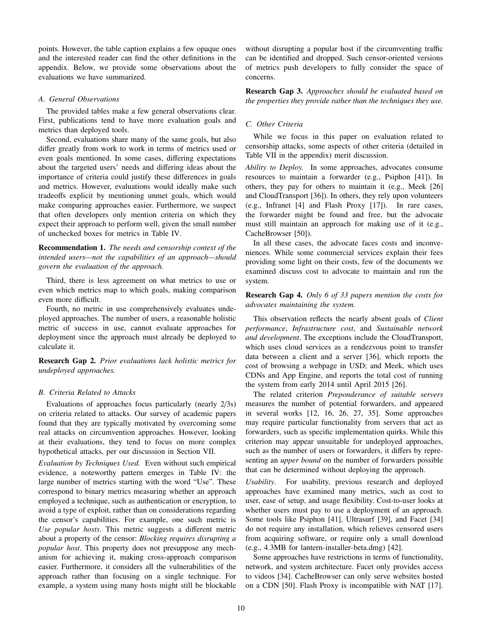points. However, the table caption explains a few opaque ones and the interested reader can find the other definitions in the appendix. Below, we provide some observations about the evaluations we have summarized.

## *A. General Observations*

The provided tables make a few general observations clear. First, publications tend to have more evaluation goals and metrics than deployed tools.

Second, evaluations share many of the same goals, but also differ greatly from work to work in terms of metrics used or even goals mentioned. In some cases, differing expectations about the targeted users' needs and differing ideas about the importance of criteria could justify these differences in goals and metrics. However, evaluations would ideally make such tradeoffs explicit by mentioning unmet goals, which would make comparing approaches easier. Furthermore, we suspect that often developers only mention criteria on which they expect their approach to perform well, given the small number of unchecked boxes for metrics in Table IV.

Recommendation 1. *The needs and censorship context of the intended users—not the capabilities of an approach—should govern the evaluation of the approach.*

Third, there is less agreement on what metrics to use or even which metrics map to which goals, making comparison even more difficult.

Fourth, no metric in use comprehensively evaluates undeployed approaches. The number of users, a reasonable holistic metric of success in use, cannot evaluate approaches for deployment since the approach must already be deployed to calculate it.

Research Gap 2. *Prior evaluations lack holistic metrics for undeployed approaches.*

## *B. Criteria Related to Attacks*

Evaluations of approaches focus particularly (nearly 2/3s) on criteria related to attacks. Our survey of academic papers found that they are typically motivated by overcoming some real attacks on circumvention approaches. However, looking at their evaluations, they tend to focus on more complex hypothetical attacks, per our discussion in Section VII.

*Evaluation by Techniques Used.* Even without such empirical evidence, a noteworthy pattern emerges in Table IV: the large number of metrics starting with the word "Use". These correspond to binary metrics measuring whether an approach employed a technique, such as authentication or encryption, to avoid a type of exploit, rather than on considerations regarding the censor's capabilities. For example, one such metric is *Use popular hosts*. This metric suggests a different metric about a property of the censor: *Blocking requires disrupting a popular host*. This property does not presuppose any mechanism for achieving it, making cross-approach comparison easier. Furthermore, it considers all the vulnerabilities of the approach rather than focusing on a single technique. For example, a system using many hosts might still be blockable without disrupting a popular host if the circumventing traffic can be identified and dropped. Such censor-oriented versions of metrics push developers to fully consider the space of concerns.

Research Gap 3. *Approaches should be evaluated based on the properties they provide rather than the techniques they use.*

## *C. Other Criteria*

While we focus in this paper on evaluation related to censorship attacks, some aspects of other criteria (detailed in Table VII in the appendix) merit discussion.

*Ability to Deploy.* In some approaches, advocates consume resources to maintain a forwarder (e.g., Psiphon [41]). In others, they pay for others to maintain it (e.g., Meek [26] and CloudTransport [36]). In others, they rely upon volunteers (e.g., Infranet [4] and Flash Proxy [17]). In rare cases, the forwarder might be found and free, but the advocate must still maintain an approach for making use of it (e.g., CacheBrowser [50]).

In all these cases, the advocate faces costs and inconveniences. While some commercial services explain their fees providing some light on their costs, few of the documents we examined discuss cost to advocate to maintain and run the system.

# Research Gap 4. *Only 6 of 33 papers mention the costs for advocates maintaining the system.*

This observation reflects the nearly absent goals of *Client performance*, *Infrastructure cost*, and *Sustainable network and development*. The exceptions include the CloudTransport, which uses cloud services as a rendezvous point to transfer data between a client and a server [36], which reports the cost of browsing a webpage in USD; and Meek, which uses CDNs and App Engine, and reports the total cost of running the system from early 2014 until April 2015 [26].

The related criterion *Preponderance of suitable servers* measures the number of potential forwarders, and appeared in several works [12, 16, 26, 27, 35]. Some approaches may require particular functionality from servers that act as forwarders, such as specific implementation quirks. While this criterion may appear unsuitable for undeployed approaches, such as the number of users or forwarders, it differs by representing an *upper bound* on the number of forwarders possible that can be determined without deploying the approach.

*Usability.* For usability, previous research and deployed approaches have examined many metrics, such as cost to user, ease of setup, and usage flexibility. Cost-to-user looks at whether users must pay to use a deployment of an approach. Some tools like Psiphon [41], Ultrasurf [39], and Facet [34] do not require any installation, which relieves censored users from acquiring software, or require only a small download (e.g., 4.3MB for lantern-installer-beta.dmg) [42].

Some approaches have restrictions in terms of functionality, network, and system architecture. Facet only provides access to videos [34]. CacheBrowser can only serve websites hosted on a CDN [50]. Flash Proxy is incompatible with NAT [17].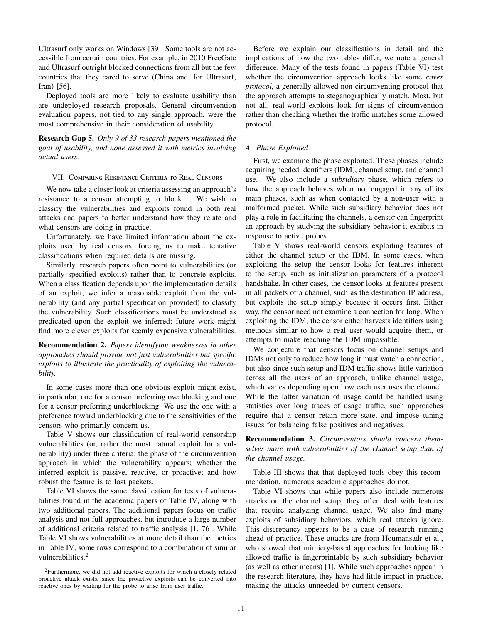Ultrasurf only works on Windows [39]. Some tools are not accessible from certain countries. For example, in 2010 FreeGate and Ultrasurf outright blocked connections from all but the few countries that they cared to serve (China and, for Ultrasurf, Iran) [56].

Deployed tools are more likely to evaluate usability than are undeployed research proposals. General circumvention evaluation papers, not tied to any single approach, were the most comprehensive in their consideration of usability.

Research Gap 5. *Only 9 of 33 research papers mentioned the goal of usability, and none assessed it with metrics involving actual users.*

## VII. Comparing Resistance Criteria to Real Censors

We now take a closer look at criteria assessing an approach's resistance to a censor attempting to block it. We wish to classify the vulnerabilities and exploits found in both real attacks and papers to better understand how they relate and what censors are doing in practice.

Unfortunately, we have limited information about the exploits used by real censors, forcing us to make tentative classifications when required details are missing.

Similarly, research papers often point to vulnerabilities (or partially specified exploits) rather than to concrete exploits. When a classification depends upon the implementation details of an exploit, we infer a reasonable exploit from the vulnerability (and any partial specification provided) to classify the vulnerability. Such classifications must be understood as predicated upon the exploit we inferred; future work might find more clever exploits for seemly expensive vulnerabilities.

Recommendation 2. *Papers identifying weaknesses in other approaches should provide not just vulnerabilities but specific exploits to illustrate the practicality of exploiting the vulnerability.*

In some cases more than one obvious exploit might exist, in particular, one for a censor preferring overblocking and one for a censor preferring underblocking. We use the one with a preference toward underblocking due to the sensitivities of the censors who primarily concern us.

Table V shows our classification of real-world censorship vulnerabilities (or, rather the most natural exploit for a vulnerability) under three criteria: the phase of the circumvention approach in which the vulnerability appears; whether the inferred exploit is passive, reactive, or proactive; and how robust the feature is to lost packets.

Table VI shows the same classification for tests of vulnerabilities found in the academic papers of Table IV, along with two additional papers. The additional papers focus on traffic analysis and not full approaches, but introduce a large number of additional criteria related to traffic analysis [1, 76]. While Table VI shows vulnerabilities at more detail than the metrics in Table IV, some rows correspond to a combination of similar vulnerabilities.<sup>2</sup>

2Furthermore, we did not add reactive exploits for which a closely related proactive attack exists, since the proactive exploits can be converted into reactive ones by waiting for the probe to arise from user traffic.

Before we explain our classifications in detail and the implications of how the two tables differ, we note a general difference. Many of the tests found in papers (Table VI) test whether the circumvention approach looks like some *cover protocol*, a generally allowed non-circumventing protocol that the approach attempts to steganographically match. Most, but not all, real-world exploits look for signs of circumvention rather than checking whether the traffic matches some allowed protocol.

## *A. Phase Exploited*

First, we examine the phase exploited. These phases include acquiring needed identifiers (IDM), channel setup, and channel use. We also include a *subsidiary* phase, which refers to how the approach behaves when not engaged in any of its main phases, such as when contacted by a non-user with a malformed packet. While such subsidiary behavior does not play a role in facilitating the channels, a censor can fingerprint an approach by studying the subsidiary behavior it exhibits in response to active probes.

Table V shows real-world censors exploiting features of either the channel setup or the IDM. In some cases, when exploiting the setup the censor looks for features inherent to the setup, such as initialization parameters of a protocol handshake. In other cases, the censor looks at features present in all packets of a channel, such as the destination IP address, but exploits the setup simply because it occurs first. Either way, the censor need not examine a connection for long. When exploiting the IDM, the censor either harvests identifiers using methods similar to how a real user would acquire them, or attempts to make reaching the IDM impossible.

We conjecture that censors focus on channel setups and IDMs not only to reduce how long it must watch a connection, but also since such setup and IDM traffic shows little variation across all the users of an approach, unlike channel usage, which varies depending upon how each user uses the channel. While the latter variation of usage could be handled using statistics over long traces of usage traffic, such approaches require that a censor retain more state, and impose tuning issues for balancing false positives and negatives.

Recommendation 3. *Circumventors should concern themselves more with vulnerabilities of the channel setup than of the channel usage.*

Table III shows that that deployed tools obey this recommendation, numerous academic approaches do not.

Table VI shows that while papers also include numerous attacks on the channel setup, they often deal with features that require analyzing channel usage. We also find many exploits of subsidiary behaviors, which real attacks ignore. This discrepancy appears to be a case of research running ahead of practice. These attacks are from Houmansadr et al., who showed that mimicry-based approaches for looking like allowed traffic is fingerprintable by such subsidiary behavior (as well as other means) [1]. While such approaches appear in the research literature, they have had little impact in practice, making the attacks unneeded by current censors.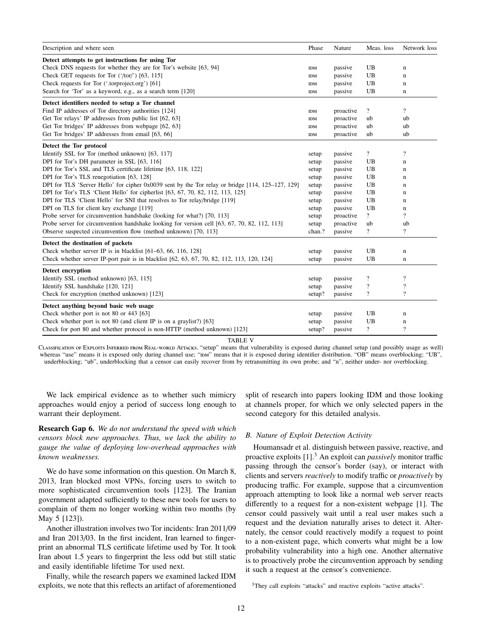| Description and where seen                                                                       | Phase      | Nature    | Meas. loss               | Network loss             |
|--------------------------------------------------------------------------------------------------|------------|-----------|--------------------------|--------------------------|
| Detect attempts to get instructions for using Tor                                                |            |           |                          |                          |
| Check DNS requests for whether they are for Tor's website [63, 94]                               | <b>IDM</b> | passive   | UB                       | $\mathbf n$              |
| Check GET requests for Tor $('/tor')$ [63, 115]                                                  | <b>IDM</b> | passive   | UB                       | $\mathbf n$              |
| Check requests for Tor ('.torproject.org') [61]                                                  | <b>IDM</b> | passive   | UB                       | $\mathbf n$              |
| Search for 'Tor' as a keyword, e.g., as a search term [120]                                      | <b>IDM</b> | passive   | UB                       | $\mathbf n$              |
| Detect identifiers needed to setup a Tor channel                                                 |            |           |                          |                          |
| Find IP addresses of Tor directory authorities [124]                                             | <b>IDM</b> | proactive | $\overline{?}$           | $\overline{\mathcal{L}}$ |
| Get Tor relays' IP addresses from public list [62, 63]                                           | <b>IDM</b> | proactive | ub                       | ub                       |
| Get Tor bridges' IP addresses from webpage [62, 63]                                              | <b>IDM</b> | proactive | ub                       | ub                       |
| Get Tor bridges' IP addresses from email [63, 66]                                                | <b>IDM</b> | proactive | ub                       | ub                       |
| Detect the Tor protocol                                                                          |            |           |                          |                          |
| Identify SSL for Tor (method unknown) [63, 117]                                                  | setup      | passive   | $\overline{\mathcal{C}}$ | $\overline{\cdot}$       |
| DPI for Tor's DH parameter in SSL [63, 116]                                                      | setup      | passive   | UB                       | $\mathbf n$              |
| DPI for Tor's SSL and TLS certificate lifetime [63, 118, 122]                                    | setup      | passive   | UB                       | $\mathbf n$              |
| DPI for Tor's TLS renegotiation [63, 128]                                                        | setup      | passive   | UB                       | $\mathbf n$              |
| DPI for TLS 'Server Hello' for cipher 0x0039 sent by the Tor relay or bridge [114, 125–127, 129] | setup      | passive   | UB                       | n                        |
| DPI for Tor's TLS 'Client Hello' for cipherlist [63, 67, 70, 82, 112, 113, 125]                  | setup      | passive   | UB                       | $\mathbf n$              |
| DPI for TLS 'Client Hello' for SNI that resolves to Tor relay/bridge [119]                       | setup      | passive   | UB                       | n                        |
| DPI on TLS for client key exchange [119]                                                         | setup      | passive   | UB                       | n                        |
| Probe server for circumvention handshake (looking for what?) [70, 113]                           | setup      | proactive | $\overline{?}$           | $\overline{?}$           |
| Probe server for circumvention handshake looking for version cell [63, 67, 70, 82, 112, 113]     | setup      | proactive | ub                       | ub                       |
| Observe suspected circumvention flow (method unknown) [70, 113]                                  | chan.?     | passive   | $\overline{?}$           | $\overline{\mathcal{L}}$ |
| Detect the destination of packets                                                                |            |           |                          |                          |
| Check whether server IP is in blacklist [61-63, 66, 116, 128]                                    | setup      | passive   | UB                       | $\mathbf n$              |
| Check whether server IP-port pair is in blacklist [62, 63, 67, 70, 82, 112, 113, 120, 124]       | setup      | passive   | UB                       | $\mathbf n$              |
| Detect encryption                                                                                |            |           |                          |                          |
| Identify SSL (method unknown) [63, 115]                                                          | setup      | passive   | $\overline{\mathcal{L}}$ | $\overline{\mathcal{L}}$ |
| Identify SSL handshake [120, 121]                                                                | setup      | passive   | $\overline{\mathcal{C}}$ | $\overline{\mathcal{L}}$ |
| Check for encryption (method unknown) [123]                                                      | setup?     | passive   | $\overline{\cdot}$       | $\overline{?}$           |
| Detect anything beyond basic web usage                                                           |            |           |                          |                          |
| Check whether port is not 80 or 443 [63]                                                         | setup      | passive   | UB                       | $\mathbf n$              |
| Check whether port is not 80 (and client IP is on a graylist?) [63]                              | setup      | passive   | UB                       | $\mathbf n$              |
| Check for port 80 and whether protocol is non-HTTP (method unknown) [123]                        | setup?     | passive   | $\overline{?}$           | $\overline{?}$           |

TABLE V

Classification of Exploits Inferred from Real-world Attacks. "setup" means that vulnerability is exposed during channel setup (and possibly usage as well) whereas "use" means it is exposed only during channel use; "mw" means that it is exposed during identifier distribution. "OB" means overblocking; "UB", underblocking; "ub", underblocking that a censor can easily recover from by retransmitting its own probe; and "n", neither under- nor overblocking.

We lack empirical evidence as to whether such mimicry approaches would enjoy a period of success long enough to warrant their deployment.

Research Gap 6. *We do not understand the speed with which censors block new approaches. Thus, we lack the ability to gauge the value of deploying low-overhead approaches with known weaknesses.*

We do have some information on this question. On March 8, 2013, Iran blocked most VPNs, forcing users to switch to more sophisticated circumvention tools [123]. The Iranian government adapted sufficiently to these new tools for users to complain of them no longer working within two months (by May 5 [123]).

Another illustration involves two Tor incidents: Iran 2011/09 and Iran 2013/03. In the first incident, Iran learned to fingerprint an abnormal TLS certificate lifetime used by Tor. It took Iran about 1.5 years to fingerprint the less odd but still static and easily identifiable lifetime Tor used next.

Finally, while the research papers we examined lacked IDM exploits, we note that this reflects an artifact of aforementioned split of research into papers looking IDM and those looking at channels proper, for which we only selected papers in the second category for this detailed analysis.

## *B. Nature of Exploit Detection Activity*

Houmansadr et al. distinguish between passive, reactive, and proactive exploits [1].<sup>3</sup> An exploit can *passively* monitor traffic passing through the censor's border (say), or interact with clients and servers *reactively* to modify traffic or *proactively* by producing traffic. For example, suppose that a circumvention approach attempting to look like a normal web server reacts differently to a request for a non-existent webpage  $[1]$ . The censor could passively wait until a real user makes such a request and the deviation naturally arises to detect it. Alternately, the censor could reactively modify a request to point to a non-existent page, which converts what might be a low probability vulnerability into a high one. Another alternative is to proactively probe the circumvention approach by sending it such a request at the censor's convenience.

<sup>3</sup>They call exploits "attacks" and reactive exploits "active attacks".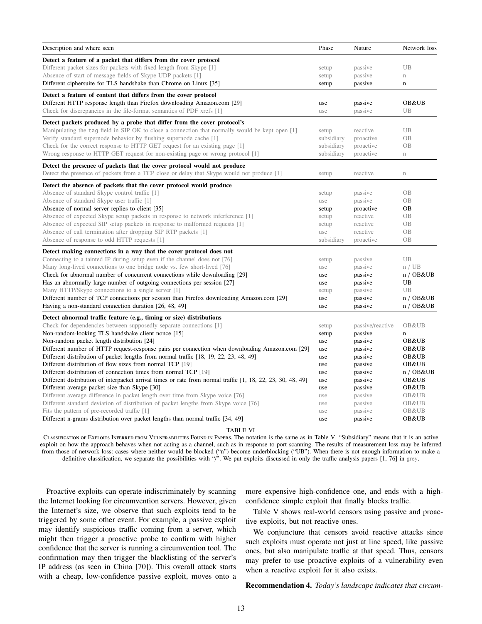| Description and where seen                                                                                  | Phase      | Nature           | Network loss |
|-------------------------------------------------------------------------------------------------------------|------------|------------------|--------------|
| Detect a feature of a packet that differs from the cover protocol                                           |            |                  |              |
| Different packet sizes for packets with fixed length from Skype [1]                                         | setup      | passive          | UB           |
| Absence of start-of-message fields of Skype UDP packets [1]                                                 | setup      | passive          | $\mathbf n$  |
| Different ciphersuite for TLS handshake than Chrome on Linux [35]                                           | setup      | passive          | $\mathbf n$  |
| Detect a feature of content that differs from the cover protocol                                            |            |                  |              |
| Different HTTP response length than Firefox downloading Amazon.com [29]                                     | use        | passive          | OB&UB        |
| Check for discrepancies in the file-format semantics of PDF xrefs [1]                                       | use        | passive          | UB           |
| Detect packets produced by a probe that differ from the cover protocol's                                    |            |                  |              |
| Manipulating the tag field in SIP OK to close a connection that normally would be kept open [1]             | setup      | reactive         | UB           |
| Verify standard supernode behavior by flushing supernode cache [1]                                          | subsidiary | proactive        | <b>OB</b>    |
| Check for the correct response to HTTP GET request for an existing page [1]                                 | subsidiary | proactive        | <b>OB</b>    |
| Wrong response to HTTP GET request for non-existing page or wrong protocol [1]                              | subsidiary | proactive        | $\mathbf n$  |
| Detect the presence of packets that the cover protocol would not produce                                    |            |                  |              |
| Detect the presence of packets from a TCP close or delay that Skype would not produce [1]                   | setup      | reactive         | $\,$ n       |
| Detect the absence of packets that the cover protocol would produce                                         |            |                  |              |
| Absence of standard Skype control traffic [1]                                                               | setup      | passive          | OB           |
| Absence of standard Skype user traffic [1]                                                                  | use        | passive          | <b>OB</b>    |
| Absence of normal server replies to client [35]                                                             | setup      | proactive        | <b>OB</b>    |
| Absence of expected Skype setup packets in response to network inferference [1]                             | setup      | reactive         | <b>OB</b>    |
| Absence of expected SIP setup packets in response to malformed requests [1]                                 | setup      | reactive         | <b>OB</b>    |
| Absence of call termination after dropping SIP RTP packets [1]                                              | use        | reactive         | <b>OB</b>    |
| Absence of response to odd HTTP requests [1]                                                                | subsidiary | proactive        | <b>OB</b>    |
| Detect making connections in a way that the cover protocol does not                                         |            |                  |              |
| Connecting to a tainted IP during setup even if the channel does not [76]                                   | setup      | passive          | UB           |
| Many long-lived connections to one bridge node vs. few short-lived [76]                                     | use        | passive          | n / UB       |
| Check for abnormal number of concurrent connections while downloading [29]                                  | use        | passive          | $n / OB\&UB$ |
| Has an abnormally large number of outgoing connections per session [27]                                     | use        | passive          | UB           |
| Many HTTP/Skype connections to a single server [1]                                                          | setup      | passive          | UB           |
| Different number of TCP connections per session than Firefox downloading Amazon.com [29]                    | use        | passive          | $n / OB\&UB$ |
| Having a non-standard connection duration [26, 48, 49]                                                      | use        | passive          | $n / OB\&UB$ |
| Detect abnormal traffic feature (e.g., timing or size) distributions                                        |            |                  |              |
| Check for dependencies between supposedly separate connections [1]                                          | setup      | passive/reactive | OB&UB        |
| Non-random-looking TLS handshake client nonce [15]                                                          | setup      | passive          | $\mathbf n$  |
| Non-random packet length distribution [24]                                                                  | use        | passive          | OB&UB        |
| Different number of HTTP request-response pairs per connection when downloading Amazon.com [29]             | use        | passive          | OB&UB        |
| Different distribution of packet lengths from normal traffic [18, 19, 22, 23, 48, 49]                       | use        | passive          | OB&UB        |
| Different distribution of flow sizes from normal TCP [19]                                                   | use        | passive          | OB&UB        |
| Different distribution of connection times from normal TCP [19]                                             | use        | passive          | $n / OB\&UB$ |
| Different distribution of interpacket arrival times or rate from normal traffic [1, 18, 22, 23, 30, 48, 49] | use        | passive          | OB&UB        |
| Different average packet size than Skype [30]                                                               | use        | passive          | OB&UB        |
| Different average difference in packet length over time from Skype voice [76]                               | use        | passive          | OB&UB        |
| Different standard deviation of distribution of packet lengths from Skype voice [76]                        | use        | passive          | OB&UB        |
| Fits the pattern of pre-recorded traffic [1]                                                                | use        | passive          | OB&UB        |
| Different n-grams distribution over packet lengths than normal traffic [34, 49]                             | use        | passive          | OB&UB        |
| $m \cdot m \cdot m \cdot m$                                                                                 |            |                  |              |

TABLE VI

Classification of Exploits Inferred from Vulnerabilities Found in Papers. The notation is the same as in Table V. "Subsidiary" means that it is an active exploit on how the approach behaves when not acting as a channel, such as in response to port scanning. The results of measurement loss may be inferred from those of network loss: cases where neither would be blocked ("n") become underblocking ("UB"). When there is not enough information to make a definitive classification, we separate the possibilities with "/". We put exploits discussed in only the traffic analysis papers [1, 76] in grey.

Proactive exploits can operate indiscriminately by scanning the Internet looking for circumvention servers. However, given the Internet's size, we observe that such exploits tend to be triggered by some other event. For example, a passive exploit may identify suspicious traffic coming from a server, which might then trigger a proactive probe to confirm with higher confidence that the server is running a circumvention tool. The confirmation may then trigger the blacklisting of the server's IP address (as seen in China [70]). This overall attack starts with a cheap, low-confidence passive exploit, moves onto a more expensive high-confidence one, and ends with a highconfidence simple exploit that finally blocks traffic.

Table V shows real-world censors using passive and proactive exploits, but not reactive ones.

We conjuncture that censors avoid reactive attacks since such exploits must operate not just at line speed, like passive ones, but also manipulate traffic at that speed. Thus, censors may prefer to use proactive exploits of a vulnerability even when a reactive exploit for it also exists.

Recommendation 4. *Today's landscape indicates that circum-*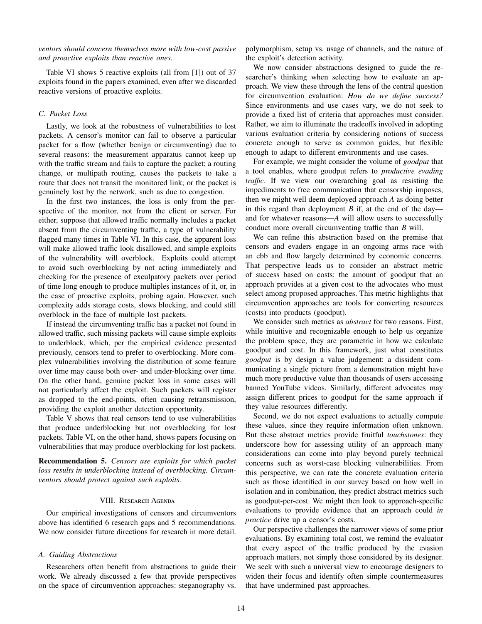*ventors should concern themselves more with low-cost passive and proactive exploits than reactive ones.*

Table VI shows 5 reactive exploits (all from [1]) out of 37 exploits found in the papers examined, even after we discarded reactive versions of proactive exploits.

## *C. Packet Loss*

Lastly, we look at the robustness of vulnerabilities to lost packets. A censor's monitor can fail to observe a particular packet for a flow (whether benign or circumventing) due to several reasons: the measurement apparatus cannot keep up with the traffic stream and fails to capture the packet; a routing change, or multipath routing, causes the packets to take a route that does not transit the monitored link; or the packet is genuinely lost by the network, such as due to congestion.

In the first two instances, the loss is only from the perspective of the monitor, not from the client or server. For either, suppose that allowed traffic normally includes a packet absent from the circumventing traffic, a type of vulnerability flagged many times in Table VI. In this case, the apparent loss will make allowed traffic look disallowed, and simple exploits of the vulnerability will overblock. Exploits could attempt to avoid such overblocking by not acting immediately and checking for the presence of exculpatory packets over period of time long enough to produce multiples instances of it, or, in the case of proactive exploits, probing again. However, such complexity adds storage costs, slows blocking, and could still overblock in the face of multiple lost packets.

If instead the circumventing traffic has a packet not found in allowed traffic, such missing packets will cause simple exploits to underblock, which, per the empirical evidence presented previously, censors tend to prefer to overblocking. More complex vulnerabilities involving the distribution of some feature over time may cause both over- and under-blocking over time. On the other hand, genuine packet loss in some cases will not particularly affect the exploit. Such packets will register as dropped to the end-points, often causing retransmission, providing the exploit another detection opportunity.

Table V shows that real censors tend to use vulnerabilities that produce underblocking but not overblocking for lost packets. Table VI, on the other hand, shows papers focusing on vulnerabilities that may produce overblocking for lost packets.

Recommendation 5. *Censors use exploits for which packet loss results in underblocking instead of overblocking. Circumventors should protect against such exploits.*

## VIII. RESEARCH AGENDA

Our empirical investigations of censors and circumventors above has identified 6 research gaps and 5 recommendations. We now consider future directions for research in more detail.

## *A. Guiding Abstractions*

Researchers often benefit from abstractions to guide their work. We already discussed a few that provide perspectives on the space of circumvention approaches: steganography vs. polymorphism, setup vs. usage of channels, and the nature of the exploit's detection activity.

We now consider abstractions designed to guide the researcher's thinking when selecting how to evaluate an approach. We view these through the lens of the central question for circumvention evaluation: *How do we define success?* Since environments and use cases vary, we do not seek to provide a fixed list of criteria that approaches must consider. Rather, we aim to illuminate the tradeoffs involved in adopting various evaluation criteria by considering notions of success concrete enough to serve as common guides, but flexible enough to adapt to different environments and use cases.

For example, we might consider the volume of *goodput* that a tool enables, where goodput refers to *productive evading traffic*. If we view our overarching goal as resisting the impediments to free communication that censorship imposes, then we might well deem deployed approach *A* as doing better in this regard than deployment *B* if, at the end of the day and for whatever reasons—*A* will allow users to successfully conduct more overall circumventing traffic than *B* will.

We can refine this abstraction based on the premise that censors and evaders engage in an ongoing arms race with an ebb and flow largely determined by economic concerns. That perspective leads us to consider an abstract metric of success based on costs: the amount of goodput that an approach provides at a given cost to the advocates who must select among proposed approaches. This metric highlights that circumvention approaches are tools for converting resources (costs) into products (goodput).

We consider such metrics as *abstract* for two reasons. First, while intuitive and recognizable enough to help us organize the problem space, they are parametric in how we calculate goodput and cost. In this framework, just what constitutes *goodput* is by design a value judgement: a dissident communicating a single picture from a demonstration might have much more productive value than thousands of users accessing banned YouTube videos. Similarly, different advocates may assign different prices to goodput for the same approach if they value resources differently.

Second, we do not expect evaluations to actually compute these values, since they require information often unknown. But these abstract metrics provide fruitful *touchstones*: they underscore how for assessing utility of an approach many considerations can come into play beyond purely technical concerns such as worst-case blocking vulnerabilities. From this perspective, we can rate the concrete evaluation criteria such as those identified in our survey based on how well in isolation and in combination, they predict abstract metrics such as goodput-per-cost. We might then look to approach-specific evaluations to provide evidence that an approach could *in practice* drive up a censor's costs.

Our perspective challenges the narrower views of some prior evaluations. By examining total cost, we remind the evaluator that every aspect of the traffic produced by the evasion approach matters, not simply those considered by its designer. We seek with such a universal view to encourage designers to widen their focus and identify often simple countermeasures that have undermined past approaches.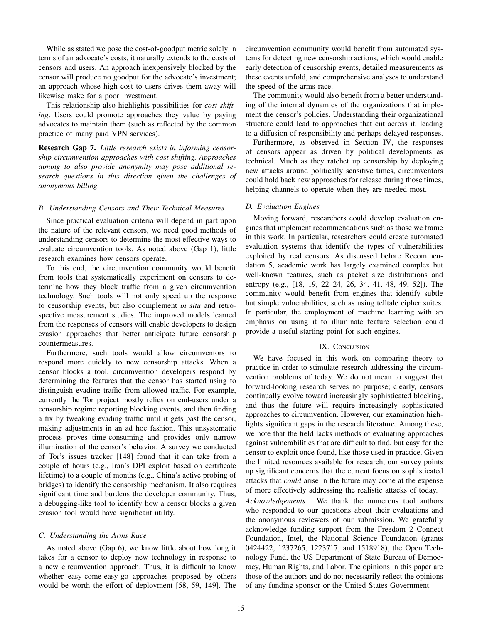While as stated we pose the cost-of-goodput metric solely in terms of an advocate's costs, it naturally extends to the costs of censors and users. An approach inexpensively blocked by the censor will produce no goodput for the advocate's investment; an approach whose high cost to users drives them away will likewise make for a poor investment.

This relationship also highlights possibilities for *cost shifting*. Users could promote approaches they value by paying advocates to maintain them (such as reflected by the common practice of many paid VPN services).

Research Gap 7. *Little research exists in informing censorship circumvention approaches with cost shifting. Approaches aiming to also provide anonymity may pose additional research questions in this direction given the challenges of anonymous billing.*

# *B. Understanding Censors and Their Technical Measures*

Since practical evaluation criteria will depend in part upon the nature of the relevant censors, we need good methods of understanding censors to determine the most effective ways to evaluate circumvention tools. As noted above (Gap 1), little research examines how censors operate.

To this end, the circumvention community would benefit from tools that systematically experiment on censors to determine how they block traffic from a given circumvention technology. Such tools will not only speed up the response to censorship events, but also complement *in situ* and retrospective measurement studies. The improved models learned from the responses of censors will enable developers to design evasion approaches that better anticipate future censorship countermeasures.

Furthermore, such tools would allow circumventors to respond more quickly to new censorship attacks. When a censor blocks a tool, circumvention developers respond by determining the features that the censor has started using to distinguish evading traffic from allowed traffic. For example, currently the Tor project mostly relies on end-users under a censorship regime reporting blocking events, and then finding a fix by tweaking evading traffic until it gets past the censor, making adjustments in an ad hoc fashion. This unsystematic process proves time-consuming and provides only narrow illumination of the censor's behavior. A survey we conducted of Tor's issues tracker [148] found that it can take from a couple of hours (e.g., Iran's DPI exploit based on certificate lifetime) to a couple of months (e.g., China's active probing of bridges) to identify the censorship mechanism. It also requires significant time and burdens the developer community. Thus, a debugging-like tool to identify how a censor blocks a given evasion tool would have significant utility.

#### *C. Understanding the Arms Race*

As noted above (Gap 6), we know little about how long it takes for a censor to deploy new technology in response to a new circumvention approach. Thus, it is difficult to know whether easy-come-easy-go approaches proposed by others would be worth the effort of deployment [58, 59, 149]. The circumvention community would benefit from automated systems for detecting new censorship actions, which would enable early detection of censorship events, detailed measurements as these events unfold, and comprehensive analyses to understand the speed of the arms race.

The community would also benefit from a better understanding of the internal dynamics of the organizations that implement the censor's policies. Understanding their organizational structure could lead to approaches that cut across it, leading to a diffusion of responsibility and perhaps delayed responses.

Furthermore, as observed in Section IV, the responses of censors appear as driven by political developments as technical. Much as they ratchet up censorship by deploying new attacks around politically sensitive times, circumventors could hold back new approaches for release during those times, helping channels to operate when they are needed most.

## *D. Evaluation Engines*

Moving forward, researchers could develop evaluation engines that implement recommendations such as those we frame in this work. In particular, researchers could create automated evaluation systems that identify the types of vulnerabilities exploited by real censors. As discussed before Recommendation 5, academic work has largely examined complex but well-known features, such as packet size distributions and entropy (e.g., [18, 19, 22–24, 26, 34, 41, 48, 49, 52]). The community would benefit from engines that identify subtle but simple vulnerabilities, such as using telltale cipher suites. In particular, the employment of machine learning with an emphasis on using it to illuminate feature selection could provide a useful starting point for such engines.

## IX. CONCLUSION

We have focused in this work on comparing theory to practice in order to stimulate research addressing the circumvention problems of today. We do not mean to suggest that forward-looking research serves no purpose; clearly, censors continually evolve toward increasingly sophisticated blocking, and thus the future will require increasingly sophisticated approaches to circumvention. However, our examination highlights significant gaps in the research literature. Among these, we note that the field lacks methods of evaluating approaches against vulnerabilities that are difficult to find, but easy for the censor to exploit once found, like those used in practice. Given the limited resources available for research, our survey points up significant concerns that the current focus on sophisticated attacks that *could* arise in the future may come at the expense of more effectively addressing the realistic attacks of today.

*Acknowledgements.* We thank the numerous tool authors who responded to our questions about their evaluations and the anonymous reviewers of our submission. We gratefully acknowledge funding support from the Freedom 2 Connect Foundation, Intel, the National Science Foundation (grants 0424422, 1237265, 1223717, and 1518918), the Open Technology Fund, the US Department of State Bureau of Democracy, Human Rights, and Labor. The opinions in this paper are those of the authors and do not necessarily reflect the opinions of any funding sponsor or the United States Government.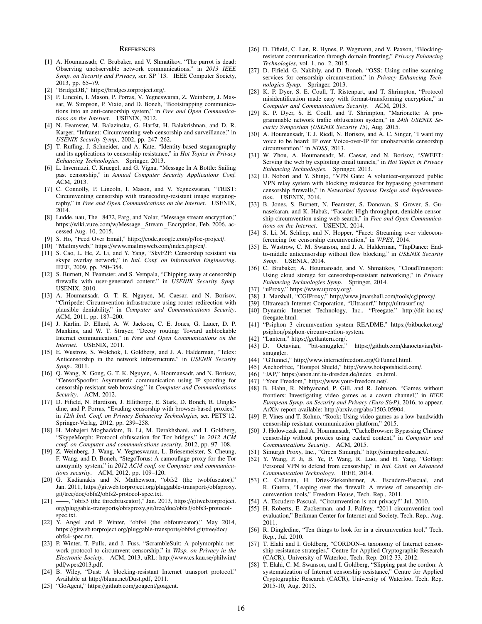#### **REFERENCES**

- [1] A. Houmansadr, C. Brubaker, and V. Shmatikov, "The parrot is dead: Observing unobservable network communications," in *2013 IEEE Symp. on Security and Privacy*, ser. SP '13. IEEE Computer Society, 2013, pp. 65–79.
- [2] "BridgeDB," https://bridges.torproject.org/.
- [3] P. Lincoln, I. Mason, P. Porras, V. Yegneswaran, Z. Weinberg, J. Massar, W. Simpson, P. Vixie, and D. Boneh, "Bootstrapping communications into an anti-censorship system," in *Free and Open Communications on the Internet*. USENIX, 2012.
- [4] N. Feamster, M. Balazinska, G. Harfst, H. Balakrishnan, and D. R. Karger, "Infranet: Circumventing web censorship and surveillance," in *USENIX Security Symp.*, 2002, pp. 247–262.
- [5] T. Ruffing, J. Schneider, and A. Kate, "Identity-based steganography and its applications to censorship resistance," in *Hot Topics in Privacy Enhancing Technologies*. Springer, 2013.
- [6] L. Invernizzi, C. Kruegel, and G. Vigna, "Message In A Bottle: Sailing past censorship," in *Annual Computer Security Applications Conf.* ACM, 2013.
- [7] C. Connolly, P. Lincoln, I. Mason, and V. Yegneswaran, "TRIST: Circumventing censorship with transcoding-resistant image steganography," in *Free and Open Communications on the Internet*. USENIX, 2014.
- [8] Ludde, uau, The 8472, Parg, and Nolar, "Message stream encryption," https://wiki.vuze.com/w/Message\_Stream\_Encryption, Feb. 2006, accessed Aug. 10, 2015.
- [9] S. Ho, "Feed Over Email," https://code.google.com/p/foe-project/.
- [10] "Mailmyweb," https://www.mailmyweb.com/index.php/en/.
- [11] S. Cao, L. He, Z. Li, and Y. Yang, "SkyF2F: Censorship resistant via skype overlay network," in *Intl. Conf. on Information Engineering*. IEEE, 2009, pp. 350–354.
- [12] S. Burnett, N. Feamster, and S. Vempala, "Chipping away at censorship firewalls with user-generated content," in *USENIX Security Symp.* USENIX, 2010.
- [13] A. Houmansadr, G. T. K. Nguyen, M. Caesar, and N. Borisov, "Cirripede: Circumvention infrastructure using router redirection with plausible deniability," in *Computer and Communications Security*. ACM, 2011, pp. 187–200.
- [14] J. Karlin, D. Ellard, A. W. Jackson, C. E. Jones, G. Lauer, D. P. Mankins, and W. T. Strayer, "Decoy routing: Toward unblockable Internet communication," in *Free and Open Communications on the Internet*. USENIX, 2011.
- [15] E. Wustrow, S. Wolchok, I. Goldberg, and J. A. Halderman, "Telex: Anticensorship in the network infrastructure." in *USENIX Security Symp.*, 2011.
- [16] Q. Wang, X. Gong, G. T. K. Nguyen, A. Houmansadr, and N. Borisov, "CensorSpoofer: Asymmetric communication using IP spoofing for censorship-resistant web browsing," in *Computer and Communications Security*. ACM, 2012.
- [17] D. Fifield, N. Hardison, J. Ellithorpe, E. Stark, D. Boneh, R. Dingledine, and P. Porras, "Evading censorship with browser-based proxies," in *12th Intl. Conf. on Privacy Enhancing Technologies*, ser. PETS'12. Springer-Verlag, 2012, pp. 239–258.
- [18] H. Mohajeri Moghaddam, B. Li, M. Derakhshani, and I. Goldberg, "SkypeMorph: Protocol obfuscation for Tor bridges," in *2012 ACM conf. on Computer and communications security*, 2012, pp. 97–108.
- [19] Z. Weinberg, J. Wang, V. Yegneswaran, L. Briesemeister, S. Cheung, F. Wang, and D. Boneh, "StegoTorus: A camouflage proxy for the Tor anonymity system," in *2012 ACM conf. on Computer and communications security*. ACM, 2012, pp. 109–120.
- [20] G. Kadianakis and N. Mathewson, "obfs2 (the twobfuscator)," Jan. 2011, https://gitweb.torproject.org/pluggable-transports/obfsproxy. git/tree/doc/obfs2/obfs2-protocol-spec.txt.
- [21] ——, "obfs3 (the threebfuscator)," Jan. 2013, https://gitweb.torproject. org/pluggable-transports/obfsproxy.git/tree/doc/obfs3/obfs3-protocolspec.txt.
- [22]  $\hat{Y}$ . Angel and P. Winter, "obfs4 (the obfourscator)," May 2014, https://gitweb.torproject.org/pluggable-transports/obfs4.git/tree/doc/ obfs4-spec.txt.
- [23] P. Winter, T. Pulls, and J. Fuss, "ScrambleSuit: A polymorphic network protocol to circumvent censorship," in *Wksp. on Privacy in the Electronic Society*. ACM, 2013, uRL: http://www.cs.kau.se/philwint/ pdf/wpes2013.pdf.
- [24] B. Wiley, "Dust: A blocking-resistant Internet transport protocol," Available at http://blanu.net/Dust.pdf, 2011.
- [25] "GoAgent," https://github.com/goagent/goagent.
- [26] D. Fifield, C. Lan, R. Hynes, P. Wegmann, and V. Paxson, "Blockingresistant communication through domain fronting," *Privacy Enhancing Technologies*, vol. 1, no. 2, 2015.
- [27] D. Fifield, G. Nakibly, and D. Boneh, "OSS: Using online scanning services for censorship circumvention," in *Privacy Enhancing Technologies Symp.* Springer, 2013.
- [28] K. P. Dyer, S. E. Coull, T. Ristenpart, and T. Shrimpton, "Protocol misidentification made easy with format-transforming encryption," in *Computer and Communications Security*. ACM, 2013.
- [29] K. P. Dyer, S. E. Coull, and T. Shrimpton, "Marionette: A programmable network traffic obfuscation system," in 24th USENIX Se*curity Symposium (USENIX Security 15)*, Aug. 2015.
- [30] A. Houmansadr, T. J. Riedl, N. Borisov, and A. C. Singer, "I want my voice to be heard: IP over Voice-over-IP for unobservable censorship circumvention." in *NDSS*, 2013.
- [31] W. Zhou, A. Houmansadr, M. Caesar, and N. Borisov, "SWEET: Serving the web by exploiting email tunnels," in *Hot Topics in Privacy Enhancing Technologies*. Springer, 2013.
- [32] D. Nobori and Y. Shinjo, "VPN Gate: A volunteer-organized public VPN relay system with blocking resistance for bypassing government censorship firewalls," in *Networked Systems Design and Implementation*. USENIX, 2014.
- [33] B. Jones, S. Burnett, N. Feamster, S. Donovan, S. Grover, S. Gunasekaran, and K. Habak, "Facade: High-throughput, deniable censorship circumvention using web search," in *Free and Open Communications on the Internet*. USENIX, 2014.
- [34] S. Li, M. Schliep, and N. Hopper, "Facet: Streaming over videoconferencing for censorship circumvention," in *WPES*, 2014.
- [35] E. Wustrow, C. M. Swanson, and J. A. Halderman, "TapDance: Endto-middle anticensorship without flow blocking," in *USENIX Security Symp.* USENIX, 2014.
- [36] C. Brubaker, A. Houmansadr, and V. Shmatikov, "CloudTransport: Using cloud storage for censorship-resistant networking," in *Privacy Enhancing Technologies Symp.* Springer, 2014.
- [37] "uProxy," https://www.uproxy.org/.
- [38] J. Marshall, "CGIProxy," http://www.jmarshall.com/tools/cgiproxy/.
- [39] Ultrareach Internet Corporation, "Ultrasurf," http://ultrasurf.us/.
- [40] Dynamic Internet Technology, Inc., "Freegate," http://dit-inc.us/ freegate.html.
- [41] "Psiphon 3 circumvention system README," https://bitbucket.org/ psiphon/psiphon-circumvention-system.
- [42] "Lantern," https://getlantern.org/.
- [43] D. Octavian, "bit-smuggler," https://github.com/danoctavian/bitsmuggler.
- [44] "GTunnel," http://www.internetfreedom.org/GTunnel.html.
- [45] AnchorFree, "Hotspot Shield," http://www.hotspotshield.com/.
- [46] "JAP," https://anon.inf.tu-dresden.de/index en.html.
- [47] "Your Freedom," https://www.your-freedom.net/.
- [48] B. Hahn, R. Nithyanand, P. Gill, and R. Johnson, "Games without frontiers: Investigating video games as a covert channel," in *IEEE European Symp. on Security and Privacy (Euro S*&*P)*, 2016, to appear. ArXiv report available: http://arxiv.org/abs/1503.05904.
- [49] P. Vines and T. Kohno, "Rook: Using video games as a low-bandwidth censorship resistant communication platform," 2015.
- [50] J. Holowczak and A. Houmansadr, "CacheBrowser: Bypassing Chinese censorship without proxies using cached content," in *Computer and Communications Security*. ACM, 2015.
- [51] Simurgh Proxy, Inc., "Green Simurgh," http://simurghesabz.net/.
- [52] Y. Wang, P. Ji, B. Ye, P. Wang, R. Luo, and H. Yang, "GoHop: Personal VPN to defend from censorship," in *Intl. Conf. on Advanced Communication Technology*. IEEE, 2014.
- [53] C. Callanan, H. Dries-Ziekenheiner, A. Escudero-Pascual, and R. Guerra, "Leaping over the firewall: A review of censorship circumvention tools," Freedom House, Tech. Rep., 2011.
- [54] A. Escudero-Pascual, "Circumvention is not privacy!" Jul. 2010.
- [55] H. Roberts, E. Zuckerman, and J. Palfrey, "2011 circumvention tool evaluation," Berkman Center for Internet and Society, Tech. Rep., Aug. 2011.
- [56] R. Dingledine, "Ten things to look for in a circumvention tool," Tech. Rep., Jul. 2010.
- [57] T. Elahi and I. Goldberg, "CORDON–a taxonomy of Internet censorship resistance strategies," Centre for Applied Cryptographic Research (CACR), University of Waterloo, Tech. Rep. 2012-33, 2012.
- [58] T. Elahi, C. M. Swanson, and I. Goldberg, "Slipping past the cordon: A systematization of Internet censorship resistance," Centre for Applied Cryptographic Research (CACR), University of Waterloo, Tech. Rep. 2015-10, Aug. 2015.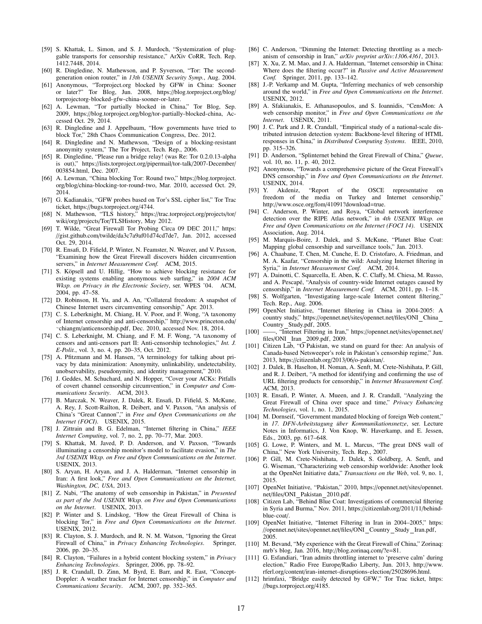- [59] S. Khattak, L. Simon, and S. J. Murdoch, "Systemization of pluggable transports for censorship resistance," ArXiv CoRR, Tech. Rep. 1412.7448, 2014.
- [60] R. Dingledine, N. Mathewson, and P. Syverson, "Tor: The secondgeneration onion router," in *13th USENIX Security Symp.*, Aug. 2004.
- [61] Anonymous, "Torproject.org blocked by GFW in China: Sooner or later?" Tor Blog, Jun. 2008, https://blog.torproject.org/blog/ torprojectorg-blocked-gfw-china-sooner-or-later.
- [62] A. Lewman, "Tor partially blocked in China," Tor Blog, Sep. 2009, https://blog.torproject.org/blog/tor-partially-blocked-china, Accessed Oct. 29, 2014.
- [63] R. Dingledine and J. Appelbaum, "How governments have tried to block Tor," 28th Chaos Communication Congress, Dec. 2012.
- [64] R. Dingledine and N. Mathewson, "Design of a blocking-resistant anonymity system," The Tor Project, Tech. Rep., 2006.
- [65] R. Dingledine, "Please run a bridge relay! (was Re: Tor 0.2.0.13-alpha is out)," https://lists.torproject.org/pipermail/tor-talk/2007-December/ 003854.html, Dec. 2007.
- [66] A. Lewman, "China blocking Tor: Round two," https://blog.torproject. org/blog/china-blocking-tor-round-two, Mar. 2010, accessed Oct. 29, 2014.
- [67] G. Kadianakis, "GFW probes based on Tor's SSL cipher list," Tor Trac ticket, https://bugs.torproject.org/4744.
- [68] N. Mathewson, "TLS history," https://trac.torproject.org/projects/tor/ wiki/org/projects/Tor/TLSHistory, May 2012.
- [69] T. Wilde, "Great Firewall Tor Probing Circa 09 DEC 2011," https: //gist.github.com/twilde/da3c7a9af01d74cd7de7, Jan. 2012, accessed Oct. 29, 2014.
- [70] R. Ensafi, D. Fifield, P. Winter, N. Feamster, N. Weaver, and V. Paxson, "Examining how the Great Firewall discovers hidden circumvention servers," in *Internet Measurement Conf.* ACM, 2015.
- [71] S. Köpsell and U. Hillig, "How to achieve blocking resistance for existing systems enabling anonymous web surfing," in *2004 ACM Wksp. on Privacy in the Electronic Society*, ser. WPES '04. ACM, 2004, pp. 47–58.
- [72] D. Robinson, H. Yu, and A. An, "Collateral freedom: A snapshot of Chinese Internet users circumventing censorship," Apr. 2013.
- [73] C. S. Leberknight, M. Chiang, H. V. Poor, and F. Wong, "A taxonomy of Internet censorship and anti-censorship," http://www.princeton.edu/ ⇠chiangm/anticensorship.pdf, Dec. 2010, accessed Nov. 18, 2014.
- [74] C. S. Leberknight, M. Chiang, and F. M. F. Wong, "A taxonomy of censors and anti-censors part II: Anti-censorship technologies," *Int. J. E-Polit.*, vol. 3, no. 4, pp. 20–35, Oct. 2012.
- [75] A. Pfitzmann and M. Hansen, "A terminology for talking about privacy by data minimization: Anonymity, unlinkability, undetectability, unobservability, pseudonymity, and identity management," 2010.
- [76] J. Geddes, M. Schuchard, and N. Hopper, "Cover your ACKs: Pitfalls of covert channel censorship circumvention," in *Computer and Communications Security*. ACM, 2013.
- [77] B. Marczak, N. Weaver, J. Dalek, R. Ensafi, D. Fifield, S. McKune, A. Rey, J. Scott-Railton, R. Deibert, and V. Paxson, "An analysis of China's "Great Cannon"," in *Free and Open Communications on the Internet (FOCI)*. USENIX, 2015.
- [78] J. Zittrain and B. G. Edelman, "Internet filtering in China," *IEEE Internet Computing*, vol. 7, no. 2, pp. 70–77, Mar. 2003.
- [79] S. Khattak, M. Javed, P. D. Anderson, and V. Paxson, "Towards illuminating a censorship monitor's model to facilitate evasion," in *The 3rd USENIX Wksp. on Free and Open Communications on the Internet*. USENIX, 2013.
- [80] S. Aryan, H. Aryan, and J. A. Halderman, "Internet censorship in Iran: A first look," *Free and Open Communications on the Internet, Washington, DC, USA*, 2013.
- [81] Z. Nabi, "The anatomy of web censorship in Pakistan," in *Presented as part of the 3rd USENIX Wksp. on Free and Open Communications on the Internet*. USENIX, 2013.
- [82] P. Winter and S. Lindskog, "How the Great Firewall of China is blocking Tor," in *Free and Open Communications on the Internet*. USENIX, 2012.
- [83] R. Clayton, S. J. Murdoch, and R. N. M. Watson, "Ignoring the Great Firewall of China," in *Privacy Enhancing Technologies*. Springer, 2006, pp. 20–35.
- [84] R. Clayton, "Failures in a hybrid content blocking system," in *Privacy Enhancing Technologies*. Springer, 2006, pp. 78–92.
- [85] J. R. Crandall, D. Zinn, M. Byrd, E. Barr, and R. East, "Concept-Doppler: A weather tracker for Internet censorship," in *Computer and Communications Security*. ACM, 2007, pp. 352–365.
- [86] C. Anderson, "Dimming the Internet: Detecting throttling as a mechanism of censorship in Iran," *arXiv preprint arXiv:1306.4361*, 2013.
- [87] X. Xu, Z. M. Mao, and J. A. Halderman, "Internet censorship in China: Where does the filtering occur?" in *Passive and Active Measurement Conf.* Springer, 2011, pp. 133–142.
- [88] J.-P. Verkamp and M. Gupta, "Inferring mechanics of web censorship around the world," in *Free and Open Communications on the Internet*. USENIX, 2012.
- [89] A. Sfakianakis, E. Athanasopoulos, and S. Ioannidis, "CensMon: A web censorship monitor," in *Free and Open Communications on the Internet*. USENIX, 2011.
- [90] J. C. Park and J. R. Crandall, "Empirical study of a national-scale distributed intrusion detection system: Backbone-level filtering of HTML responses in China," in *Distributed Computing Systems*. IEEE, 2010, pp. 315–326.
- [91] D. Anderson, "Splinternet behind the Great Firewall of China," *Queue*, vol. 10, no. 11, p. 40, 2012.
- [92] Anonymous, "Towards a comprehensive picture of the Great Firewall's DNS censorship," in *Free and Open Communications on the Internet*. USENIX, 2014.
- [93] Y. Akdeniz, "Report of the OSCE representative on freedom of the media on Turkey and Internet censorship," http://www.osce.org/fom/41091?download=true.
- [94] C. Anderson, P. Winter, and Roya, "Global network interference detection over the RIPE Atlas network," in *4th USENIX Wksp. on Free and Open Communications on the Internet (FOCI 14)*. USENIX Association, Aug. 2014.
- [95] M. Marquis-Boire, J. Dalek, and S. McKune, "Planet Blue Coat: Mapping global censorship and surveillance tools," Jan. 2013.
- [96] A. Chaabane, T. Chen, M. Cunche, E. D. Cristofaro, A. Friedman, and M. A. Kaafar, "Censorship in the wild: Analyzing Internet filtering in Syria," in *Internet Measurement Conf.* ACM, 2014.
- [97] A. Dainotti, C. Squarcella, E. Aben, K. C. Claffy, M. Chiesa, M. Russo, and A. Pescapé, "Analysis of country-wide Internet outages caused by censorship," in *Internet Measurement Conf.* ACM, 2011, pp. 1–18.
- [98] S. Wolfgarten, "Investigating large-scale Internet content filtering," Tech. Rep., Aug. 2006.
- [99] OpenNet Initiative, "Internet filtering in China in 2004-2005: A country study," https://opennet.net/sites/opennet.net/files/ONI China Country Study.pdf, 2005.
- [100] ——, "Internet Filtering in Iran," https://opennet.net/sites/opennet.net/ files/ONI Iran 2009.pdf, 2009.
- [101] Citizen Lab, " $\overline{O}$  Pakistan, we stand on guard for thee: An analysis of Canada-based Netsweeper's role in Pakistan's censorship regime," Jun. 2013, https://citizenlab.org/2013/06/o-pakistan/.
- [102] J. Dalek, B. Haselton, H. Noman, A. Senft, M. Crete-Nishihata, P. Gill, and R. J. Deibert, "A method for identifying and confirming the use of URL filtering products for censorship," in *Internet Measurement Conf.* ACM, 2013.
- [103] R. Ensafi, P. Winter, A. Mueen, and J. R. Crandall, "Analyzing the Great Firewall of China over space and time," *Privacy Enhancing Technologies*, vol. 1, no. 1, 2015.
- [104] M. Dornseif, "Government mandated blocking of foreign Web content," in 17. DFN-Arbeitstagung über Kommunikationsnetze, ser. Lecture Notes in Informatics, J. Von Knop, W. Haverkamp, and E. Jessen, Eds., 2003, pp. 617–648.
- [105] G. Lowe, P. Winters, and M. L. Marcus, "The great DNS wall of China," New York University, Tech. Rep., 2007.
- [106] P. Gill, M. Crete-Nishihata, J. Dalek, S. Goldberg, A. Senft, and G. Wiseman, "Characterizing web censorship worldwide: Another look at the OpenNet Initiative data," *Transactions on the Web*, vol. 9, no. 1, 2015.
- [107] OpenNet Initiative, "Pakistan," 2010, https://opennet.net/sites/opennet. net/files/ONI Pakistan 2010.pdf.
- [108] Citizen Lab, "Behind Blue Coat: Investigations of commercial filtering in Syria and Burma," Nov. 2011, https://citizenlab.org/2011/11/behindblue-coat/.
- [109] OpenNet Initiative, "Internet Filtering in Iran in 2004–2005," https: //opennet.net/sites/opennet.net/files/ONI Country Study Iran.pdf, 2005.
- [110] M. Bevand, "My experience with the Great Firewall of China," Zorinaq: mrb's blog, Jan. 2016, http://blog.zorinaq.com/?e=81.
- [111] G. Esfandiari, "Iran admits throttling internet to 'preserve calm' during election," Radio Free Europe/Radio Liberty, Jun. 2013, http://www. rferl.org/content/iran-internet-disruptions-election/25028696.html.
- [112] hrimfaxi, "Bridge easily detected by GFW," Tor Trac ticket, https: //bugs.torproject.org/4185.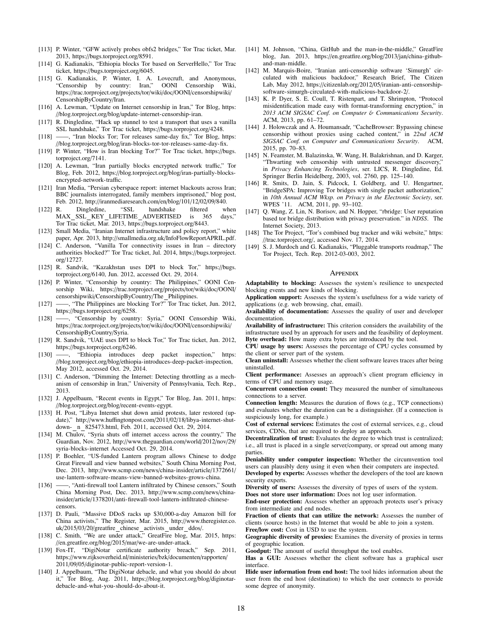- [113] P. Winter, "GFW actively probes obfs2 bridges," Tor Trac ticket, Mar. 2013, https://bugs.torproject.org/8591.
- [114] G. Kadianakis, "Ethiopia blocks Tor based on ServerHello," Tor Trac ticket, https://bugs.torproject.org/6045.
- [115] G. Kadianakis, P. Winter, I. A. Lovecruft, and Anonymous, "Censorship by country: Iran," OONI Censorship Wiki, https://trac.torproject.org/projects/tor/wiki/doc/OONI/censorshipwiki/ CensorshipByCountry/Iran.
- [116] A. Lewman, "Update on Internet censorship in Iran," Tor Blog, https: //blog.torproject.org/blog/update-internet-censorship-iran.
- [117] R. Dingledine, "Hack up stunnel to test a transport that uses a vanilla SSL handshake," Tor Trac ticket, https://bugs.torproject.org/4248.
- -, "Iran blocks Tor; Tor releases same-day fix," Tor Blog, https: //blog.torproject.org/blog/iran-blocks-tor-tor-releases-same-day-fix.
- [119] P. Winter, "How is Iran blocking Tor?" Tor Trac ticket, https://bugs. torproject.org/7141.
- [120] A. Lewman, "Iran partially blocks encrypted network traffic," Tor Blog, Feb. 2012, https://blog.torproject.org/blog/iran-partially-blocksencrypted-network-traffic.
- [121] Iran Media, "Persian cyberspace report: internet blackouts across Iran; BBC journalists interrogated, family members imprisoned," blog post, Feb. 2012, http://iranmediaresearch.com/en/blog/101/12/02/09/840.
- [122] R. Dingledine, "SSL handshake filtered when MAX SSL KEY LIFETIME ADVERTISED is 365 days," Tor Trac ticket, Mar. 2013, https://bugs.torproject.org/8443.
- [123] Small Media, "Iranian Internet infrastructure and policy report," white paper, Apr. 2013, http://smallmedia.org.uk/InfoFlowReportAPRIL.pdf.
- [124] C. Anderson, "Vanilla Tor connectivity issues in Iran directory authorities blocked?" Tor Trac ticket, Jul. 2014, https://bugs.torproject. org/12727.
- [125] R. Sandvik, "Kazakhstan uses DPI to block Tor," https://bugs. torproject.org/6140, Jun. 2012, accessed Oct. 29, 2014.
- [126] P. Winter, "Censorship by country: The Philippines," OONI Censorship Wiki, https://trac.torproject.org/projects/tor/wiki/doc/OONI/ censorshipwiki/CensorshipByCountry/The Philippines.
- [127] ——, "The Philippines are blocking Tor?" Tor Trac ticket, Jun. 2012, https://bugs.torproject.org/6258.
- [128] ——, "Censorship by country: Syria," OONI Censorship Wiki, https://trac.torproject.org/projects/tor/wiki/doc/OONI/censorshipwiki/ CensorshipByCountry/Syria.
- [129] R. Sandvik, "UAE uses DPI to block Tor," Tor Trac ticket, Jun. 2012, https://bugs.torproject.org/6246.
- [130] ——, "Ethiopia introduces deep packet inspection," https: //blog.torproject.org/blog/ethiopia-introduces-deep-packet-inspection, May 2012, accessed Oct. 29, 2014.
- [131] C. Anderson, "Dimming the Internet: Detecting throttling as a mechanism of censorship in Iran," University of Pennsylvania, Tech. Rep., 2013.
- [132] J. Appelbaum, "Recent events in Egypt," Tor Blog, Jan. 2011, https: //blog.torproject.org/blog/recent-events-egypt.
- [133] H. Post, "Libya Internet shut down amid protests, later restored (update)," http://www.huffingtonpost.com/2011/02/18/libya-internet-shutdown- n 825473.html, Feb. 2011, accessed Oct. 29, 2014.
- [134] M. Chulov, "Syria shuts off internet access across the country," The Guardian, Nov. 2012, http://www.theguardian.com/world/2012/nov/29/ syria-blocks-internet Accessed Oct. 29, 2014.
- [135] P. Boehler, "US-funded Lantern program allows Chinese to dodge Great Firewall and view banned websites," South China Morning Post, Dec. 2013, http://www.scmp.com/news/china-insider/article/1372661/ use-lantern-software-means-view-banned-websites-grows-china.
- [136] ——, "Anti-firewall tool Lantern infiltrated by Chinese censors," South China Morning Post, Dec. 2013, http://www.scmp.com/news/chinainsider/article/1378201/anti-firewall-tool-lantern-infiltrated-chinesecensors.
- [137] D. Pauli, "Massive DDoS racks up \$30,000-a-day Amazon bill for China activists," The Register, Mar. 2015, http://www.theregister.co. uk/2015/03/20/greatfire chinese activists under ddos/.
- [138] C. Smith, "We are under attack," GreatFire blog, Mar. 2015, https: //en.greatfire.org/blog/2015/mar/we-are-under-attack.
- [139] Fox-IT, "DigiNotar certificate authority breach," Sep. 2011, https://www.rijksoverheid.nl/ministeries/bzk/documenten/rapporten/ 2011/09/05/diginotar-public-report-version-1.
- [140] J. Appelbaum, "The DigiNotar debacle, and what you should do about it," Tor Blog, Aug. 2011, https://blog.torproject.org/blog/diginotardebacle-and-what-you-should-do-about-it.
- [141] M. Johnson, "China, GitHub and the man-in-the-middle," GreatFire blog, Jan. 2013, https://en.greatfire.org/blog/2013/jan/china-githuband-man-middle.
- [142] M. Marquis-Boire, "Iranian anti-censorship software 'Simurgh' circulated with malicious backdoor," Research Brief, The Citizen Lab, May 2012, https://citizenlab.org/2012/05/iranian-anti-censorshipsoftware-simurgh-circulated-with-malicious-backdoor-2/.
- [143] K. P. Dyer, S. E. Coull, T. Ristenpart, and T. Shrimpton, "Protocol misidentification made easy with format-transforming encryption," in *2013 ACM SIGSAC Conf. on Computer* & *Communications Security*. ACM, 2013, pp. 61–72.
- [144] J. Holowczak and A. Houmansadr, "CacheBrowser: Bypassing chinese censorship without proxies using cached content," in *22nd ACM SIGSAC Conf. on Computer and Communications Security*. ACM, 2015, pp. 70–83.
- [145] N. Feamster, M. Balazinska, W. Wang, H. Balakrishnan, and D. Karger, "Thwarting web censorship with untrusted messenger discovery," in *Privacy Enhancing Technologies*, ser. LICS, R. Dingledine, Ed. Springer Berlin Heidelberg, 2003, vol. 2760, pp. 125–140.
- [146] R. Smits, D. Jain, S. Pidcock, I. Goldberg, and U. Hengartner, "BridgeSPA: Improving Tor bridges with single packet authorization," in *10th Annual ACM Wksp. on Privacy in the Electronic Society*, ser. WPES '11. ACM, 2011, pp. 93–102.
- [147] Q. Wang, Z. Lin, N. Borisov, and N. Hopper, "rbridge: User reputation based tor bridge distribution with privacy preservation." in *NDSS*. The Internet Society, 2013.
- [148] The Tor Project, "Tor's combined bug tracker and wiki website," https: //trac.torproject.org/, accessed Nov. 17, 2014.
- [149] S. J. Murdoch and G. Kadianakis, "Pluggable transports roadmap," The Tor Project, Tech. Rep. 2012-03-003, 2012.

#### **APPENDIX**

Adaptability to blocking: Assesses the system's resilience to unexpected blocking events and new kinds of blocking.

Application support: Assesses the system's usefulness for a wide variety of applications (e.g. web browsing, chat, email).

Availability of documentation: Assesses the quality of user and developer documentation.

Availability of infrastructure: This criterion considers the availability of the infrastructure used by an approach for users and the feasibility of deployment. Byte overhead: How many extra bytes are introduced by the tool.

CPU usage by users: Assesses the percentage of CPU cycles consumed by the client or server part of the system.

Clean uninstall: Assesses whether the client software leaves traces after being uninstalled.

Client performance: Assesses an approach's client program efficiency in terms of CPU and memory usage.

Concurrent connection count: They measured the number of simultaneous connections to a server.

Connection length: Measures the duration of flows (e.g., TCP connections) and evaluates whether the duration can be a distinguisher. (If a connection is suspiciously long, for example.)

Cost of external services: Estimates the cost of external services, e.g., cloud services, CDNs, that are required to deploy an approach.

Decentralization of trust: Evaluates the degree to which trust is centralized; i.e., all trust is placed in a single server/company, or spread out among many parties.

Deniability under computer inspection: Whether the circumvention tool users can plausibly deny using it even when their computers are inspected. Developed by experts: Assesses whether the developers of the tool are known security experts.

Diversity of users: Assesses the diversity of types of users of the system. Does not store user information: Does not log user information.

End-user protection: Assesses whether an approach protects user's privacy from intermediate and end nodes.

Fraction of clients that can utilize the network: Assesses the number of clients (source hosts) in the Internet that would be able to join a system. Free/low cost: Cost in USD to use the system.

Geographic diversity of proxies: Examines the diversity of proxies in terms of geographic location.

Goodput: The amount of useful throughput the tool enables.

Has a GUI: Assesses whether the client software has a graphical user interface.

Hide user information from end host: The tool hides information about the user from the end host (destination) to which the user connects to provide some degree of anonymity.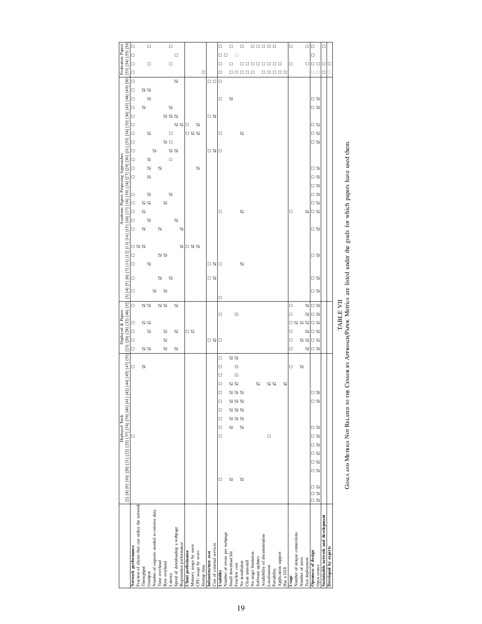|                                                  |                                                                                        | Deployed Tools          |                                                                         |            | Deployed & Papers                          |                 |    |             |                       |    | Academic Papers Proposing Approaches |          |             |                                |            |                 |               | <b>Evaluation Papers</b> |          |
|--------------------------------------------------|----------------------------------------------------------------------------------------|-------------------------|-------------------------------------------------------------------------|------------|--------------------------------------------|-----------------|----|-------------|-----------------------|----|--------------------------------------|----------|-------------|--------------------------------|------------|-----------------|---------------|--------------------------|----------|
|                                                  | [2] [8] [9] [10] [20] [21] [22] [25] [37] [38] [39] [40] [41] [42] [44] [45] [47] [51] |                         |                                                                         |            | $[23]$                                     |                 |    |             |                       |    |                                      |          |             |                                |            |                 | [50]          | [53] [54] [55] [56]      |          |
| Network performance                              |                                                                                        | О                       |                                                                         | □          | о<br>о<br>□<br>□                           | о               | □  | □<br>□      | □                     | □  | □<br>□<br>Ο                          | □        | □<br>□<br>□ | □<br>о                         | □<br>□     | □<br>Ο<br>□     | □<br>□        | □<br>$\Box$              | O<br>□   |
| Fraction of clients that can utilize the network |                                                                                        |                         |                                                                         |            |                                            |                 |    |             | $\Box B B$            |    |                                      |          |             |                                |            |                 |               |                          |          |
| Throughput                                       |                                                                                        |                         |                                                                         | ⊠          | РB<br><b>Z Z</b>                           | DВ              |    |             |                       | Ø  | <b>Z Z</b><br>Ø                      |          |             |                                |            | Ø               | РB            |                          |          |
| Goodput                                          |                                                                                        |                         |                                                                         |            | Ø                                          |                 |    | Δ           |                       |    | Ø                                    | Δ        | ⊠<br>Δ<br>⊠ |                                | Ø          | d               |               | □                        | □        |
| Number of requests needed to retrieve data       |                                                                                        |                         |                                                                         |            |                                            |                 | Ø  |             |                       |    |                                      |          |             | D                              |            |                 |               |                          |          |
| Time overhead                                    |                                                                                        |                         |                                                                         |            |                                            | DВ              |    | ⊠           | D D                   | Ø  |                                      |          | Ø           |                                |            |                 |               |                          |          |
| Byte overhead                                    |                                                                                        |                         |                                                                         |            | ⊠<br>Ø<br>Ø                                |                 | Ø  |             |                       |    | Ø                                    |          |             |                                |            |                 |               |                          |          |
| Latency                                          |                                                                                        |                         |                                                                         |            |                                            |                 |    | D           |                       |    |                                      | Δ        | $\Box$      | N □<br>$\boxtimes$ $\boxtimes$ | $\Box$     | Ø<br><b>DDD</b> |               | $\Box$                   | □        |
| Speed of downloading a webpage                   |                                                                                        |                         |                                                                         |            | ⊠<br>d                                     | Ø               |    |             |                       |    | d                                    |          |             |                                |            |                 | Ø             |                          | □        |
| Registration performance                         |                                                                                        |                         |                                                                         |            |                                            |                 |    |             |                       | Ø  |                                      |          |             |                                | $D D D$    |                 |               |                          |          |
| Client performance                               |                                                                                        |                         |                                                                         |            | 口区                                         |                 |    |             |                       |    |                                      |          |             |                                |            |                 |               |                          |          |
| Memory usage by users                            |                                                                                        |                         |                                                                         |            |                                            |                 |    |             | $\Box \Box \Box \Box$ |    |                                      |          |             |                                | $\Box B B$ |                 |               |                          |          |
| CPU usage by users                               |                                                                                        |                         |                                                                         |            |                                            |                 |    |             |                       |    |                                      |          | Δ           |                                | Δ          |                 |               |                          |          |
| Startup time                                     |                                                                                        |                         |                                                                         |            |                                            |                 |    |             |                       |    |                                      |          |             |                                |            |                 |               | $\Box$                   |          |
| Infrastructure cost                              |                                                                                        |                         |                                                                         |            |                                            |                 |    |             |                       |    |                                      |          |             |                                |            | O Ø             |               |                          |          |
| Cost of external services                        |                                                                                        |                         |                                                                         |            | ㅁ ? ㅁ                                      |                 |    | ㅁ ? ㅁ<br>ΠŊ |                       |    |                                      |          |             | 미 집 미                          |            |                 | $\Box$ $\Box$ |                          |          |
| Usability                                        | □                                                                                      | □<br>□<br>□             | □<br>□<br>$\Box$<br>О<br>О                                              | □<br>□     |                                            | □               | □  |             |                       |    | □                                    |          |             |                                | O          | □               | O             | □<br>□                   | □<br>0 O |
| Number of errors per webpage                     |                                                                                        |                         |                                                                         |            |                                            |                 |    |             |                       |    |                                      |          |             |                                |            |                 |               |                          |          |
| Small download file                              | ⊠                                                                                      | ⊠                       | <b>Z Z</b>                                                              | <b>Z Z</b> |                                            |                 |    |             |                       |    |                                      |          |             |                                |            | ⊠               |               | $\Box$                   | □        |
| Free/low cost                                    |                                                                                        | <b>DDD</b>              | Б<br>$\boxtimes$ $\boxtimes$ $\boxtimes$<br><b>DDD</b><br>$\Box$ $\Box$ | Ъ          |                                            | Ø               |    |             |                       |    |                                      |          |             |                                |            |                 |               | 00000                    | $\Box$   |
| No installation                                  | Ø                                                                                      | ₪                       |                                                                         |            |                                            |                 |    | Ø           |                       |    | Ø                                    |          |             |                                | Δ          |                 |               |                          | □        |
| Clean uninstall                                  |                                                                                        |                         |                                                                         |            |                                            |                 |    |             |                       |    |                                      |          |             |                                |            |                 |               |                          |          |
| No usage limitation                              |                                                                                        |                         |                                                                         |            |                                            |                 |    |             |                       |    |                                      |          |             |                                |            |                 |               |                          |          |
| Software updates                                 |                                                                                        |                         | $\mathbf{D}$                                                            |            |                                            |                 |    |             |                       |    |                                      |          |             |                                |            |                 |               |                          |          |
| Availability of documentation                    |                                                                                        |                         |                                                                         |            |                                            |                 |    |             |                       |    |                                      |          |             |                                |            |                 |               | 00000000<br>00000        | 00000    |
| Localization                                     |                                                                                        | $\Box$                  | D Р                                                                     |            |                                            |                 |    |             |                       |    |                                      |          |             |                                |            |                 |               |                          |          |
| Portability                                      |                                                                                        |                         |                                                                         |            |                                            |                 |    |             |                       |    |                                      |          |             |                                |            |                 |               |                          |          |
| Application support                              |                                                                                        |                         |                                                                         |            |                                            |                 |    |             |                       |    |                                      |          |             |                                |            |                 |               |                          |          |
| Has a GUI                                        |                                                                                        |                         | ⊠                                                                       |            |                                            |                 |    |             |                       |    |                                      |          |             |                                |            |                 |               |                          |          |
| Usage                                            |                                                                                        |                         |                                                                         | $\Box$     | □<br>□<br>□                                | □<br>□          |    |             |                       |    | $\Box$                               |          |             |                                |            |                 |               | □                        | □        |
| Number of unique connections                     |                                                                                        |                         |                                                                         |            |                                            |                 |    |             |                       |    |                                      |          |             |                                |            |                 |               |                          |          |
| Number of users                                  |                                                                                        |                         |                                                                         | ⊠          | OBBB<br>$B \setminus \Box   C \setminus C$ |                 |    |             |                       |    |                                      |          |             |                                |            |                 |               |                          |          |
| Test deployment                                  |                                                                                        |                         |                                                                         |            | Δ<br>Δ                                     | ⊠               |    |             |                       |    | ₪                                    |          |             |                                |            |                 |               | $\Box$                   | □        |
| Openness of design                               | O B<br>ם ⊿<br>O B<br>$\Box$ $\Box$<br>$\Box$                                           | O B<br>Ω⊡<br>O B<br>O B | $\Box$ $\Box$<br>O B                                                    |            | 口区<br>口区<br>口区                             | 口区<br><b>DO</b> | ΩΒ | ΠŊ          | Ω                     | ΠŊ | ロロ<br>ΠŊ                             | ロロ<br>ΩΒ | ΩΒ<br>ㅁ ?   | ΠŊ                             | ΩΒ<br>ΠŊ   | ㅁ ?<br>ロロ       |               | 0 O                      | □<br>□   |
| Open source                                      |                                                                                        |                         |                                                                         |            |                                            |                 |    |             |                       |    |                                      |          |             |                                |            |                 |               |                          |          |
| Sustainable network and development              |                                                                                        |                         |                                                                         |            |                                            |                 |    |             |                       |    |                                      |          |             |                                |            |                 |               | 0000<br>□                | □        |
| Developed by experts                             |                                                                                        |                         |                                                                         |            |                                            |                 |    |             |                       |    |                                      |          |             |                                |            |                 |               | □                        |          |
|                                                  |                                                                                        |                         |                                                                         |            |                                            | TA BI E VII     |    |             |                       |    |                                      |          |             |                                |            |                 |               |                          |          |

TABLE VII<br>GOALS AND METRICS NOT RELATED TO THE CENSOR BY APPROACH/PAPER. Metrics are listed under the goals for which papers have used them. Goals and Merrics Not Related to the Censor by Approach/Paper. Metrics are listed under the goals for which papers have used them. TABLE VII